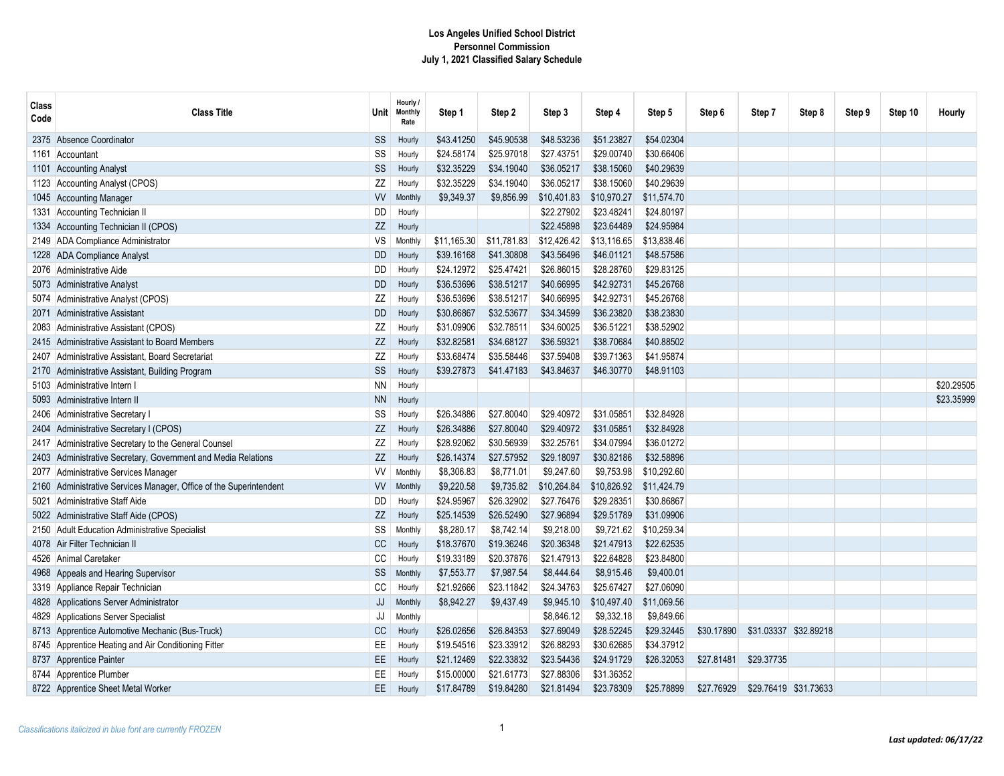| Class<br>Code | <b>Class Title</b>                                            | <b>Unit</b> | Hourly /<br><b>Monthly</b><br>Rate | Step 1      | Step 2      | Step 3      | Step 4      | Step 5      | Step 6     | Step 7     | Step 8                | Step 9 | Step 10 | Hourly     |
|---------------|---------------------------------------------------------------|-------------|------------------------------------|-------------|-------------|-------------|-------------|-------------|------------|------------|-----------------------|--------|---------|------------|
| 2375          | Absence Coordinator                                           | <b>SS</b>   | Hourly                             | \$43.41250  | \$45.90538  | \$48.53236  | \$51.23827  | \$54.02304  |            |            |                       |        |         |            |
| 1161          | Accountant                                                    | SS          | Hourly                             | \$24.58174  | \$25.97018  | \$27.43751  | \$29.00740  | \$30.66406  |            |            |                       |        |         |            |
| 1101          | <b>Accounting Analyst</b>                                     | SS          | Hourly                             | \$32.35229  | \$34.19040  | \$36.05217  | \$38.15060  | \$40.29639  |            |            |                       |        |         |            |
|               | 1123 Accounting Analyst (CPOS)                                | ΖZ          | Hourly                             | \$32.35229  | \$34.19040  | \$36.05217  | \$38.15060  | \$40.29639  |            |            |                       |        |         |            |
|               | 1045 Accounting Manager                                       | <b>VV</b>   | Monthly                            | \$9,349.37  | \$9,856.99  | \$10,401.83 | \$10,970.27 | \$11,574.70 |            |            |                       |        |         |            |
| 1331          | Accounting Technician II                                      | DD          | Hourly                             |             |             | \$22.27902  | \$23.48241  | \$24.80197  |            |            |                       |        |         |            |
| 1334          | Accounting Technician II (CPOS)                               | ZZ          | Hourly                             |             |             | \$22.45898  | \$23.64489  | \$24.95984  |            |            |                       |        |         |            |
| 2149          | ADA Compliance Administrator                                  | VS          | Monthly                            | \$11,165.30 | \$11,781.83 | \$12,426.42 | \$13,116.65 | \$13,838.46 |            |            |                       |        |         |            |
|               | 1228 ADA Compliance Analyst                                   | <b>DD</b>   | Hourly                             | \$39.16168  | \$41.30808  | \$43.56496  | \$46.01121  | \$48.57586  |            |            |                       |        |         |            |
| 2076          | Administrative Aide                                           | DD          | Hourly                             | \$24.12972  | \$25.47421  | \$26.86015  | \$28.28760  | \$29.83125  |            |            |                       |        |         |            |
|               | 5073 Administrative Analyst                                   | <b>DD</b>   | Hourly                             | \$36.53696  | \$38.51217  | \$40.66995  | \$42.92731  | \$45,26768  |            |            |                       |        |         |            |
|               | 5074 Administrative Analyst (CPOS)                            | ZZ          | Hourly                             | \$36.53696  | \$38.51217  | \$40.66995  | \$42.92731  | \$45.26768  |            |            |                       |        |         |            |
| 2071          | Administrative Assistant                                      | <b>DD</b>   | Hourly                             | \$30.86867  | \$32.53677  | \$34.34599  | \$36.23820  | \$38.23830  |            |            |                       |        |         |            |
| 2083          | Administrative Assistant (CPOS)                               | ZZ          | Hourly                             | \$31.09906  | \$32.78511  | \$34.60025  | \$36.51221  | \$38.52902  |            |            |                       |        |         |            |
| 2415          | <b>Administrative Assistant to Board Members</b>              | ZZ          | Hourly                             | \$32.82581  | \$34.68127  | \$36.59321  | \$38.70684  | \$40.88502  |            |            |                       |        |         |            |
| 2407          | Administrative Assistant, Board Secretariat                   | ZZ          | Hourly                             | \$33.68474  | \$35.58446  | \$37.59408  | \$39.71363  | \$41.95874  |            |            |                       |        |         |            |
|               | 2170 Administrative Assistant, Building Program               | SS          | Hourly                             | \$39.27873  | \$41.47183  | \$43.84637  | \$46.30770  | \$48.91103  |            |            |                       |        |         |            |
| 5103          | Administrative Intern                                         | <b>NN</b>   | Hourly                             |             |             |             |             |             |            |            |                       |        |         | \$20.29505 |
| 5093          | Administrative Intern II                                      | <b>NN</b>   | Hourly                             |             |             |             |             |             |            |            |                       |        |         | \$23.35999 |
| 2406          | <b>Administrative Secretary</b>                               | SS          | Hourly                             | \$26.34886  | \$27.80040  | \$29.40972  | \$31.05851  | \$32.84928  |            |            |                       |        |         |            |
| 2404          | Administrative Secretary I (CPOS)                             | ZZ          | Hourly                             | \$26.34886  | \$27.80040  | \$29.40972  | \$31.05851  | \$32.84928  |            |            |                       |        |         |            |
| 2417          | Administrative Secretary to the General Counsel               | ZZ          | Hourly                             | \$28.92062  | \$30.56939  | \$32.25761  | \$34.07994  | \$36.01272  |            |            |                       |        |         |            |
| 2403          | Administrative Secretary, Government and Media Relations      | ZZ          | Hourly                             | \$26.14374  | \$27.57952  | \$29.18097  | \$30.82186  | \$32.58896  |            |            |                       |        |         |            |
| 2077          | Administrative Services Manager                               | W           | Monthly                            | \$8,306.83  | \$8,771.01  | \$9.247.60  | \$9,753.98  | \$10,292.60 |            |            |                       |        |         |            |
| 2160          | Administrative Services Manager, Office of the Superintendent | <b>VV</b>   | Monthly                            | \$9,220.58  | \$9,735.82  | \$10,264.84 | \$10,826.92 | \$11,424.79 |            |            |                       |        |         |            |
| 5021          | Administrative Staff Aide                                     | DD          | Hourly                             | \$24.95967  | \$26.32902  | \$27.76476  | \$29.28351  | \$30.86867  |            |            |                       |        |         |            |
|               | 5022 Administrative Staff Aide (CPOS)                         | ZZ          | Hourly                             | \$25.14539  | \$26.52490  | \$27.96894  | \$29.51789  | \$31.09906  |            |            |                       |        |         |            |
| 2150          | Adult Education Administrative Specialist                     | SS          | Monthly                            | \$8,280.17  | \$8,742.14  | \$9,218.00  | \$9,721.62  | \$10,259.34 |            |            |                       |        |         |            |
| 4078          | Air Filter Technician II                                      | CC          | Hourly                             | \$18.37670  | \$19.36246  | \$20.36348  | \$21.47913  | \$22.62535  |            |            |                       |        |         |            |
| 4526          | Animal Caretaker                                              | CC          | Hourly                             | \$19.33189  | \$20.37876  | \$21.47913  | \$22.64828  | \$23.84800  |            |            |                       |        |         |            |
| 4968          | Appeals and Hearing Supervisor                                | SS          | <b>Monthly</b>                     | \$7,553.77  | \$7,987.54  | \$8,444.64  | \$8,915.46  | \$9,400.01  |            |            |                       |        |         |            |
|               | 3319 Appliance Repair Technician                              | CC          | Hourly                             | \$21.92666  | \$23.11842  | \$24.34763  | \$25.67427  | \$27.06090  |            |            |                       |        |         |            |
| 4828          | Applications Server Administrator                             | JJ          | Monthly                            | \$8,942.27  | \$9,437.49  | \$9,945.10  | \$10,497.40 | \$11,069.56 |            |            |                       |        |         |            |
| 4829          | Applications Server Specialist                                | JJ          | Monthly                            |             |             | \$8,846.12  | \$9,332.18  | \$9,849.66  |            |            |                       |        |         |            |
|               | 8713 Apprentice Automotive Mechanic (Bus-Truck)               | CC          | Hourly                             | \$26.02656  | \$26.84353  | \$27.69049  | \$28.52245  | \$29.32445  | \$30.17890 |            | \$31.03337 \$32.89218 |        |         |            |
|               | 8745 Apprentice Heating and Air Conditioning Fitter           | EE          | Hourly                             | \$19.54516  | \$23.33912  | \$26.88293  | \$30.62685  | \$34.37912  |            |            |                       |        |         |            |
|               | 8737 Apprentice Painter                                       | EE          | Hourly                             | \$21.12469  | \$22.33832  | \$23.54436  | \$24.91729  | \$26.32053  | \$27.81481 | \$29.37735 |                       |        |         |            |
|               | 8744 Apprentice Plumber                                       | <b>EE</b>   | Hourly                             | \$15.00000  | \$21.61773  | \$27.88306  | \$31.36352  |             |            |            |                       |        |         |            |
|               | 8722 Apprentice Sheet Metal Worker                            | EE.         | Hourly                             | \$17.84789  | \$19.84280  | \$21.81494  | \$23.78309  | \$25.78899  | \$27.76929 |            | \$29.76419 \$31.73633 |        |         |            |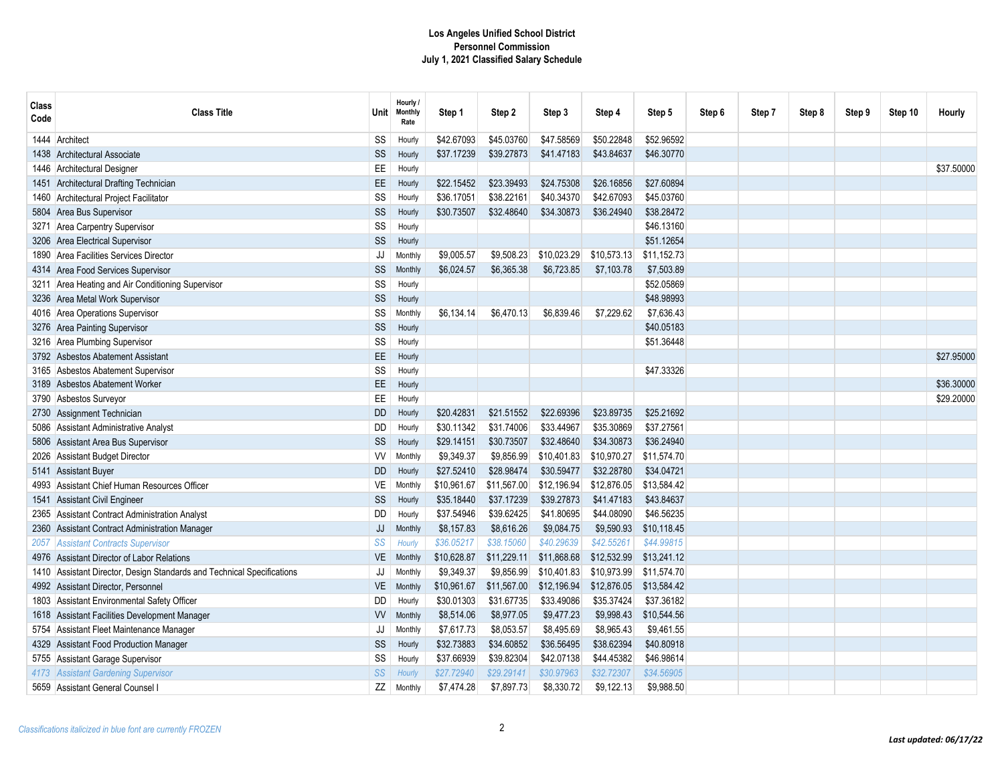| Class<br>Code | <b>Class Title</b>                                                | Unit        | Hourly /<br>Monthly<br>Rate | Step 1      | Step 2      | Step 3      | Step 4      | Step 5      | Step 6 | Step 7 | Step 8 | Step 9 | Step 10 | <b>Hourly</b> |
|---------------|-------------------------------------------------------------------|-------------|-----------------------------|-------------|-------------|-------------|-------------|-------------|--------|--------|--------|--------|---------|---------------|
| 1444          | Architect                                                         | SS          | Hourly                      | \$42.67093  | \$45.03760  | \$47.58569  | \$50.22848  | \$52.96592  |        |        |        |        |         |               |
| 1438          | Architectural Associate                                           | SS          | Hourly                      | \$37.17239  | \$39.27873  | \$41.47183  | \$43.84637  | \$46.30770  |        |        |        |        |         |               |
|               | 1446 Architectural Designer                                       | EE          | Hourly                      |             |             |             |             |             |        |        |        |        |         | \$37,50000    |
| 1451          | <b>Architectural Drafting Technician</b>                          | EE          | Hourly                      | \$22.15452  | \$23.39493  | \$24.75308  | \$26.16856  | \$27.60894  |        |        |        |        |         |               |
| 1460          | Architectural Project Facilitator                                 | SS          | Hourly                      | \$36.17051  | \$38.22161  | \$40.34370  | \$42.67093  | \$45.03760  |        |        |        |        |         |               |
| 5804          | Area Bus Supervisor                                               | SS          | Hourly                      | \$30.73507  | \$32.48640  | \$34.30873  | \$36.24940  | \$38.28472  |        |        |        |        |         |               |
| 3271          | <b>Area Carpentry Supervisor</b>                                  | SS          | Hourly                      |             |             |             |             | \$46.13160  |        |        |        |        |         |               |
| 3206          | <b>Area Electrical Supervisor</b>                                 | SS          | Hourly                      |             |             |             |             | \$51.12654  |        |        |        |        |         |               |
| 1890          | Area Facilities Services Director                                 | JJ          | Monthly                     | \$9,005.57  | \$9,508.23  | \$10,023.29 | \$10,573.13 | \$11,152.73 |        |        |        |        |         |               |
| 4314          | Area Food Services Supervisor                                     | SS          | Monthly                     | \$6,024.57  | \$6,365.38  | \$6,723.85  | \$7,103.78  | \$7,503.89  |        |        |        |        |         |               |
| 3211          | Area Heating and Air Conditioning Supervisor                      | SS          | Hourly                      |             |             |             |             | \$52.05869  |        |        |        |        |         |               |
|               | 3236 Area Metal Work Supervisor                                   | $\text{SS}$ | Hourly                      |             |             |             |             | \$48.98993  |        |        |        |        |         |               |
|               | 4016 Area Operations Supervisor                                   | SS          | Monthly                     | \$6,134.14  | \$6,470.13  | \$6,839.46  | \$7,229.62  | \$7,636.43  |        |        |        |        |         |               |
|               | 3276 Area Painting Supervisor                                     | SS          | Hourly                      |             |             |             |             | \$40.05183  |        |        |        |        |         |               |
| 3216          | Area Plumbing Supervisor                                          | SS          | Hourly                      |             |             |             |             | \$51.36448  |        |        |        |        |         |               |
| 3792          | <b>Asbestos Abatement Assistant</b>                               | EE          | Hourly                      |             |             |             |             |             |        |        |        |        |         | \$27,95000    |
| 3165          | Asbestos Abatement Supervisor                                     | SS          | Hourly                      |             |             |             |             | \$47.33326  |        |        |        |        |         |               |
| 3189          | <b>Asbestos Abatement Worker</b>                                  | EE          | Hourly                      |             |             |             |             |             |        |        |        |        |         | \$36.30000    |
| 3790          | Asbestos Surveyor                                                 | EE          | Hourly                      |             |             |             |             |             |        |        |        |        |         | \$29.20000    |
| 2730          | Assignment Technician                                             | <b>DD</b>   | Hourly                      | \$20.42831  | \$21.51552  | \$22.69396  | \$23.89735  | \$25.21692  |        |        |        |        |         |               |
| 5086          | Assistant Administrative Analyst                                  | <b>DD</b>   | Hourly                      | \$30.11342  | \$31.74006  | \$33.44967  | \$35,30869  | \$37.27561  |        |        |        |        |         |               |
| 5806          | Assistant Area Bus Supervisor                                     | SS          | Hourly                      | \$29.14151  | \$30.73507  | \$32.48640  | \$34.30873  | \$36.24940  |        |        |        |        |         |               |
| 2026          | <b>Assistant Budget Director</b>                                  | W           | Monthly                     | \$9,349.37  | \$9,856.99  | \$10,401.83 | \$10,970.27 | \$11,574.70 |        |        |        |        |         |               |
| 5141          | <b>Assistant Buyer</b>                                            | DD          | Hourly                      | \$27.52410  | \$28.98474  | \$30.59477  | \$32.28780  | \$34.04721  |        |        |        |        |         |               |
| 4993          | Assistant Chief Human Resources Officer                           | VE          | Monthly                     | \$10,961.67 | \$11,567.00 | \$12,196.94 | \$12.876.05 | \$13.584.42 |        |        |        |        |         |               |
| 1541          | <b>Assistant Civil Engineer</b>                                   | SS          | Hourly                      | \$35.18440  | \$37.17239  | \$39.27873  | \$41.47183  | \$43.84637  |        |        |        |        |         |               |
| 2365          | <b>Assistant Contract Administration Analyst</b>                  | DD          | Hourly                      | \$37.54946  | \$39.62425  | \$41.80695  | \$44.08090  | \$46.56235  |        |        |        |        |         |               |
| 2360          | Assistant Contract Administration Manager                         | JJ          | Monthly                     | \$8,157.83  | \$8,616.26  | \$9,084.75  | \$9,590.93  | \$10,118.45 |        |        |        |        |         |               |
| 2057          | <b>Assistant Contracts Supervisor</b>                             | SS          | Hourly                      | \$36.05217  | \$38.15060  | \$40.29639  | \$42.55261  | \$44.99815  |        |        |        |        |         |               |
| 4976          | Assistant Director of Labor Relations                             | VE          | Monthly                     | \$10,628.87 | \$11,229.11 | \$11,868.68 | \$12,532.99 | \$13,241.12 |        |        |        |        |         |               |
|               | Assistant Director, Design Standards and Technical Specifications | JJ          | Monthly                     | \$9,349.37  | \$9,856.99  | \$10,401.83 | \$10,973.99 | \$11,574.70 |        |        |        |        |         |               |
| 4992          | Assistant Director, Personnel                                     | VE          | Monthly                     | \$10,961.67 | \$11,567.00 | \$12,196.94 | \$12,876.05 | \$13,584.42 |        |        |        |        |         |               |
| 1803          | Assistant Environmental Safety Officer                            | <b>DD</b>   | Hourly                      | \$30.01303  | \$31.67735  | \$33.49086  | \$35.37424  | \$37.36182  |        |        |        |        |         |               |
| 1618          | Assistant Facilities Development Manager                          | <b>VV</b>   | Monthly                     | \$8,514.06  | \$8,977.05  | \$9,477.23  | \$9,998.43  | \$10,544.56 |        |        |        |        |         |               |
| 5754          | Assistant Fleet Maintenance Manager                               | JJ          | Monthly                     | \$7,617.73  | \$8,053.57  | \$8,495.69  | \$8,965.43  | \$9,461.55  |        |        |        |        |         |               |
| 4329          | Assistant Food Production Manager                                 | $\text{SS}$ | Hourly                      | \$32.73883  | \$34.60852  | \$36.56495  | \$38.62394  | \$40.80918  |        |        |        |        |         |               |
| 5755          | Assistant Garage Supervisor                                       | SS          | Hourly                      | \$37.66939  | \$39.82304  | \$42.07138  | \$44.45382  | \$46.98614  |        |        |        |        |         |               |
| 4173          | <b>Assistant Gardening Supervisor</b>                             | SS          | Hourly                      | \$27.72940  | \$29.29141  | \$30.97963  | \$32.72307  | \$34.56905  |        |        |        |        |         |               |
| 5659          | Assistant General Counsel I                                       | ΖZ          | Monthly                     | \$7,474.28  | \$7,897.73  | \$8,330.72  | \$9,122.13  | \$9,988.50  |        |        |        |        |         |               |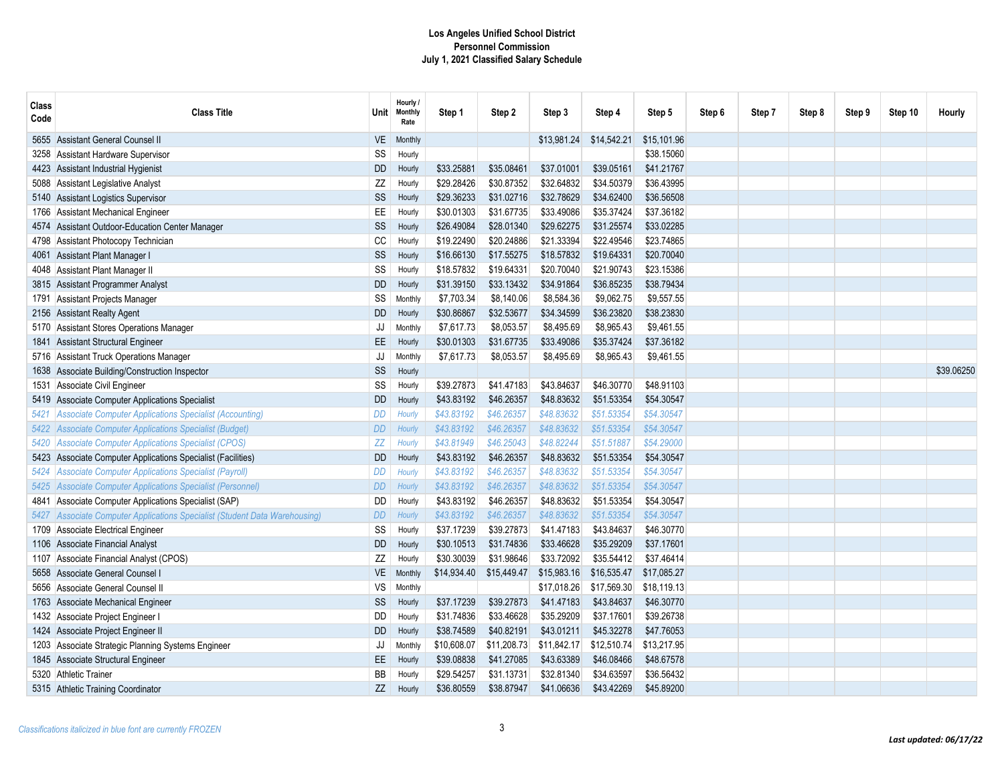| Class<br>Code | <b>Class Title</b>                                                         | Unit      | Hourly /<br><b>Monthly</b><br>Rate | Step 1      | Step 2      | Step 3      | Step 4      | Step 5      | Step 6 | Step 7 | Step 8 | Step 9 | Step 10 | Hourly     |
|---------------|----------------------------------------------------------------------------|-----------|------------------------------------|-------------|-------------|-------------|-------------|-------------|--------|--------|--------|--------|---------|------------|
|               | 5655 Assistant General Counsel II                                          | <b>VE</b> | Monthly                            |             |             | \$13,981.24 | \$14,542.21 | \$15,101.96 |        |        |        |        |         |            |
| 3258          | Assistant Hardware Supervisor                                              | SS        | Hourly                             |             |             |             |             | \$38.15060  |        |        |        |        |         |            |
|               | 4423 Assistant Industrial Hygienist                                        | <b>DD</b> | Hourly                             | \$33.25881  | \$35.08461  | \$37.01001  | \$39.05161  | \$41.21767  |        |        |        |        |         |            |
|               | 5088 Assistant Legislative Analyst                                         | ZZ        | Hourly                             | \$29.28426  | \$30.87352  | \$32.64832  | \$34.50379  | \$36.43995  |        |        |        |        |         |            |
|               | 5140 Assistant Logistics Supervisor                                        | SS        | Hourly                             | \$29.36233  | \$31.02716  | \$32.78629  | \$34.62400  | \$36.56508  |        |        |        |        |         |            |
|               | 1766 Assistant Mechanical Engineer                                         | EE        | Hourly                             | \$30.01303  | \$31.67735  | \$33,49086  | \$35.37424  | \$37.36182  |        |        |        |        |         |            |
|               | 4574 Assistant Outdoor-Education Center Manager                            | SS        | Hourly                             | \$26.49084  | \$28.01340  | \$29.62275  | \$31.25574  | \$33.02285  |        |        |        |        |         |            |
|               | 4798 Assistant Photocopy Technician                                        | CC        | Hourly                             | \$19.22490  | \$20.24886  | \$21.33394  | \$22.49546  | \$23.74865  |        |        |        |        |         |            |
| 4061          | Assistant Plant Manager I                                                  | SS        | Hourly                             | \$16.66130  | \$17.55275  | \$18.57832  | \$19.64331  | \$20.70040  |        |        |        |        |         |            |
|               | 4048 Assistant Plant Manager II                                            | SS        | Hourly                             | \$18.57832  | \$19.64331  | \$20.70040  | \$21.90743  | \$23.15386  |        |        |        |        |         |            |
|               | 3815 Assistant Programmer Analyst                                          | <b>DD</b> | Hourly                             | \$31.39150  | \$33.13432  | \$34.91864  | \$36.85235  | \$38.79434  |        |        |        |        |         |            |
| 1791          | Assistant Projects Manager                                                 | SS        | Monthly                            | \$7,703.34  | \$8,140.06  | \$8,584.36  | \$9,062.75  | \$9,557.55  |        |        |        |        |         |            |
|               | 2156 Assistant Realty Agent                                                | <b>DD</b> | Hourly                             | \$30.86867  | \$32.53677  | \$34.34599  | \$36.23820  | \$38.23830  |        |        |        |        |         |            |
|               | 5170 Assistant Stores Operations Manager                                   | JJ        | Monthly                            | \$7,617.73  | \$8,053.57  | \$8,495.69  | \$8,965.43  | \$9,461.55  |        |        |        |        |         |            |
| 1841.         | <b>Assistant Structural Engineer</b>                                       | <b>EE</b> | Hourly                             | \$30.01303  | \$31.67735  | \$33.49086  | \$35.37424  | \$37.36182  |        |        |        |        |         |            |
|               | 5716 Assistant Truck Operations Manager                                    | JJ        | Monthly                            | \$7,617.73  | \$8,053.57  | \$8,495.69  | \$8,965.43  | \$9,461.55  |        |        |        |        |         |            |
|               | 1638 Associate Building/Construction Inspector                             | SS        | Hourly                             |             |             |             |             |             |        |        |        |        |         | \$39.06250 |
| 1531          | Associate Civil Engineer                                                   | SS        | Hourly                             | \$39.27873  | \$41.47183  | \$43.84637  | \$46.30770  | \$48.91103  |        |        |        |        |         |            |
|               | 5419 Associate Computer Applications Specialist                            | DD        | Hourly                             | \$43.83192  | \$46.26357  | \$48.83632  | \$51.53354  | \$54.30547  |        |        |        |        |         |            |
| 5421          | Associate Computer Applications Specialist (Accounting)                    | <b>DD</b> | Hourly                             | \$43.83192  | \$46,26357  | \$48.83632  | \$51.53354  | \$54.30547  |        |        |        |        |         |            |
|               | 5422 Associate Computer Applications Specialist (Budget)                   | <b>DD</b> | Hourly                             | \$43.83192  | \$46,26357  | \$48.83632  | \$51.53354  | \$54.30547  |        |        |        |        |         |            |
| 5420          | Associate Computer Applications Specialist (CPOS)                          | ZZ        | Hourly                             | \$43.81949  | \$46.25043  | \$48.82244  | \$51.51887  | \$54.29000  |        |        |        |        |         |            |
|               | 5423 Associate Computer Applications Specialist (Facilities)               | <b>DD</b> | Hourly                             | \$43.83192  | \$46.26357  | \$48.83632  | \$51.53354  | \$54.30547  |        |        |        |        |         |            |
| 5424          | Associate Computer Applications Specialist (Payroll)                       | DD        | Hourly                             | \$43.83192  | \$46.26357  | \$48.83632  | \$51.53354  | \$54.30547  |        |        |        |        |         |            |
| 5425          | Associate Computer Applications Specialist (Personnel)                     | <b>DD</b> | Hourly                             | \$43.83192  | \$46.26357  | \$48.83632  | \$51.53354  | \$54.30547  |        |        |        |        |         |            |
| 4841          | Associate Computer Applications Specialist (SAP)                           | <b>DD</b> | Hourly                             | \$43.83192  | \$46.26357  | \$48.83632  | \$51.53354  | \$54.30547  |        |        |        |        |         |            |
|               | 5427 Associate Computer Applications Specialist (Student Data Warehousing) | DD        | Hourly                             | \$43.83192  | \$46,26357  | \$48.83632  | \$51.53354  | \$54.30547  |        |        |        |        |         |            |
|               | 1709 Associate Electrical Engineer                                         | SS        | Hourly                             | \$37.17239  | \$39.27873  | \$41.47183  | \$43.84637  | \$46.30770  |        |        |        |        |         |            |
|               | 1106 Associate Financial Analyst                                           | <b>DD</b> | Hourly                             | \$30.10513  | \$31.74836  | \$33.46628  | \$35.29209  | \$37.17601  |        |        |        |        |         |            |
|               | 1107 Associate Financial Analyst (CPOS)                                    | ZZ        | Hourly                             | \$30.30039  | \$31.98646  | \$33.72092  | \$35.54412  | \$37.46414  |        |        |        |        |         |            |
|               | 5658 Associate General Counsel                                             | <b>VE</b> | <b>Monthly</b>                     | \$14,934.40 | \$15,449.47 | \$15,983.16 | \$16,535.47 | \$17,085.27 |        |        |        |        |         |            |
|               | 5656 Associate General Counsel II                                          | VS        | Monthly                            |             |             | \$17,018.26 | \$17,569.30 | \$18,119.13 |        |        |        |        |         |            |
|               | 1763 Associate Mechanical Engineer                                         | SS        | Hourly                             | \$37.17239  | \$39.27873  | \$41.47183  | \$43.84637  | \$46.30770  |        |        |        |        |         |            |
|               | 1432 Associate Project Engineer                                            | DD        | Hourly                             | \$31.74836  | \$33.46628  | \$35.29209  | \$37.17601  | \$39.26738  |        |        |        |        |         |            |
|               | 1424 Associate Project Engineer II                                         | <b>DD</b> | Hourly                             | \$38.74589  | \$40.82191  | \$43.01211  | \$45.32278  | \$47.76053  |        |        |        |        |         |            |
|               | 1203 Associate Strategic Planning Systems Engineer                         | JJ        | Monthly                            | \$10,608.07 | \$11,208.73 | \$11,842.17 | \$12,510.74 | \$13.217.95 |        |        |        |        |         |            |
|               | 1845 Associate Structural Engineer                                         | EE        | Hourly                             | \$39.08838  | \$41.27085  | \$43.63389  | \$46.08466  | \$48.67578  |        |        |        |        |         |            |
|               | 5320 Athletic Trainer                                                      | BB        | Hourly                             | \$29.54257  | \$31.13731  | \$32.81340  | \$34.63597  | \$36.56432  |        |        |        |        |         |            |
|               | 5315 Athletic Training Coordinator                                         | ZZ        | Hourly                             | \$36.80559  | \$38.87947  | \$41.06636  | \$43.42269  | \$45.89200  |        |        |        |        |         |            |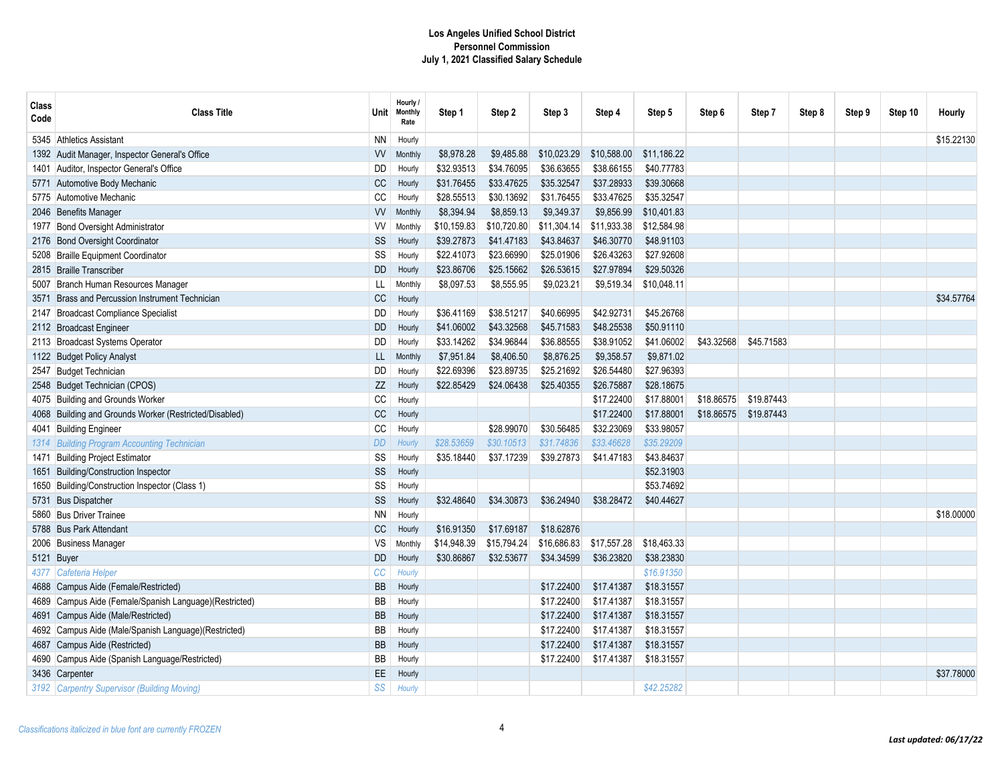| Class<br>Code | <b>Class Title</b>                                     | Unit∣     | Hourly /<br>Monthly<br>Rate | Step 1      | Step 2      | Step 3      | Step 4      | Step 5      | Step 6     | Step 7     | Step 8 | Step 9 | Step 10 | Hourly     |
|---------------|--------------------------------------------------------|-----------|-----------------------------|-------------|-------------|-------------|-------------|-------------|------------|------------|--------|--------|---------|------------|
|               | 5345 Athletics Assistant                               | ΝN        | Hourly                      |             |             |             |             |             |            |            |        |        |         | \$15.22130 |
|               | 1392 Audit Manager, Inspector General's Office         | W         | Monthly                     | \$8.978.28  | \$9,485.88  | \$10,023.29 | \$10,588.00 | \$11,186.22 |            |            |        |        |         |            |
|               | 1401 Auditor, Inspector General's Office               | DD        | Hourly                      | \$32.93513  | \$34.76095  | \$36.63655  | \$38.66155  | \$40.77783  |            |            |        |        |         |            |
|               | 5771 Automotive Body Mechanic                          | CC        | Hourly                      | \$31.76455  | \$33.47625  | \$35.32547  | \$37.28933  | \$39.30668  |            |            |        |        |         |            |
|               | 5775 Automotive Mechanic                               | CC        | Hourly                      | \$28.55513  | \$30.13692  | \$31.76455  | \$33.47625  | \$35.32547  |            |            |        |        |         |            |
|               | 2046 Benefits Manager                                  | W         | Monthly                     | \$8,394.94  | \$8,859.13  | \$9,349.37  | \$9,856.99  | \$10,401.83 |            |            |        |        |         |            |
|               | 1977 Bond Oversight Administrator                      | W         | Monthly                     | \$10,159.83 | \$10,720.80 | \$11,304.14 | \$11,933.38 | \$12,584.98 |            |            |        |        |         |            |
|               | 2176 Bond Oversight Coordinator                        | SS        | Hourly                      | \$39.27873  | \$41.47183  | \$43.84637  | \$46,30770  | \$48.91103  |            |            |        |        |         |            |
|               | 5208 Braille Equipment Coordinator                     | SS        | Hourly                      | \$22.41073  | \$23.66990  | \$25.01906  | \$26.43263  | \$27.92608  |            |            |        |        |         |            |
|               | 2815 Braille Transcriber                               | <b>DD</b> | Hourly                      | \$23.86706  | \$25.15662  | \$26.53615  | \$27.97894  | \$29.50326  |            |            |        |        |         |            |
|               | 5007 Branch Human Resources Manager                    | LL        | Monthly                     | \$8,097.53  | \$8,555.95  | \$9,023.21  | \$9,519.34  | \$10,048.11 |            |            |        |        |         |            |
| 3571          | <b>Brass and Percussion Instrument Technician</b>      | CC        | Hourly                      |             |             |             |             |             |            |            |        |        |         | \$34,57764 |
|               | 2147 Broadcast Compliance Specialist                   | DD        | Hourly                      | \$36.41169  | \$38.51217  | \$40.66995  | \$42.92731  | \$45.26768  |            |            |        |        |         |            |
|               | 2112 Broadcast Engineer                                | <b>DD</b> | Hourly                      | \$41.06002  | \$43.32568  | \$45.71583  | \$48.25538  | \$50.91110  |            |            |        |        |         |            |
|               | 2113 Broadcast Systems Operator                        | <b>DD</b> | Hourly                      | \$33.14262  | \$34.96844  | \$36.88555  | \$38.91052  | \$41.06002  | \$43.32568 | \$45.71583 |        |        |         |            |
|               | 1122 Budget Policy Analyst                             | LL        | Monthly                     | \$7,951.84  | \$8,406.50  | \$8,876.25  | \$9,358.57  | \$9,871.02  |            |            |        |        |         |            |
|               | 2547 Budget Technician                                 | DD        | Hourly                      | \$22.69396  | \$23.89735  | \$25.21692  | \$26.54480  | \$27.96393  |            |            |        |        |         |            |
|               | 2548 Budget Technician (CPOS)                          | ZZ        | Hourly                      | \$22.85429  | \$24.06438  | \$25.40355  | \$26.75887  | \$28.18675  |            |            |        |        |         |            |
|               | 4075 Building and Grounds Worker                       | CC        | Hourly                      |             |             |             | \$17.22400  | \$17.88001  | \$18.86575 | \$19.87443 |        |        |         |            |
|               | 4068 Building and Grounds Worker (Restricted/Disabled) | CC        | Hourly                      |             |             |             | \$17.22400  | \$17.88001  | \$18.86575 | \$19.87443 |        |        |         |            |
|               | 4041 Building Engineer                                 | CC        | Hourly                      |             | \$28,99070  | \$30.56485  | \$32.23069  | \$33.98057  |            |            |        |        |         |            |
|               | 1314 Building Program Accounting Technician            | <b>DD</b> | Hourly                      | \$28.53659  | \$30.10513  | \$31.74836  | \$33.46628  | \$35.29209  |            |            |        |        |         |            |
| 1471          | <b>Building Project Estimator</b>                      | SS        | Hourly                      | \$35.18440  | \$37.17239  | \$39.27873  | \$41.47183  | \$43.84637  |            |            |        |        |         |            |
|               | 1651 Building/Construction Inspector                   | SS        | Hourly                      |             |             |             |             | \$52.31903  |            |            |        |        |         |            |
|               | 1650 Building/Construction Inspector (Class 1)         | SS        | Hourly                      |             |             |             |             | \$53.74692  |            |            |        |        |         |            |
|               | 5731 Bus Dispatcher                                    | SS        | Hourly                      | \$32.48640  | \$34.30873  | \$36.24940  | \$38.28472  | \$40.44627  |            |            |        |        |         |            |
|               | 5860 Bus Driver Trainee                                | <b>NN</b> | Hourly                      |             |             |             |             |             |            |            |        |        |         | \$18,00000 |
|               | 5788 Bus Park Attendant                                | CC        | Hourly                      | \$16.91350  | \$17.69187  | \$18.62876  |             |             |            |            |        |        |         |            |
|               | 2006 Business Manager                                  | VS        | Monthly                     | \$14,948.39 | \$15,794.24 | \$16,686.83 | \$17,557.28 | \$18,463.33 |            |            |        |        |         |            |
|               | 5121 Buyer                                             | <b>DD</b> | Hourly                      | \$30.86867  | \$32.53677  | \$34.34599  | \$36.23820  | \$38.23830  |            |            |        |        |         |            |
|               | 4377 Cafeteria Helper                                  | CC        | Hourly                      |             |             |             |             | \$16.91350  |            |            |        |        |         |            |
|               | 4688 Campus Aide (Female/Restricted)                   | <b>BB</b> | Hourly                      |             |             | \$17.22400  | \$17.41387  | \$18.31557  |            |            |        |        |         |            |
|               | 4689 Campus Aide (Female/Spanish Language)(Restricted) | BB        | Hourly                      |             |             | \$17.22400  | \$17.41387  | \$18.31557  |            |            |        |        |         |            |
|               | 4691 Campus Aide (Male/Restricted)                     | <b>BB</b> | Hourly                      |             |             | \$17.22400  | \$17.41387  | \$18.31557  |            |            |        |        |         |            |
|               | 4692 Campus Aide (Male/Spanish Language)(Restricted)   | <b>BB</b> | Hourly                      |             |             | \$17.22400  | \$17.41387  | \$18.31557  |            |            |        |        |         |            |
|               | 4687 Campus Aide (Restricted)                          | <b>BB</b> | Hourly                      |             |             | \$17.22400  | \$17.41387  | \$18.31557  |            |            |        |        |         |            |
|               | 4690 Campus Aide (Spanish Language/Restricted)         | BB        | Hourly                      |             |             | \$17.22400  | \$17.41387  | \$18.31557  |            |            |        |        |         |            |
|               | 3436 Carpenter                                         | EE        | Hourly                      |             |             |             |             |             |            |            |        |        |         | \$37,78000 |
|               | 3192 Carpentry Supervisor (Building Moving)            | SS        | Hourly                      |             |             |             |             | \$42.25282  |            |            |        |        |         |            |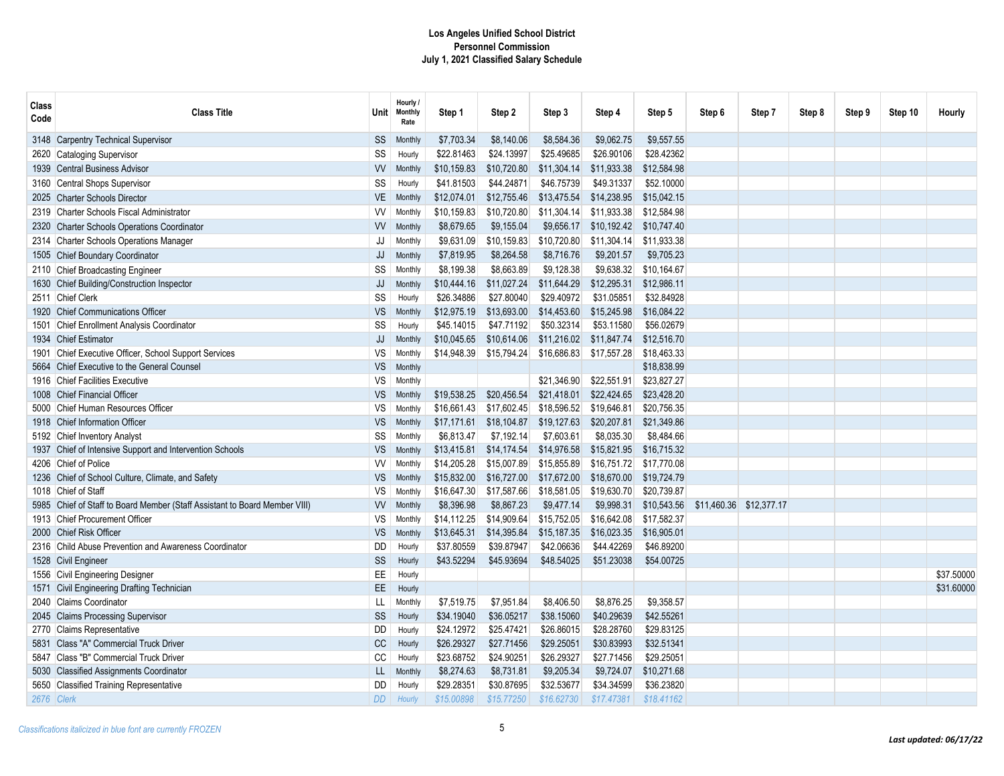| Class<br>Code | <b>Class Title</b>                                                    | Unit                    | Hourly /<br><b>Monthly</b><br>Rate | Step 1                   | Step 2                   | Step 3                   | Step 4                   | Step 5                   | Step 6 | Step 7                  | Step 8 | Step 9 | Step 10 | Hourly     |
|---------------|-----------------------------------------------------------------------|-------------------------|------------------------------------|--------------------------|--------------------------|--------------------------|--------------------------|--------------------------|--------|-------------------------|--------|--------|---------|------------|
| 3148          | <b>Carpentry Technical Supervisor</b>                                 | SS                      | Monthly                            | \$7,703.34               | \$8,140.06               | \$8,584.36               | \$9,062.75               | \$9,557.55               |        |                         |        |        |         |            |
| 2620          | <b>Cataloging Supervisor</b>                                          | SS                      | Hourly                             | \$22.81463               | \$24.13997               | \$25.49685               | \$26,90106               | \$28.42362               |        |                         |        |        |         |            |
| 1939          | <b>Central Business Advisor</b>                                       | W                       | Monthly                            | \$10,159.83              | \$10,720.80              | \$11,304.14              | \$11.933.38              | \$12,584.98              |        |                         |        |        |         |            |
| 3160          | Central Shops Supervisor                                              | $\text{SS}$             | Hourly                             | \$41.81503               | \$44.24871               | \$46.75739               | \$49.31337               | \$52.10000               |        |                         |        |        |         |            |
| 2025          | <b>Charter Schools Director</b>                                       | VE                      | Monthly                            | \$12,074.01              | \$12,755.46              | \$13,475.54              | \$14,238.95              | \$15,042.15              |        |                         |        |        |         |            |
| 2319          | Charter Schools Fiscal Administrator                                  | <b>VV</b>               | Monthly                            | \$10,159.83              | \$10.720.80              | \$11.304.14              | \$11,933.38              | \$12.584.98              |        |                         |        |        |         |            |
| 2320          | <b>Charter Schools Operations Coordinator</b>                         | <b>VV</b>               | Monthly                            | \$8,679.65               | \$9,155.04               | \$9,656.17               | \$10,192.42              | \$10,747.40              |        |                         |        |        |         |            |
| 2314          | <b>Charter Schools Operations Manager</b>                             | JJ                      | Monthly                            | \$9,631.09               | \$10,159.83              | \$10,720.80              | \$11,304.14              | \$11,933.38              |        |                         |        |        |         |            |
| 1505          | <b>Chief Boundary Coordinator</b>                                     | JJ                      | Monthly                            | \$7,819.95               | \$8,264.58               | \$8,716.76               | \$9,201.57               | \$9,705.23               |        |                         |        |        |         |            |
| 2110          | <b>Chief Broadcasting Engineer</b>                                    | SS                      | Monthly                            | \$8.199.38               | \$8.663.89               | \$9.128.38               | \$9,638.32               | \$10.164.67              |        |                         |        |        |         |            |
| 1630          | Chief Building/Construction Inspector                                 | JJ                      | Monthly                            | \$10,444.16              | \$11,027.24              | \$11,644.29              | \$12,295.31              | \$12,986.11              |        |                         |        |        |         |            |
|               | 2511 Chief Clerk                                                      | SS                      | Hourly                             | \$26.34886               | \$27.80040               | \$29.40972               | \$31.05851               | \$32.84928               |        |                         |        |        |         |            |
| 1920          | <b>Chief Communications Officer</b>                                   | <b>VS</b>               | Monthly                            | \$12,975.19              | \$13,693.00              | \$14,453.60              | \$15,245.98              | \$16,084.22              |        |                         |        |        |         |            |
| 1501          | Chief Enrollment Analysis Coordinator                                 | SS                      | Hourly                             | \$45.14015               | \$47.71192               | \$50.32314               | \$53.11580               | \$56.02679               |        |                         |        |        |         |            |
| 1934          | <b>Chief Estimator</b>                                                | JJ                      | Monthly                            | \$10,045.65              | \$10,614.06              | \$11,216.02              | \$11,847.74              | \$12,516.70              |        |                         |        |        |         |            |
| 1901          | Chief Executive Officer, School Support Services                      | VS                      | Monthly                            | \$14,948.39              | \$15,794.24              | \$16,686.83              | \$17,557.28              | \$18,463.33              |        |                         |        |        |         |            |
| 5664          | Chief Executive to the General Counsel                                | VS                      | Monthly                            |                          |                          |                          |                          | \$18,838.99              |        |                         |        |        |         |            |
| 1916          | <b>Chief Facilities Executive</b>                                     | VS                      | Monthly                            |                          |                          | \$21,346.90              | \$22,551.91              | \$23,827.27              |        |                         |        |        |         |            |
| 1008          | <b>Chief Financial Officer</b>                                        | <b>VS</b>               | Monthly                            | \$19,538.25              | \$20.456.54              | \$21,418.01              | \$22,424.65              | \$23,428.20              |        |                         |        |        |         |            |
| 5000          | Chief Human Resources Officer                                         | VS                      | Monthly                            | \$16,661.43              | \$17,602.45              | \$18,596.52              | \$19,646.81              | \$20,756.35              |        |                         |        |        |         |            |
| 1918          | <b>Chief Information Officer</b>                                      | VS                      | Monthly                            | \$17,171.61              | \$18,104.87              | \$19,127.63              | \$20,207.81              | \$21,349.86              |        |                         |        |        |         |            |
| 5192          | <b>Chief Inventory Analyst</b>                                        | SS                      | Monthly                            | \$6,813.47               | \$7,192.14               | \$7,603.61               | \$8,035.30               | \$8,484.66               |        |                         |        |        |         |            |
| 1937          | Chief of Intensive Support and Intervention Schools                   | VS                      | Monthly                            | \$13,415.81              | \$14,174.54              | \$14,976.58              | \$15,821.95              | \$16,715.32              |        |                         |        |        |         |            |
| 4206          | Chief of Police                                                       | <b>VV</b>               | Monthly                            | \$14,205.28              | \$15,007.89              | \$15,855.89              | \$16,751.72              | \$17,770.08              |        |                         |        |        |         |            |
| 1236          | Chief of School Culture, Climate, and Safety                          | <b>VS</b>               | Monthly                            | \$15,832.00              | \$16,727.00              | \$17,672.00              | \$18,670.00              | \$19,724.79              |        |                         |        |        |         |            |
| 1018          | Chief of Staff                                                        | VS                      | Monthly                            | \$16,647.30              | \$17,587.66              | \$18,581.05              | \$19,630.70              | \$20,739.87              |        |                         |        |        |         |            |
| 5985          | Chief of Staff to Board Member (Staff Assistant to Board Member VIII) | W                       | Monthly                            | \$8,396.98               | \$8,867.23               | \$9,477.14               | \$9,998.31               | \$10,543.56              |        | \$11,460.36 \$12,377.17 |        |        |         |            |
| 1913          | <b>Chief Procurement Officer</b>                                      | VS                      | Monthly                            | \$14,112.25              | \$14,909.64              | \$15,752.05              | \$16,642.08              | \$17,582.37              |        |                         |        |        |         |            |
| 2000          | <b>Chief Risk Officer</b>                                             | <b>VS</b>               | Monthly                            | \$13,645.31              | \$14,395.84              | \$15,187.35              | \$16,023.35              | \$16,905.01              |        |                         |        |        |         |            |
|               | 2316 Child Abuse Prevention and Awareness Coordinator                 | DD                      | Hourly                             | \$37.80559               | \$39.87947               | \$42.06636               | \$44.42269               | \$46.89200               |        |                         |        |        |         |            |
| 1528          | <b>Civil Engineer</b>                                                 | $\text{SS}$             | Hourly                             | \$43.52294               | \$45.93694               | \$48.54025               | \$51.23038               | \$54.00725               |        |                         |        |        |         |            |
| 1556          | <b>Civil Engineering Designer</b>                                     | EE                      | Hourly                             |                          |                          |                          |                          |                          |        |                         |        |        |         | \$37.50000 |
| 1571          | Civil Engineering Drafting Technician                                 | EE.                     | Hourly                             |                          |                          |                          |                          |                          |        |                         |        |        |         | \$31,60000 |
| 2040          | <b>Claims Coordinator</b>                                             | LL.                     | Monthly                            | \$7.519.75               | \$7,951.84               | \$8,406.50               | \$8.876.25               | \$9.358.57               |        |                         |        |        |         |            |
| 2045          | <b>Claims Processing Supervisor</b>                                   | SS                      | Hourly                             | \$34.19040               | \$36.05217               | \$38.15060               | \$40.29639               | \$42.55261               |        |                         |        |        |         |            |
| 2770<br>5831  | Claims Representative<br>Class "A" Commercial Truck Driver            | DD<br>$\mathop{\rm CC}$ | Hourly<br>Hourly                   | \$24.12972<br>\$26.29327 | \$25.47421<br>\$27.71456 | \$26.86015<br>\$29.25051 | \$28.28760<br>\$30.83993 | \$29.83125<br>\$32.51341 |        |                         |        |        |         |            |
| 5847          | Class "B" Commercial Truck Driver                                     | CC                      | Hourly                             | \$23.68752               | \$24.90251               | \$26.29327               | \$27.71456               | \$29.25051               |        |                         |        |        |         |            |
| 5030          | <b>Classified Assignments Coordinator</b>                             | LL.                     | Monthly                            | \$8,274.63               | \$8,731.81               | \$9,205.34               | \$9,724.07               | \$10,271.68              |        |                         |        |        |         |            |
| 5650          | <b>Classified Training Representative</b>                             | DD                      | Hourly                             | \$29.28351               | \$30.87695               | \$32.53677               | \$34.34599               | \$36,23820               |        |                         |        |        |         |            |
|               | 2676 Clerk                                                            | <b>DD</b>               | Hourly                             | \$15,00898               | \$15.77250               | \$16.62730               | \$17.47381               | \$18.41162               |        |                         |        |        |         |            |
|               |                                                                       |                         |                                    |                          |                          |                          |                          |                          |        |                         |        |        |         |            |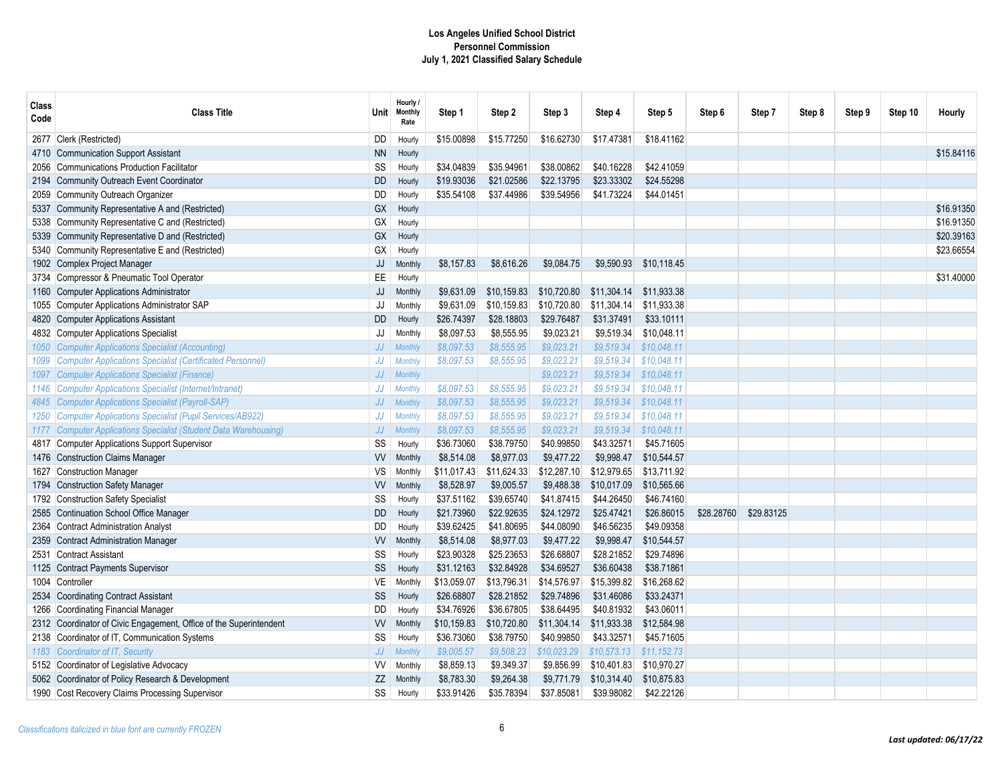| Class<br>Code | <b>Class Title</b>                                               | <b>Unit</b> | Hourly /<br><b>Monthly</b><br>Rate | Step 1      | Step 2      | Step 3      | Step 4      | Step 5      | Step 6     | Step 7     | Step 8 | Step 9 | Step 10 | Hourly     |
|---------------|------------------------------------------------------------------|-------------|------------------------------------|-------------|-------------|-------------|-------------|-------------|------------|------------|--------|--------|---------|------------|
| 2677          | Clerk (Restricted)                                               | DD          | Hourly                             | \$15.00898  | \$15.77250  | \$16.62730  | \$17.47381  | \$18.41162  |            |            |        |        |         |            |
| 4710          | Communication Support Assistant                                  | <b>NN</b>   | Hourly                             |             |             |             |             |             |            |            |        |        |         | \$15.84116 |
| 2056          | <b>Communications Production Facilitator</b>                     | SS          | Hourly                             | \$34.04839  | \$35.94961  | \$38.00862  | \$40.16228  | \$42.41059  |            |            |        |        |         |            |
| 2194          | Community Outreach Event Coordinator                             | <b>DD</b>   | Hourly                             | \$19.93036  | \$21.02586  | \$22.13795  | \$23.33302  | \$24.55298  |            |            |        |        |         |            |
| 2059          | Community Outreach Organizer                                     | <b>DD</b>   | Hourly                             | \$35.54108  | \$37.44986  | \$39.54956  | \$41.73224  | \$44.01451  |            |            |        |        |         |            |
| 5337          | Community Representative A and (Restricted)                      | GX          | Hourly                             |             |             |             |             |             |            |            |        |        |         | \$16.91350 |
| 5338          | Community Representative C and (Restricted)                      | GX          | Hourly                             |             |             |             |             |             |            |            |        |        |         | \$16.91350 |
| 5339          | Community Representative D and (Restricted)                      | GX          | Hourly                             |             |             |             |             |             |            |            |        |        |         | \$20.39163 |
| 5340          | Community Representative E and (Restricted)                      | GX          | Hourly                             |             |             |             |             |             |            |            |        |        |         | \$23.66554 |
| 1902          | Complex Project Manager                                          | JJ          | Monthly                            | \$8,157.83  | \$8,616.26  | \$9,084.75  | \$9,590.93  | \$10,118.45 |            |            |        |        |         |            |
| 3734          | Compressor & Pneumatic Tool Operator                             | EE          | Hourly                             |             |             |             |             |             |            |            |        |        |         | \$31.40000 |
| 1160          | Computer Applications Administrator                              | JJ          | Monthly                            | \$9,631.09  | \$10,159.83 | \$10,720.80 | \$11,304.14 | \$11,933.38 |            |            |        |        |         |            |
| 1055          | <b>Computer Applications Administrator SAP</b>                   | JJ          | Monthly                            | \$9,631.09  | \$10,159.83 | \$10,720.80 | \$11,304.14 | \$11,933.38 |            |            |        |        |         |            |
| 4820          | Computer Applications Assistant                                  | <b>DD</b>   | Hourly                             | \$26.74397  | \$28.18803  | \$29.76487  | \$31.37491  | \$33.10111  |            |            |        |        |         |            |
| 4832          | Computer Applications Specialist                                 | JJ          | Monthly                            | \$8,097.53  | \$8,555.95  | \$9,023.21  | \$9,519.34  | \$10,048.11 |            |            |        |        |         |            |
| 1050-         | Computer Applications Specialist (Accounting)                    | JJ          | <b>Monthly</b>                     | \$8,097.53  | \$8,555.95  | \$9,023.21  | \$9,519.34  | \$10,048.11 |            |            |        |        |         |            |
|               | <b>Computer Applications Specialist (Certificated Personnel)</b> | JJ          | <b>Monthly</b>                     | \$8,097.53  | \$8,555.95  | \$9,023.21  | \$9,519.34  | \$10,048.11 |            |            |        |        |         |            |
| 1097          | <b>Computer Applications Specialist (Finance)</b>                | JJ          | Monthly                            |             |             | \$9,023.21  | \$9,519.34  | \$10,048.11 |            |            |        |        |         |            |
| 1146          | Computer Applications Specialist (Internet/Intranet)             | ${\it JJ}$  | <b>Monthly</b>                     | \$8,097.53  | \$8,555.95  | \$9,023.21  | \$9,519.34  | \$10.048.11 |            |            |        |        |         |            |
|               | 4845 Computer Applications Specialist (Payroll-SAP)              | JJ          | <b>Monthly</b>                     | \$8,097.53  | \$8,555.95  | \$9,023.21  | \$9,519.34  | \$10,048.11 |            |            |        |        |         |            |
| 1250          | Computer Applications Specialist (Pupil Services/AB922)          | JJ          | <b>Monthly</b>                     | \$8,097.53  | \$8,555.95  | \$9,023.21  | \$9.519.34  | \$10.048.11 |            |            |        |        |         |            |
| 1177          | Computer Applications Specialist (Student Data Warehousing)      | JJ          | <b>Monthly</b>                     | \$8,097.53  | \$8.555.95  | \$9.023.21  | \$9.519.34  | \$10.048.11 |            |            |        |        |         |            |
|               | 4817 Computer Applications Support Supervisor                    | SS          | Hourly                             | \$36.73060  | \$38.79750  | \$40.99850  | \$43.32571  | \$45.71605  |            |            |        |        |         |            |
| 1476          | <b>Construction Claims Manager</b>                               | <b>VV</b>   | Monthly                            | \$8,514.08  | \$8,977.03  | \$9,477.22  | \$9,998.47  | \$10,544.57 |            |            |        |        |         |            |
| 1627          | <b>Construction Manager</b>                                      | VS          | Monthly                            | \$11,017.43 | \$11,624.33 | \$12,287.10 | \$12,979.65 | \$13.711.92 |            |            |        |        |         |            |
| 1794          | <b>Construction Safety Manager</b>                               | W           | Monthly                            | \$8,528.97  | \$9,005.57  | \$9,488.38  | \$10,017.09 | \$10,565.66 |            |            |        |        |         |            |
| 1792          | Construction Safety Specialist                                   | SS          | Hourly                             | \$37.51162  | \$39.65740  | \$41.87415  | \$44.26450  | \$46.74160  |            |            |        |        |         |            |
| 2585          | Continuation School Office Manager                               | <b>DD</b>   | Hourly                             | \$21.73960  | \$22.92635  | \$24.12972  | \$25.47421  | \$26.86015  | \$28.28760 | \$29.83125 |        |        |         |            |
| 2364          | Contract Administration Analyst                                  | <b>DD</b>   | Hourly                             | \$39.62425  | \$41.80695  | \$44.08090  | \$46.56235  | \$49.09358  |            |            |        |        |         |            |
| 2359          | <b>Contract Administration Manager</b>                           | W           | Monthly                            | \$8,514.08  | \$8,977.03  | \$9,477.22  | \$9,998.47  | \$10,544.57 |            |            |        |        |         |            |
| 2531          | <b>Contract Assistant</b>                                        | SS          | Hourly                             | \$23.90328  | \$25.23653  | \$26.68807  | \$28.21852  | \$29.74896  |            |            |        |        |         |            |
| 1125          | <b>Contract Payments Supervisor</b>                              | SS          | Hourly                             | \$31.12163  | \$32.84928  | \$34.69527  | \$36.60438  | \$38.71861  |            |            |        |        |         |            |
| 1004          | Controller                                                       | VE          | Monthly                            | \$13,059.07 | \$13,796.31 | \$14,576.97 | \$15,399.82 | \$16,268.62 |            |            |        |        |         |            |
| 2534          | Coordinating Contract Assistant                                  | SS          | Hourly                             | \$26.68807  | \$28.21852  | \$29.74896  | \$31.46086  | \$33.24371  |            |            |        |        |         |            |
| 1266          | Coordinating Financial Manager                                   | DD          | Hourly                             | \$34.76926  | \$36.67805  | \$38.64495  | \$40.81932  | \$43.06011  |            |            |        |        |         |            |
| 2312          | Coordinator of Civic Engagement, Office of the Superintendent    | <b>VV</b>   | Monthly                            | \$10,159.83 | \$10,720.80 | \$11,304.14 | \$11,933.38 | \$12,584.98 |            |            |        |        |         |            |
| 2138          | Coordinator of IT, Communication Systems                         | SS          | Hourly                             | \$36.73060  | \$38.79750  | \$40.99850  | \$43.32571  | \$45.71605  |            |            |        |        |         |            |
| 1183          | Coordinator of IT, Security                                      | JJ          | <b>Monthly</b>                     | \$9,005.57  | \$9,508.23  | \$10,023.29 | \$10,573.13 | \$11,152.73 |            |            |        |        |         |            |
|               | 5152 Coordinator of Legislative Advocacy                         | <b>VV</b>   | Monthly                            | \$8,859.13  | \$9,349.37  | \$9,856.99  | \$10,401.83 | \$10,970.27 |            |            |        |        |         |            |
|               | 5062 Coordinator of Policy Research & Development                | ZZ          | Monthly                            | \$8,783.30  | \$9,264.38  | \$9,771.79  | \$10,314.40 | \$10,875.83 |            |            |        |        |         |            |
| 1990          | Cost Recovery Claims Processing Supervisor                       | SS          | Hourly                             | \$33.91426  | \$35.78394  | \$37.85081  | \$39.98082  | \$42.22126  |            |            |        |        |         |            |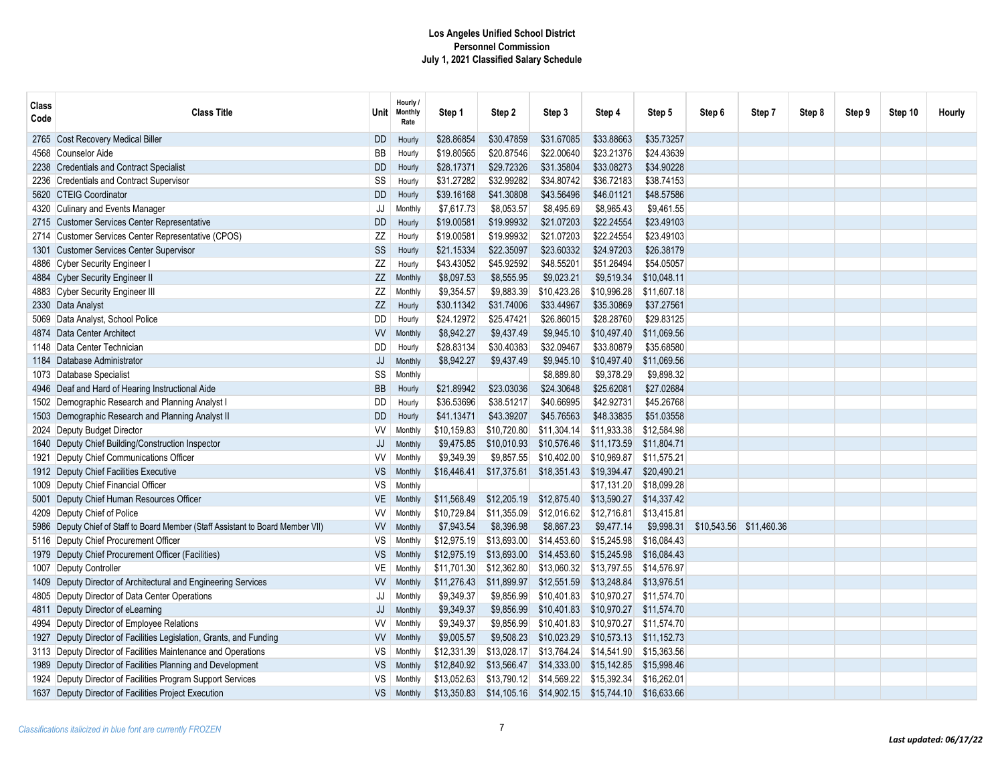| Class<br>Code | <b>Class Title</b>                                                          | Unit      | Hourly /<br><b>Monthly</b><br>Rate | Step 1      | Step 2      | Step 3      | Step 4      | Step 5      | Step 6                  | Step 7 | Step 8 | Step 9 | Step 10 | Hourly |
|---------------|-----------------------------------------------------------------------------|-----------|------------------------------------|-------------|-------------|-------------|-------------|-------------|-------------------------|--------|--------|--------|---------|--------|
| 2765          | <b>Cost Recovery Medical Biller</b>                                         | DD        | Hourly                             | \$28.86854  | \$30.47859  | \$31.67085  | \$33.88663  | \$35.73257  |                         |        |        |        |         |        |
| 4568          | <b>Counselor Aide</b>                                                       | BB        | Hourly                             | \$19.80565  | \$20.87546  | \$22.00640  | \$23.21376  | \$24.43639  |                         |        |        |        |         |        |
| 2238          | <b>Credentials and Contract Specialist</b>                                  | DD        | Hourly                             | \$28.17371  | \$29.72326  | \$31.35804  | \$33.08273  | \$34.90228  |                         |        |        |        |         |        |
| 2236          | <b>Credentials and Contract Supervisor</b>                                  | SS        | Hourly                             | \$31.27282  | \$32.99282  | \$34.80742  | \$36.72183  | \$38.74153  |                         |        |        |        |         |        |
| 5620          | <b>CTEIG Coordinator</b>                                                    | DD        | Hourly                             | \$39.16168  | \$41.30808  | \$43.56496  | \$46.01121  | \$48,57586  |                         |        |        |        |         |        |
| 4320          | Culinary and Events Manager                                                 | JJ        | Monthly                            | \$7,617.73  | \$8,053.57  | \$8,495.69  | \$8,965.43  | \$9,461.55  |                         |        |        |        |         |        |
| 2715          | <b>Customer Services Center Representative</b>                              | DD        | Hourly                             | \$19.00581  | \$19.99932  | \$21.07203  | \$22.24554  | \$23.49103  |                         |        |        |        |         |        |
| 2714          | Customer Services Center Representative (CPOS)                              | ΖZ        | Hourly                             | \$19.00581  | \$19.99932  | \$21.07203  | \$22.24554  | \$23.49103  |                         |        |        |        |         |        |
| 1301          | <b>Customer Services Center Supervisor</b>                                  | SS        | Hourly                             | \$21.15334  | \$22.35097  | \$23.60332  | \$24.97203  | \$26.38179  |                         |        |        |        |         |        |
|               | 4886 Cyber Security Engineer I                                              | ΖZ        | Hourly                             | \$43.43052  | \$45.92592  | \$48.55201  | \$51.26494  | \$54.05057  |                         |        |        |        |         |        |
|               | 4884 Cyber Security Engineer II                                             | ZZ        | Monthly                            | \$8,097.53  | \$8,555.95  | \$9,023.21  | \$9,519.34  | \$10,048.11 |                         |        |        |        |         |        |
|               | 4883 Cyber Security Engineer III                                            | ΖZ        | Monthly                            | \$9,354.57  | \$9,883.39  | \$10,423.26 | \$10,996.28 | \$11,607.18 |                         |        |        |        |         |        |
|               | 2330 Data Analyst                                                           | ΖZ        | Hourly                             | \$30.11342  | \$31.74006  | \$33.44967  | \$35.30869  | \$37.27561  |                         |        |        |        |         |        |
| 5069          | Data Analyst, School Police                                                 | DD        | Hourly                             | \$24.12972  | \$25.47421  | \$26.86015  | \$28.28760  | \$29.83125  |                         |        |        |        |         |        |
| 4874          | Data Center Architect                                                       | W         | Monthly                            | \$8,942.27  | \$9,437.49  | \$9,945.10  | \$10,497.40 | \$11,069.56 |                         |        |        |        |         |        |
| 1148          | Data Center Technician                                                      | DD        | Hourly                             | \$28.83134  | \$30.40383  | \$32.09467  | \$33.80879  | \$35.68580  |                         |        |        |        |         |        |
| 1184          | Database Administrator                                                      | JJ        | Monthly                            | \$8,942.27  | \$9,437.49  | \$9,945.10  | \$10,497.40 | \$11,069.56 |                         |        |        |        |         |        |
| 1073          | Database Specialist                                                         | SS        | Monthly                            |             |             | \$8,889.80  | \$9,378.29  | \$9,898.32  |                         |        |        |        |         |        |
| 4946          | Deaf and Hard of Hearing Instructional Aide                                 | BB        | Hourly                             | \$21.89942  | \$23.03036  | \$24.30648  | \$25.62081  | \$27.02684  |                         |        |        |        |         |        |
| 1502          | Demographic Research and Planning Analyst I                                 | DD        | Hourly                             | \$36.53696  | \$38.51217  | \$40.66995  | \$42.92731  | \$45.26768  |                         |        |        |        |         |        |
| 1503          | Demographic Research and Planning Analyst II                                | DD        | Hourly                             | \$41.13471  | \$43.39207  | \$45.76563  | \$48.33835  | \$51.03558  |                         |        |        |        |         |        |
| 2024          | Deputy Budget Director                                                      | VV        | Monthly                            | \$10,159.83 | \$10,720.80 | \$11,304.14 | \$11,933.38 | \$12,584.98 |                         |        |        |        |         |        |
| 1640          | Deputy Chief Building/Construction Inspector                                | JJ        | Monthly                            | \$9,475.85  | \$10,010.93 | \$10,576.46 | \$11,173.59 | \$11,804.71 |                         |        |        |        |         |        |
| 1921          | Deputy Chief Communications Officer                                         | W         | Monthly                            | \$9,349.39  | \$9,857.55  | \$10,402.00 | \$10,969.87 | \$11.575.21 |                         |        |        |        |         |        |
|               | 1912 Deputy Chief Facilities Executive                                      | <b>VS</b> | Monthly                            | \$16,446.41 | \$17,375.61 | \$18,351.43 | \$19,394.47 | \$20,490.21 |                         |        |        |        |         |        |
| 1009          | Deputy Chief Financial Officer                                              | VS        | Monthly                            |             |             |             | \$17,131.20 | \$18,099.28 |                         |        |        |        |         |        |
| 5001          | Deputy Chief Human Resources Officer                                        | VE        | Monthly                            | \$11,568.49 | \$12,205.19 | \$12,875.40 | \$13,590.27 | \$14,337.42 |                         |        |        |        |         |        |
| 4209          | Deputy Chief of Police                                                      | W         | Monthly                            | \$10,729.84 | \$11,355.09 | \$12,016.62 | \$12,716.81 | \$13,415.81 |                         |        |        |        |         |        |
| 5986          | Deputy Chief of Staff to Board Member (Staff Assistant to Board Member VII) | W         | Monthly                            | \$7,943.54  | \$8,396.98  | \$8,867.23  | \$9,477.14  | \$9,998.31  | \$10,543.56 \$11,460.36 |        |        |        |         |        |
| 5116          | Deputy Chief Procurement Officer                                            | VS        | Monthly                            | \$12,975.19 | \$13,693.00 | \$14,453.60 | \$15,245.98 | \$16,084.43 |                         |        |        |        |         |        |
| 1979          | Deputy Chief Procurement Officer (Facilities)                               | VS.       | Monthly                            | \$12,975.19 | \$13,693.00 | \$14,453.60 | \$15,245.98 | \$16,084.43 |                         |        |        |        |         |        |
| 1007          | <b>Deputy Controller</b>                                                    | VE        | Monthly                            | \$11,701.30 | \$12,362.80 | \$13,060.32 | \$13,797.55 | \$14,576.97 |                         |        |        |        |         |        |
| 1409          | Deputy Director of Architectural and Engineering Services                   | <b>VV</b> | Monthly                            | \$11,276.43 | \$11,899.97 | \$12,551.59 | \$13,248.84 | \$13,976.51 |                         |        |        |        |         |        |
| 4805          | Deputy Director of Data Center Operations                                   | JJ        | Monthly                            | \$9,349.37  | \$9,856.99  | \$10,401.83 | \$10,970.27 | \$11,574.70 |                         |        |        |        |         |        |
| 4811          | Deputy Director of eLearning                                                | JJ        | Monthly                            | \$9,349.37  | \$9,856.99  | \$10,401.83 | \$10,970.27 | \$11,574.70 |                         |        |        |        |         |        |
| 4994          | Deputy Director of Employee Relations                                       | W         | Monthly                            | \$9,349.37  | \$9,856.99  | \$10,401.83 | \$10,970.27 | \$11,574.70 |                         |        |        |        |         |        |
| 1927          | Deputy Director of Facilities Legislation, Grants, and Funding              | <b>VV</b> | Monthly                            | \$9,005.57  | \$9,508.23  | \$10,023.29 | \$10,573.13 | \$11,152.73 |                         |        |        |        |         |        |
|               | 3113 Deputy Director of Facilities Maintenance and Operations               | VS        | Monthly                            | \$12,331.39 | \$13,028.17 | \$13,764.24 | \$14,541.90 | \$15,363.56 |                         |        |        |        |         |        |
| 1989          | Deputy Director of Facilities Planning and Development                      | <b>VS</b> | Monthly                            | \$12,840.92 | \$13,566.47 | \$14,333.00 | \$15,142.85 | \$15,998.46 |                         |        |        |        |         |        |
|               | 1924 Deputy Director of Facilities Program Support Services                 | VS        | Monthly                            | \$13,052.63 | \$13,790.12 | \$14,569.22 | \$15,392.34 | \$16,262.01 |                         |        |        |        |         |        |
|               | 1637 Deputy Director of Facilities Project Execution                        | <b>VS</b> | Monthly                            | \$13,350.83 | \$14,105.16 | \$14,902.15 | \$15,744.10 | \$16,633.66 |                         |        |        |        |         |        |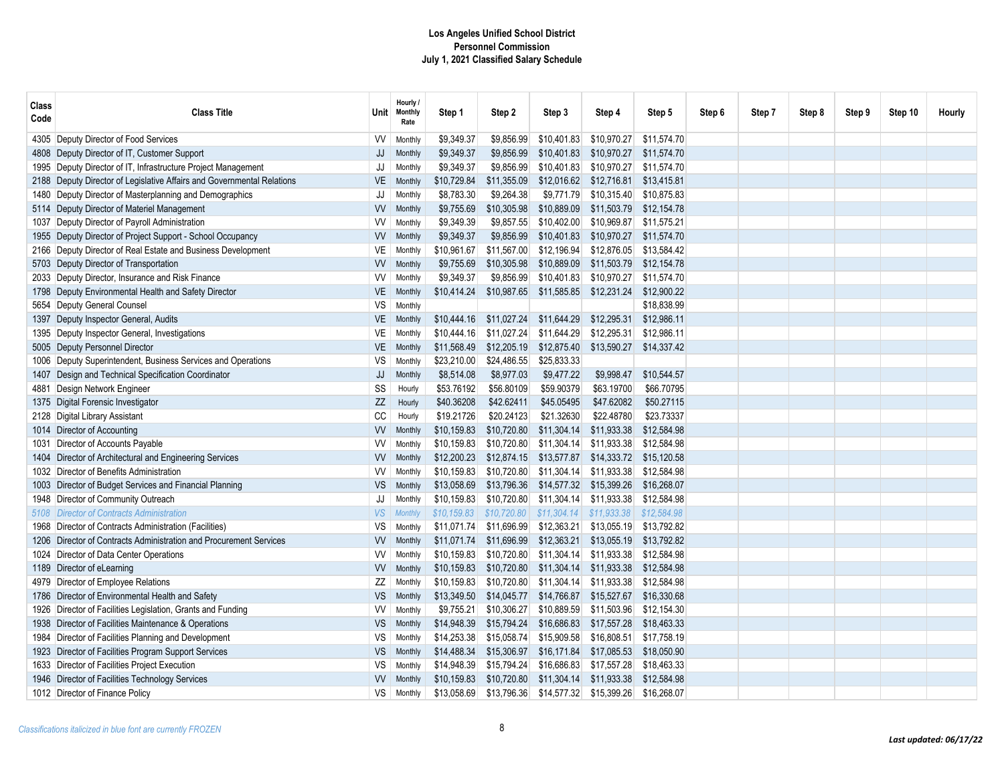| Class<br>Code | <b>Class Title</b>                                                     | Unit      | Hourly /<br><b>Monthly</b><br>Rate | Step 1      | Step 2      | Step 3      | Step 4      | Step 5      | Step 6 | Step 7 | Step 8 | Step 9 | Step 10 | Hourly |
|---------------|------------------------------------------------------------------------|-----------|------------------------------------|-------------|-------------|-------------|-------------|-------------|--------|--------|--------|--------|---------|--------|
|               | 4305 Deputy Director of Food Services                                  | W         | Monthly                            | \$9,349.37  | \$9,856.99  | \$10,401.83 | \$10,970.27 | \$11,574.70 |        |        |        |        |         |        |
|               | 4808 Deputy Director of IT, Customer Support                           | JJ        | Monthly                            | \$9,349.37  | \$9,856.99  | \$10,401.83 | \$10,970.27 | \$11,574.70 |        |        |        |        |         |        |
|               | 1995 Deputy Director of IT, Infrastructure Project Management          | JJ        | Monthly                            | \$9,349.37  | \$9,856.99  | \$10,401.83 | \$10,970.27 | \$11,574.70 |        |        |        |        |         |        |
|               | 2188 Deputy Director of Legislative Affairs and Governmental Relations | <b>VE</b> | Monthly                            | \$10,729.84 | \$11,355.09 | \$12,016.62 | \$12,716.81 | \$13,415.81 |        |        |        |        |         |        |
|               | 1480 Deputy Director of Masterplanning and Demographics                | JJ        | Monthly                            | \$8,783.30  | \$9,264.38  | \$9,771.79  | \$10,315.40 | \$10,875.83 |        |        |        |        |         |        |
|               | 5114 Deputy Director of Materiel Management                            | <b>VV</b> | Monthly                            | \$9,755.69  | \$10,305.98 | \$10,889.09 | \$11,503.79 | \$12,154.78 |        |        |        |        |         |        |
|               | 1037 Deputy Director of Payroll Administration                         | W         | Monthly                            | \$9,349.39  | \$9,857.55  | \$10,402.00 | \$10,969.87 | \$11.575.21 |        |        |        |        |         |        |
|               | 1955 Deputy Director of Project Support - School Occupancy             | W         | Monthly                            | \$9,349.37  | \$9,856.99  | \$10,401.83 | \$10,970.27 | \$11,574.70 |        |        |        |        |         |        |
|               | 2166 Deputy Director of Real Estate and Business Development           | VE        | <b>Monthly</b>                     | \$10,961.67 | \$11,567.00 | \$12,196.94 | \$12,876.05 | \$13.584.42 |        |        |        |        |         |        |
|               | 5703 Deputy Director of Transportation                                 | <b>VV</b> | Monthly                            | \$9,755.69  | \$10,305.98 | \$10,889.09 | \$11,503.79 | \$12,154.78 |        |        |        |        |         |        |
|               | 2033 Deputy Director, Insurance and Risk Finance                       | VV        | Monthly                            | \$9,349.37  | \$9,856.99  | \$10,401.83 | \$10,970.27 | \$11,574.70 |        |        |        |        |         |        |
|               | 1798 Deputy Environmental Health and Safety Director                   | VE        | Monthly                            | \$10,414.24 | \$10,987.65 | \$11,585.85 | \$12,231.24 | \$12,900.22 |        |        |        |        |         |        |
|               | 5654 Deputy General Counsel                                            | VS        | Monthly                            |             |             |             |             | \$18,838.99 |        |        |        |        |         |        |
|               | 1397 Deputy Inspector General, Audits                                  | VE        | Monthly                            | \$10,444.16 | \$11,027.24 | \$11,644.29 | \$12,295.31 | \$12,986.11 |        |        |        |        |         |        |
|               | 1395 Deputy Inspector General, Investigations                          | VE        | Monthly                            | \$10,444.16 | \$11,027.24 | \$11,644.29 | \$12,295.31 | \$12,986.11 |        |        |        |        |         |        |
|               | 5005 Deputy Personnel Director                                         | VE        | Monthly                            | \$11,568.49 | \$12,205.19 | \$12,875.40 | \$13,590.27 | \$14,337.42 |        |        |        |        |         |        |
|               | 1006 Deputy Superintendent, Business Services and Operations           | <b>VS</b> | Monthly                            | \$23,210.00 | \$24,486.55 | \$25,833.33 |             |             |        |        |        |        |         |        |
|               | 1407 Design and Technical Specification Coordinator                    | JJ        | Monthly                            | \$8,514.08  | \$8,977.03  | \$9,477.22  | \$9.998.47  | \$10,544.57 |        |        |        |        |         |        |
|               | 4881 Design Network Engineer                                           | SS        | Hourly                             | \$53.76192  | \$56.80109  | \$59.90379  | \$63.19700  | \$66.70795  |        |        |        |        |         |        |
|               | 1375 Digital Forensic Investigator                                     | <b>ZZ</b> | Hourly                             | \$40.36208  | \$42.62411  | \$45.05495  | \$47.62082  | \$50,27115  |        |        |        |        |         |        |
|               | 2128 Digital Library Assistant                                         | CC        | Hourly                             | \$19.21726  | \$20.24123  | \$21.32630  | \$22.48780  | \$23.73337  |        |        |        |        |         |        |
|               | 1014 Director of Accounting                                            | W         | Monthly                            | \$10,159.83 | \$10,720.80 | \$11,304.14 | \$11,933.38 | \$12.584.98 |        |        |        |        |         |        |
|               | 1031 Director of Accounts Payable                                      | W         | Monthly                            | \$10,159.83 | \$10,720.80 | \$11,304.14 | \$11,933.38 | \$12.584.98 |        |        |        |        |         |        |
|               | 1404 Director of Architectural and Engineering Services                | <b>VV</b> | Monthly                            | \$12,200.23 | \$12,874.15 | \$13,577.87 | \$14,333.72 | \$15,120.58 |        |        |        |        |         |        |
|               | 1032 Director of Benefits Administration                               | VV        | Monthly                            | \$10,159.83 | \$10,720.80 | \$11,304.14 | \$11,933.38 | \$12,584.98 |        |        |        |        |         |        |
|               | 1003 Director of Budget Services and Financial Planning                | VS        | Monthly                            | \$13,058.69 | \$13,796.36 | \$14,577.32 | \$15,399.26 | \$16,268.07 |        |        |        |        |         |        |
|               | 1948   Director of Community Outreach                                  | JJ        | Monthly                            | \$10,159.83 | \$10,720.80 | \$11,304.14 | \$11,933.38 | \$12,584.98 |        |        |        |        |         |        |
|               | 5108 Director of Contracts Administration                              | <b>VS</b> | <b>Monthly</b>                     | \$10,159.83 | \$10,720.80 | \$11,304.14 | \$11,933.38 | \$12,584.98 |        |        |        |        |         |        |
|               | 1968 Director of Contracts Administration (Facilities)                 | <b>VS</b> | Monthly                            | \$11,071.74 | \$11,696.99 | \$12,363.21 | \$13,055.19 | \$13,792.82 |        |        |        |        |         |        |
|               | 1206 Director of Contracts Administration and Procurement Services     | W         | Monthly                            | \$11,071.74 | \$11,696.99 | \$12,363.21 | \$13,055.19 | \$13,792.82 |        |        |        |        |         |        |
|               | 1024 Director of Data Center Operations                                | VV        | Monthly                            | \$10.159.83 | \$10.720.80 | \$11.304.14 | \$11.933.38 | \$12.584.98 |        |        |        |        |         |        |
|               | 1189 Director of eLearning                                             | <b>VV</b> | Monthly                            | \$10,159.83 | \$10,720.80 | \$11,304.14 | \$11,933.38 | \$12,584.98 |        |        |        |        |         |        |
|               | 4979 Director of Employee Relations                                    | ΖZ        | Monthly                            | \$10,159.83 | \$10,720.80 | \$11,304.14 | \$11,933.38 | \$12,584.98 |        |        |        |        |         |        |
|               | 1786 Director of Environmental Health and Safety                       | <b>VS</b> | Monthly                            | \$13,349.50 | \$14,045.77 | \$14,766.87 | \$15,527.67 | \$16,330.68 |        |        |        |        |         |        |
|               | 1926 Director of Facilities Legislation, Grants and Funding            | W         | Monthly                            | \$9,755.21  | \$10,306.27 | \$10,889.59 | \$11,503.96 | \$12,154.30 |        |        |        |        |         |        |
|               | 1938 Director of Facilities Maintenance & Operations                   | VS        | Monthly                            | \$14,948.39 | \$15,794.24 | \$16,686.83 | \$17,557.28 | \$18,463.33 |        |        |        |        |         |        |
|               | 1984 Director of Facilities Planning and Development                   | VS        | Monthly                            | \$14,253.38 | \$15,058.74 | \$15,909.58 | \$16,808.51 | \$17,758.19 |        |        |        |        |         |        |
|               | 1923 Director of Facilities Program Support Services                   | <b>VS</b> | Monthly                            | \$14,488.34 | \$15,306.97 | \$16,171.84 | \$17,085.53 | \$18,050.90 |        |        |        |        |         |        |
|               | 1633 Director of Facilities Project Execution                          | VS        | <b>Monthly</b>                     | \$14,948.39 | \$15,794.24 | \$16,686.83 | \$17,557.28 | \$18,463.33 |        |        |        |        |         |        |
|               | 1946 Director of Facilities Technology Services                        | <b>VV</b> | Monthly                            | \$10,159.83 | \$10,720.80 | \$11,304.14 | \$11,933.38 | \$12,584.98 |        |        |        |        |         |        |
|               | 1012 Director of Finance Policy                                        | VS        | Monthly                            | \$13,058.69 | \$13,796.36 | \$14,577.32 | \$15,399.26 | \$16,268.07 |        |        |        |        |         |        |
|               |                                                                        |           |                                    |             |             |             |             |             |        |        |        |        |         |        |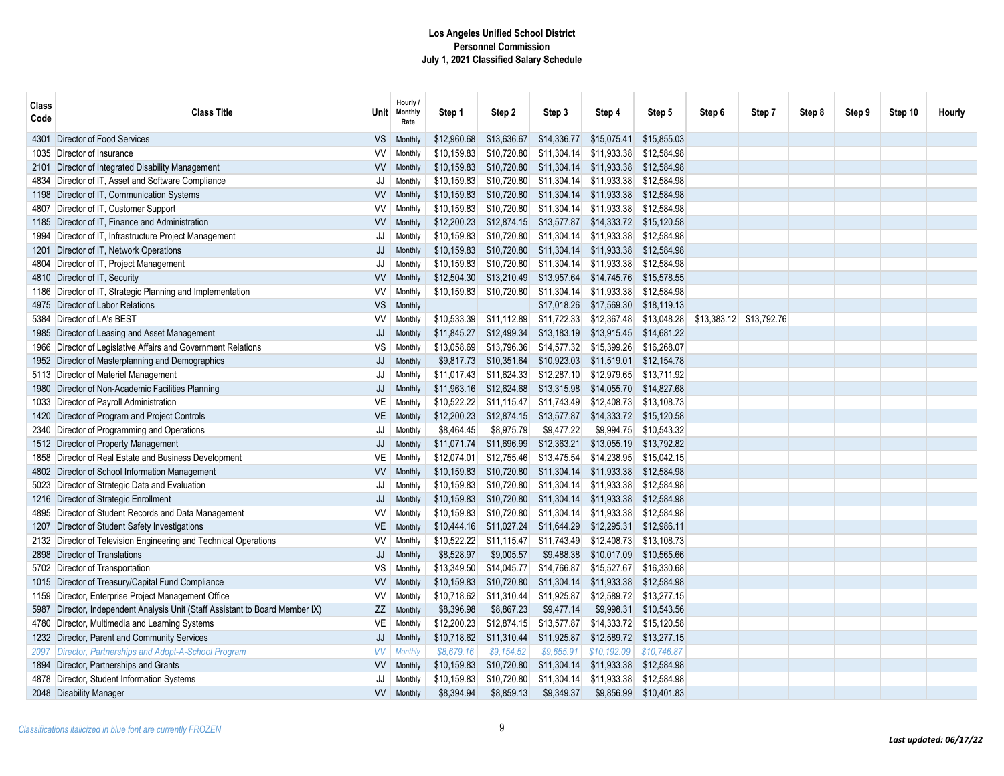| Class<br>Code | <b>Class Title</b>                                                            |           | Hourly /<br>Unit Monthly<br>Rate | Step 1      | Step 2                    | Step 3      | Step 4      | Step 5                  | Step 6 | Step 7                  | Step 8 | Step 9 | Step 10 | Hourly |
|---------------|-------------------------------------------------------------------------------|-----------|----------------------------------|-------------|---------------------------|-------------|-------------|-------------------------|--------|-------------------------|--------|--------|---------|--------|
|               | 4301 Director of Food Services                                                | VS.       | Monthly                          | \$12,960.68 | \$13,636.67               | \$14,336.77 | \$15,075.41 | \$15,855.03             |        |                         |        |        |         |        |
|               | 1035 Director of Insurance                                                    | W         | Monthly                          | \$10,159.83 | \$10,720.80               | \$11,304.14 | \$11,933.38 | \$12,584.98             |        |                         |        |        |         |        |
|               | 2101 Director of Integrated Disability Management                             | VV        | Monthly                          | \$10,159.83 | \$10,720.80               | \$11,304.14 | \$11,933.38 | \$12,584.98             |        |                         |        |        |         |        |
|               | 4834 Director of IT, Asset and Software Compliance                            | JJ        | Monthly                          | \$10,159.83 | \$10,720.80               | \$11,304.14 | \$11,933.38 | \$12,584.98             |        |                         |        |        |         |        |
|               | 1198 Director of IT, Communication Systems                                    | W         | Monthly                          | \$10.159.83 | \$10,720.80               | \$11,304.14 | \$11,933.38 | \$12,584.98             |        |                         |        |        |         |        |
|               | 4807 Director of IT, Customer Support                                         | W         | Monthly                          | \$10.159.83 | \$10.720.80               | \$11,304.14 | \$11,933.38 | \$12,584.98             |        |                         |        |        |         |        |
|               | 1185 Director of IT. Finance and Administration                               | <b>VV</b> | Monthly                          | \$12,200.23 | \$12,874.15               | \$13,577.87 |             | \$14,333.72 \$15,120.58 |        |                         |        |        |         |        |
|               | 1994 Director of IT, Infrastructure Project Management                        | JJ        | Monthly                          | \$10,159.83 | \$10,720.80               | \$11.304.14 | \$11,933.38 | \$12,584.98             |        |                         |        |        |         |        |
|               | 1201 Director of IT, Network Operations                                       | JJ        | Monthly                          | \$10,159.83 | \$10,720.80               | \$11,304.14 | \$11,933.38 | \$12,584.98             |        |                         |        |        |         |        |
|               | 4804 Director of IT, Project Management                                       | JJ        | Monthly                          | \$10,159.83 | \$10,720.80               | \$11,304.14 | \$11,933.38 | \$12,584.98             |        |                         |        |        |         |        |
|               | 4810 Director of IT, Security                                                 | VV        | Monthly                          | \$12,504.30 | \$13,210.49               | \$13,957.64 | \$14,745.76 | \$15,578.55             |        |                         |        |        |         |        |
|               | 1186 Director of IT, Strategic Planning and Implementation                    | VV        | Monthly                          | \$10,159.83 | \$10,720.80               | \$11,304.14 | \$11,933.38 | \$12,584.98             |        |                         |        |        |         |        |
|               | 4975 Director of Labor Relations                                              | VS        | Monthly                          |             |                           | \$17,018.26 | \$17,569.30 | \$18,119.13             |        |                         |        |        |         |        |
|               | 5384 Director of LA's BEST                                                    | W         | Monthly                          | \$10,533.39 | \$11,112.89               | \$11,722.33 | \$12,367.48 | \$13,048.28             |        | \$13,383.12 \$13,792.76 |        |        |         |        |
|               | 1985 Director of Leasing and Asset Management                                 | JJ        | Monthly                          | \$11,845.27 | \$12,499.34               | \$13,183.19 | \$13,915.45 | \$14,681.22             |        |                         |        |        |         |        |
|               | 1966 Director of Legislative Affairs and Government Relations                 | VS        | Monthly                          | \$13,058.69 | \$13,796.36               | \$14,577.32 | \$15,399.26 | \$16,268.07             |        |                         |        |        |         |        |
|               | 1952 Director of Masterplanning and Demographics                              | JJ        | Monthly                          | \$9,817.73  | \$10,351.64               | \$10,923.03 | \$11,519.01 | \$12,154.78             |        |                         |        |        |         |        |
|               | 5113 Director of Materiel Management                                          | JJ        | Monthly                          | \$11,017.43 | \$11,624.33               | \$12,287.10 | \$12,979.65 | \$13,711.92             |        |                         |        |        |         |        |
|               | 1980 Director of Non-Academic Facilities Planning                             | JJ        | Monthly                          |             | $$11,963.16$ $$12,624.68$ | \$13,315.98 | \$14,055.70 | \$14,827.68             |        |                         |        |        |         |        |
|               | 1033 Director of Payroll Administration                                       | VE        | Monthly                          | \$10,522.22 | \$11,115.47               | \$11,743.49 | \$12,408.73 | \$13,108.73             |        |                         |        |        |         |        |
|               | 1420 Director of Program and Project Controls                                 | <b>VE</b> | Monthly                          | \$12,200.23 | \$12,874.15               | \$13,577.87 | \$14,333.72 | \$15,120.58             |        |                         |        |        |         |        |
|               | 2340 Director of Programming and Operations                                   | JJ        | Monthly                          | \$8.464.45  | \$8.975.79                | \$9.477.22  | \$9.994.75  | \$10.543.32             |        |                         |        |        |         |        |
|               | 1512 Director of Property Management                                          | JJ        | Monthly                          | \$11,071.74 | \$11,696.99               | \$12,363.21 | \$13,055.19 | \$13.792.82             |        |                         |        |        |         |        |
|               | 1858 Director of Real Estate and Business Development                         | VE        | Monthly                          | \$12,074.01 | \$12,755.46               | \$13,475.54 | \$14,238.95 | \$15,042.15             |        |                         |        |        |         |        |
|               | 4802 Director of School Information Management                                | W         | Monthly                          | \$10,159.83 | \$10,720.80               | \$11,304.14 | \$11,933.38 | \$12,584.98             |        |                         |        |        |         |        |
|               | 5023 Director of Strategic Data and Evaluation                                | JJ        | Monthly                          | \$10,159.83 | \$10,720.80               | \$11,304.14 | \$11,933.38 | \$12,584.98             |        |                         |        |        |         |        |
|               | 1216 Director of Strategic Enrollment                                         | JJ        | Monthly                          | \$10,159.83 | \$10,720.80               | \$11,304.14 | \$11,933.38 | \$12,584.98             |        |                         |        |        |         |        |
|               | 4895 Director of Student Records and Data Management                          | W         | Monthly                          | \$10,159.83 | \$10,720.80               | \$11,304.14 | \$11,933.38 | \$12,584.98             |        |                         |        |        |         |        |
|               | 1207 Director of Student Safety Investigations                                | VE        | Monthly                          |             | \$10,444.16 \$11,027.24   | \$11,644.29 | \$12,295.31 | \$12,986.11             |        |                         |        |        |         |        |
|               | 2132 Director of Television Engineering and Technical Operations              | VV        | Monthly                          | \$10,522.22 | \$11,115.47               | \$11,743.49 | \$12,408.73 | \$13,108.73             |        |                         |        |        |         |        |
|               | 2898 Director of Translations                                                 | JJ        | Monthly                          | \$8,528.97  | \$9,005.57                | \$9,488.38  | \$10,017.09 | \$10,565.66             |        |                         |        |        |         |        |
|               | 5702 Director of Transportation                                               | VS        | Monthly                          | \$13,349.50 | \$14,045.77               | \$14,766.87 | \$15,527.67 | \$16,330.68             |        |                         |        |        |         |        |
|               | 1015 Director of Treasury/Capital Fund Compliance                             | <b>VV</b> | <b>Monthly</b>                   | \$10,159.83 | \$10,720.80               | \$11,304.14 | \$11,933.38 | \$12,584.98             |        |                         |        |        |         |        |
|               | 1159 Director, Enterprise Project Management Office                           | W         | Monthly                          | \$10,718.62 | \$11,310.44               | \$11,925.87 | \$12,589.72 | \$13.277.15             |        |                         |        |        |         |        |
|               | 5987 Director, Independent Analysis Unit (Staff Assistant to Board Member IX) | ZZ        | Monthly                          | \$8,396.98  | \$8,867.23                | \$9,477.14  | \$9,998.31  | \$10.543.56             |        |                         |        |        |         |        |
|               | 4780 Director, Multimedia and Learning Systems                                | VE        | <b>Monthly</b>                   | \$12,200.23 | \$12,874.15               | \$13,577.87 |             | \$14,333.72 \$15,120.58 |        |                         |        |        |         |        |
|               | 1232 Director, Parent and Community Services                                  | JJ        | Monthly                          | \$10,718.62 | \$11,310.44               | \$11,925.87 |             | \$12,589.72 \$13,277.15 |        |                         |        |        |         |        |
|               | 2097 Director, Partnerships and Adopt-A-School Program                        | <b>VV</b> | <b>Monthly</b>                   | \$8,679.16  | \$9,154.52                | \$9,655.91  | \$10,192.09 | \$10,746.87             |        |                         |        |        |         |        |
|               | 1894 Director, Partnerships and Grants                                        | <b>VV</b> | Monthly                          | \$10,159.83 | \$10,720.80               | \$11,304.14 | \$11,933.38 | \$12,584.98             |        |                         |        |        |         |        |
|               | 4878   Director, Student Information Systems                                  | JJ        | Monthly                          | \$10,159.83 | \$10,720.80               | \$11,304.14 | \$11,933.38 | \$12,584.98             |        |                         |        |        |         |        |
|               | 2048 Disability Manager                                                       | <b>VV</b> | Monthly                          | \$8.394.94  | \$8,859.13                | \$9,349.37  | \$9,856.99  | \$10,401.83             |        |                         |        |        |         |        |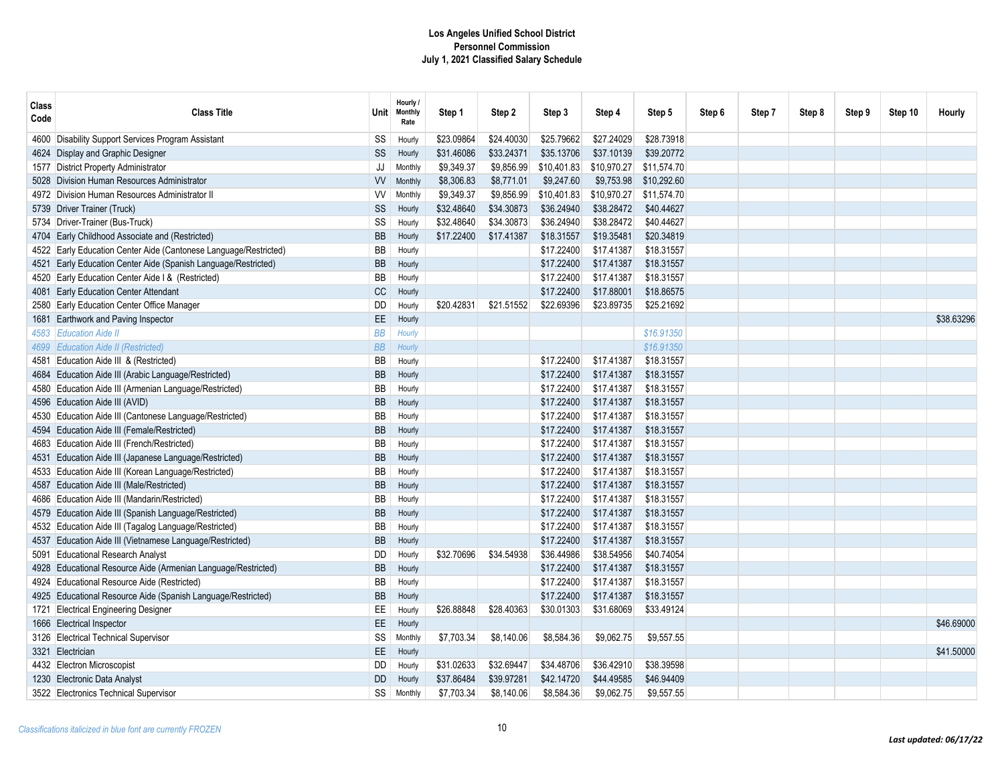| Class<br>Code | <b>Class Title</b>                                               | Unit      | Hourly /<br>Monthly<br>Rate | Step 1     | Step 2     | Step 3      | Step 4      | Step 5      | Step 6 | Step 7 | Step 8 | Step 9 | Step 10 | Hourly     |
|---------------|------------------------------------------------------------------|-----------|-----------------------------|------------|------------|-------------|-------------|-------------|--------|--------|--------|--------|---------|------------|
| 4600          | Disability Support Services Program Assistant                    | SS        | Hourly                      | \$23.09864 | \$24.40030 | \$25.79662  | \$27.24029  | \$28.73918  |        |        |        |        |         |            |
|               | 4624 Display and Graphic Designer                                | SS        | Hourly                      | \$31.46086 | \$33.24371 | \$35.13706  | \$37.10139  | \$39.20772  |        |        |        |        |         |            |
|               | 1577 District Property Administrator                             | JJ        | Monthly                     | \$9,349.37 | \$9,856.99 | \$10,401.83 | \$10,970.27 | \$11,574.70 |        |        |        |        |         |            |
|               | 5028 Division Human Resources Administrator                      | W         | Monthly                     | \$8,306.83 | \$8,771.01 | \$9,247.60  | \$9,753.98  | \$10,292.60 |        |        |        |        |         |            |
|               | 4972 Division Human Resources Administrator II                   | W         | Monthly                     | \$9,349.37 | \$9,856.99 | \$10,401.83 | \$10,970.27 | \$11,574.70 |        |        |        |        |         |            |
|               | 5739 Driver Trainer (Truck)                                      | SS        | Hourly                      | \$32.48640 | \$34.30873 | \$36.24940  | \$38.28472  | \$40.44627  |        |        |        |        |         |            |
|               | 5734 Driver-Trainer (Bus-Truck)                                  | SS        | Hourly                      | \$32.48640 | \$34.30873 | \$36.24940  | \$38.28472  | \$40.44627  |        |        |        |        |         |            |
|               | 4704 Early Childhood Associate and (Restricted)                  | <b>BB</b> | Hourly                      | \$17.22400 | \$17.41387 | \$18.31557  | \$19.35481  | \$20.34819  |        |        |        |        |         |            |
|               | 4522 Early Education Center Aide (Cantonese Language/Restricted) | <b>BB</b> | Hourly                      |            |            | \$17.22400  | \$17.41387  | \$18.31557  |        |        |        |        |         |            |
|               | 4521 Early Education Center Aide (Spanish Language/Restricted)   | <b>BB</b> | Hourly                      |            |            | \$17.22400  | \$17.41387  | \$18.31557  |        |        |        |        |         |            |
|               | 4520 Early Education Center Aide I & (Restricted)                | <b>BB</b> | Hourly                      |            |            | \$17.22400  | \$17.41387  | \$18.31557  |        |        |        |        |         |            |
|               | 4081 Early Education Center Attendant                            | CC        | Hourly                      |            |            | \$17.22400  | \$17.88001  | \$18.86575  |        |        |        |        |         |            |
|               | 2580 Early Education Center Office Manager                       | DD        | Hourly                      | \$20.42831 | \$21.51552 | \$22.69396  | \$23.89735  | \$25.21692  |        |        |        |        |         |            |
|               | 1681 Earthwork and Paving Inspector                              | EE        | Hourly                      |            |            |             |             |             |        |        |        |        |         | \$38,63296 |
|               | 4583 Education Aide II                                           | <b>BB</b> | Hourly                      |            |            |             |             | \$16.91350  |        |        |        |        |         |            |
|               | 4699 Education Aide II (Restricted)                              | <b>BB</b> | Hourly                      |            |            |             |             | \$16.91350  |        |        |        |        |         |            |
|               | 4581 Education Aide III & (Restricted)                           | <b>BB</b> | Hourly                      |            |            | \$17.22400  | \$17.41387  | \$18.31557  |        |        |        |        |         |            |
|               | 4684 Education Aide III (Arabic Language/Restricted)             | <b>BB</b> | Hourly                      |            |            | \$17.22400  | \$17.41387  | \$18.31557  |        |        |        |        |         |            |
|               | 4580 Education Aide III (Armenian Language/Restricted)           | <b>BB</b> | Hourly                      |            |            | \$17.22400  | \$17.41387  | \$18.31557  |        |        |        |        |         |            |
|               | 4596 Education Aide III (AVID)                                   | <b>BB</b> | Hourly                      |            |            | \$17.22400  | \$17.41387  | \$18.31557  |        |        |        |        |         |            |
|               | 4530 Education Aide III (Cantonese Language/Restricted)          | <b>BB</b> | Hourly                      |            |            | \$17.22400  | \$17.41387  | \$18.31557  |        |        |        |        |         |            |
|               | 4594 Education Aide III (Female/Restricted)                      | <b>BB</b> | Hourly                      |            |            | \$17.22400  | \$17.41387  | \$18.31557  |        |        |        |        |         |            |
|               | 4683 Education Aide III (French/Restricted)                      | BB        | Hourly                      |            |            | \$17.22400  | \$17.41387  | \$18.31557  |        |        |        |        |         |            |
|               | 4531 Education Aide III (Japanese Language/Restricted)           | <b>BB</b> | Hourly                      |            |            | \$17.22400  | \$17.41387  | \$18.31557  |        |        |        |        |         |            |
|               | 4533 Education Aide III (Korean Language/Restricted)             | BB        | Hourly                      |            |            | \$17.22400  | \$17.41387  | \$18.31557  |        |        |        |        |         |            |
|               | 4587 Education Aide III (Male/Restricted)                        | <b>BB</b> | Hourly                      |            |            | \$17.22400  | \$17.41387  | \$18.31557  |        |        |        |        |         |            |
|               | 4686 Education Aide III (Mandarin/Restricted)                    | <b>BB</b> | Hourly                      |            |            | \$17.22400  | \$17.41387  | \$18.31557  |        |        |        |        |         |            |
|               | 4579 Education Aide III (Spanish Language/Restricted)            | <b>BB</b> | Hourly                      |            |            | \$17.22400  | \$17.41387  | \$18.31557  |        |        |        |        |         |            |
|               | 4532 Education Aide III (Tagalog Language/Restricted)            | BB        | Hourly                      |            |            | \$17.22400  | \$17.41387  | \$18.31557  |        |        |        |        |         |            |
|               | 4537 Education Aide III (Vietnamese Language/Restricted)         | <b>BB</b> | Hourly                      |            |            | \$17.22400  | \$17.41387  | \$18.31557  |        |        |        |        |         |            |
|               | 5091 Educational Research Analyst                                | <b>DD</b> | Hourly                      | \$32.70696 | \$34.54938 | \$36.44986  | \$38,54956  | \$40.74054  |        |        |        |        |         |            |
|               | 4928 Educational Resource Aide (Armenian Language/Restricted)    | <b>BB</b> | Hourly                      |            |            | \$17.22400  | \$17.41387  | \$18.31557  |        |        |        |        |         |            |
|               | 4924 Educational Resource Aide (Restricted)                      | BB        | Hourly                      |            |            | \$17.22400  | \$17.41387  | \$18.31557  |        |        |        |        |         |            |
|               | 4925 Educational Resource Aide (Spanish Language/Restricted)     | <b>BB</b> | Hourly                      |            |            | \$17.22400  | \$17.41387  | \$18.31557  |        |        |        |        |         |            |
|               | 1721 Electrical Engineering Designer                             | EE        | Hourly                      | \$26.88848 | \$28.40363 | \$30.01303  | \$31.68069  | \$33.49124  |        |        |        |        |         |            |
|               | 1666 Electrical Inspector                                        | EE        | Hourly                      |            |            |             |             |             |        |        |        |        |         | \$46.69000 |
|               | 3126 Electrical Technical Supervisor                             | SS        | Monthly                     | \$7,703.34 | \$8,140.06 | \$8,584.36  | \$9,062.75  | \$9,557.55  |        |        |        |        |         |            |
|               | 3321 Electrician                                                 | EE        | Hourly                      |            |            |             |             |             |        |        |        |        |         | \$41.50000 |
|               | 4432 Electron Microscopist                                       | DD        | Hourly                      | \$31.02633 | \$32.69447 | \$34.48706  | \$36.42910  | \$38.39598  |        |        |        |        |         |            |
|               | 1230 Electronic Data Analyst                                     | <b>DD</b> | Hourly                      | \$37.86484 | \$39.97281 | \$42.14720  | \$44.49585  | \$46.94409  |        |        |        |        |         |            |
|               | 3522 Electronics Technical Supervisor                            | SS        | Monthly                     | \$7,703.34 | \$8,140.06 | \$8,584.36  | \$9,062.75  | \$9,557.55  |        |        |        |        |         |            |
|               |                                                                  |           |                             |            |            |             |             |             |        |        |        |        |         |            |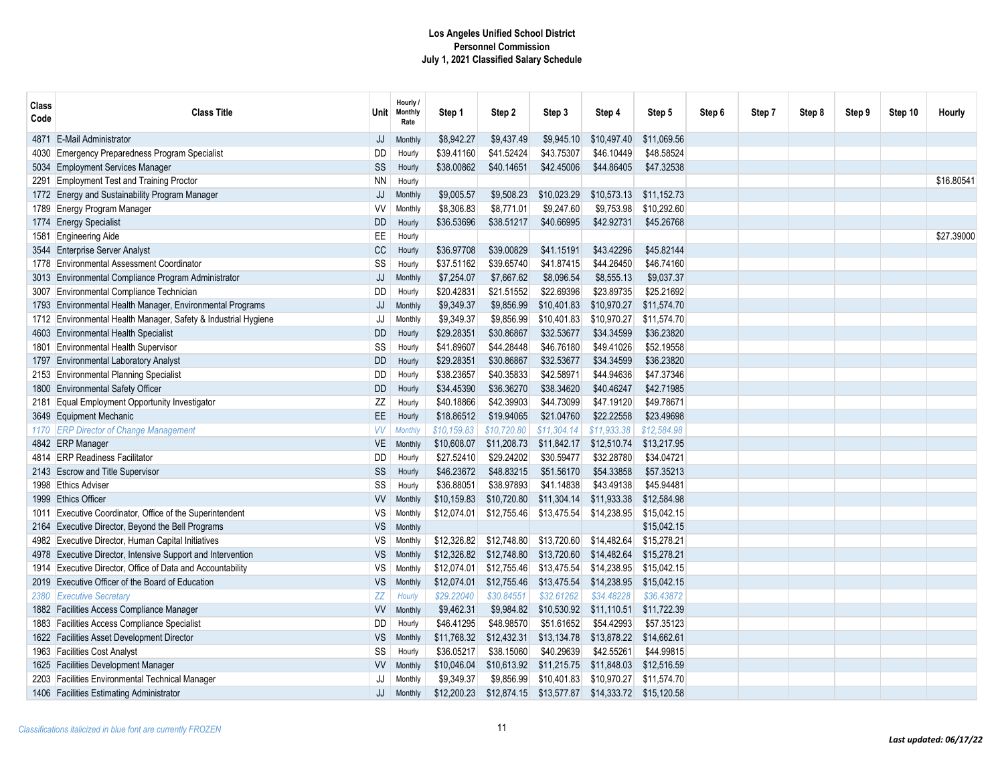| Class<br>Code | <b>Class Title</b>                                             | Unit⊹     | Hourly /<br><b>Monthly</b><br>Rate | Step 1      | Step 2      | Step 3      | Step 4      | Step 5      | Step 6 | Step 7 | Step 8 | Step 9 | Step 10 | Hourly     |
|---------------|----------------------------------------------------------------|-----------|------------------------------------|-------------|-------------|-------------|-------------|-------------|--------|--------|--------|--------|---------|------------|
| 4871.         | <b>E-Mail Administrator</b>                                    | JJ        | Monthly                            | \$8.942.27  | \$9,437.49  | \$9,945.10  | \$10,497.40 | \$11.069.56 |        |        |        |        |         |            |
| 4030          | Emergency Preparedness Program Specialist                      | <b>DD</b> | Hourly                             | \$39.41160  | \$41.52424  | \$43.75307  | \$46,10449  | \$48.58524  |        |        |        |        |         |            |
|               | 5034 Employment Services Manager                               | SS        | Hourly                             | \$38.00862  | \$40.14651  | \$42.45006  | \$44.86405  | \$47.32538  |        |        |        |        |         |            |
|               | 2291 Employment Test and Training Proctor                      | <b>NN</b> | Hourly                             |             |             |             |             |             |        |        |        |        |         | \$16,8054  |
|               | 1772 Energy and Sustainability Program Manager                 | JJ        | Monthly                            | \$9,005.57  | \$9,508.23  | \$10,023.29 | \$10,573.13 | \$11,152.73 |        |        |        |        |         |            |
|               | 1789 Energy Program Manager                                    | W         | Monthly                            | \$8,306.83  | \$8,771.01  | \$9,247.60  | \$9,753.98  | \$10,292.60 |        |        |        |        |         |            |
|               | 1774 Energy Specialist                                         | <b>DD</b> | Hourly                             | \$36.53696  | \$38.51217  | \$40.66995  | \$42.92731  | \$45.26768  |        |        |        |        |         |            |
|               | 1581 Engineering Aide                                          | EE        | Hourly                             |             |             |             |             |             |        |        |        |        |         | \$27,39000 |
|               | 3544 Enterprise Server Analyst                                 | cc        | Hourly                             | \$36.97708  | \$39.00829  | \$41.15191  | \$43.42296  | \$45.82144  |        |        |        |        |         |            |
|               | 1778 Environmental Assessment Coordinator                      | SS        | Hourly                             | \$37.51162  | \$39.65740  | \$41.87415  | \$44,26450  | \$46.74160  |        |        |        |        |         |            |
|               | 3013 Environmental Compliance Program Administrator            | JJ        | Monthly                            | \$7,254.07  | \$7,667.62  | \$8,096.54  | \$8,555.13  | \$9,037.37  |        |        |        |        |         |            |
|               | 3007 Environmental Compliance Technician                       | DD        | Hourly                             | \$20.42831  | \$21.51552  | \$22.69396  | \$23.89735  | \$25.21692  |        |        |        |        |         |            |
|               | 1793 Environmental Health Manager, Environmental Programs      | JJ        | Monthly                            | \$9,349.37  | \$9,856.99  | \$10,401.83 | \$10,970.27 | \$11,574.70 |        |        |        |        |         |            |
|               | 1712 Environmental Health Manager, Safety & Industrial Hygiene | JJ        | Monthly                            | \$9,349.37  | \$9,856.99  | \$10,401.83 | \$10,970.27 | \$11,574.70 |        |        |        |        |         |            |
|               | 4603 Environmental Health Specialist                           | <b>DD</b> | Hourly                             | \$29.28351  | \$30.86867  | \$32.53677  | \$34.34599  | \$36.23820  |        |        |        |        |         |            |
|               | 1801 Environmental Health Supervisor                           | SS        | Hourly                             | \$41.89607  | \$44.28448  | \$46.76180  | \$49.41026  | \$52.19558  |        |        |        |        |         |            |
|               | 1797 Environmental Laboratory Analyst                          | <b>DD</b> | Hourly                             | \$29.28351  | \$30.86867  | \$32.53677  | \$34.34599  | \$36.23820  |        |        |        |        |         |            |
|               | 2153 Environmental Planning Specialist                         | <b>DD</b> | Hourly                             | \$38.23657  | \$40.35833  | \$42.58971  | \$44.94636  | \$47.37346  |        |        |        |        |         |            |
|               | 1800 Environmental Safety Officer                              | <b>DD</b> | Hourly                             | \$34.45390  | \$36.36270  | \$38.34620  | \$40.46247  | \$42.71985  |        |        |        |        |         |            |
|               | 2181 Equal Employment Opportunity Investigator                 | ZZ        | Hourly                             | \$40.18866  | \$42,39903  | \$44.73099  | \$47.19120  | \$49.78671  |        |        |        |        |         |            |
|               | 3649 Equipment Mechanic                                        | EE        | Hourly                             | \$18.86512  | \$19.94065  | \$21.04760  | \$22.22558  | \$23.49698  |        |        |        |        |         |            |
|               | 1170 ERP Director of Change Management                         | <b>VV</b> | <b>Monthly</b>                     | \$10,159.83 | \$10,720.80 | \$11,304.14 | \$11,933.38 | \$12,584.98 |        |        |        |        |         |            |
|               | 4842 ERP Manager                                               | <b>VE</b> | Monthly                            | \$10,608.07 | \$11,208.73 | \$11,842.17 | \$12,510.74 | \$13,217.95 |        |        |        |        |         |            |
|               | 4814 ERP Readiness Facilitator                                 | DD        | Hourly                             | \$27.52410  | \$29.24202  | \$30.59477  | \$32.28780  | \$34.04721  |        |        |        |        |         |            |
|               | 2143 Escrow and Title Supervisor                               | SS        | Hourly                             | \$46.23672  | \$48.83215  | \$51.56170  | \$54.33858  | \$57.35213  |        |        |        |        |         |            |
|               | 1998 Ethics Adviser                                            | SS        | Hourly                             | \$36.88051  | \$38.97893  | \$41.14838  | \$43.49138  | \$45.94481  |        |        |        |        |         |            |
|               | 1999 Ethics Officer                                            | W         | Monthly                            | \$10,159.83 | \$10,720.80 | \$11,304.14 | \$11,933.38 | \$12,584.98 |        |        |        |        |         |            |
| 1011          | Executive Coordinator, Office of the Superintendent            | VS        | Monthly                            | \$12.074.01 | \$12,755.46 | \$13,475.54 | \$14,238.95 | \$15,042.15 |        |        |        |        |         |            |
|               | 2164 Executive Director, Beyond the Bell Programs              | <b>VS</b> | Monthly                            |             |             |             |             | \$15,042.15 |        |        |        |        |         |            |
|               | 4982 Executive Director, Human Capital Initiatives             | VS        | Monthly                            | \$12,326.82 | \$12,748.80 | \$13,720.60 | \$14,482.64 | \$15,278.21 |        |        |        |        |         |            |
|               | 4978 Executive Director, Intensive Support and Intervention    | <b>VS</b> | Monthly                            | \$12,326.82 | \$12,748.80 | \$13,720.60 | \$14,482.64 | \$15,278.21 |        |        |        |        |         |            |
| 1914          | Executive Director, Office of Data and Accountability          | VS        | Monthly                            | \$12,074.01 | \$12,755.46 | \$13,475.54 | \$14,238.95 | \$15,042.15 |        |        |        |        |         |            |
|               | 2019 Executive Officer of the Board of Education               | <b>VS</b> | Monthly                            | \$12,074.01 | \$12,755.46 | \$13,475.54 | \$14,238.95 | \$15,042.15 |        |        |        |        |         |            |
|               | 2380 Executive Secretary                                       | ZZ        | Hourly                             | \$29.22040  | \$30.84551  | \$32.61262  | \$34.48228  | \$36.43872  |        |        |        |        |         |            |
|               | 1882 Facilities Access Compliance Manager                      | <b>VV</b> | Monthly                            | \$9,462.31  | \$9,984.82  | \$10,530.92 | \$11,110.51 | \$11,722.39 |        |        |        |        |         |            |
|               | 1883 Facilities Access Compliance Specialist                   | DD        | Hourly                             | \$46.41295  | \$48.98570  | \$51.61652  | \$54,42993  | \$57.35123  |        |        |        |        |         |            |
|               | 1622 Facilities Asset Development Director                     | <b>VS</b> | Monthly                            | \$11,768.32 | \$12,432.31 | \$13,134.78 | \$13,878.22 | \$14,662.61 |        |        |        |        |         |            |
|               | 1963 Facilities Cost Analyst                                   | SS        | Hourly                             | \$36.05217  | \$38.15060  | \$40.29639  | \$42.55261  | \$44.99815  |        |        |        |        |         |            |
|               | 1625 Facilities Development Manager                            | W         | Monthly                            | \$10,046.04 | \$10,613.92 | \$11,215.75 | \$11,848.03 | \$12,516.59 |        |        |        |        |         |            |
|               | 2203 Facilities Environmental Technical Manager                | JJ        | Monthly                            | \$9,349.37  | \$9,856.99  | \$10,401.83 | \$10,970.27 | \$11,574.70 |        |        |        |        |         |            |
|               | 1406 Facilities Estimating Administrator                       | JJ        | Monthly                            | \$12,200.23 | \$12,874.15 | \$13,577.87 | \$14,333.72 | \$15,120.58 |        |        |        |        |         |            |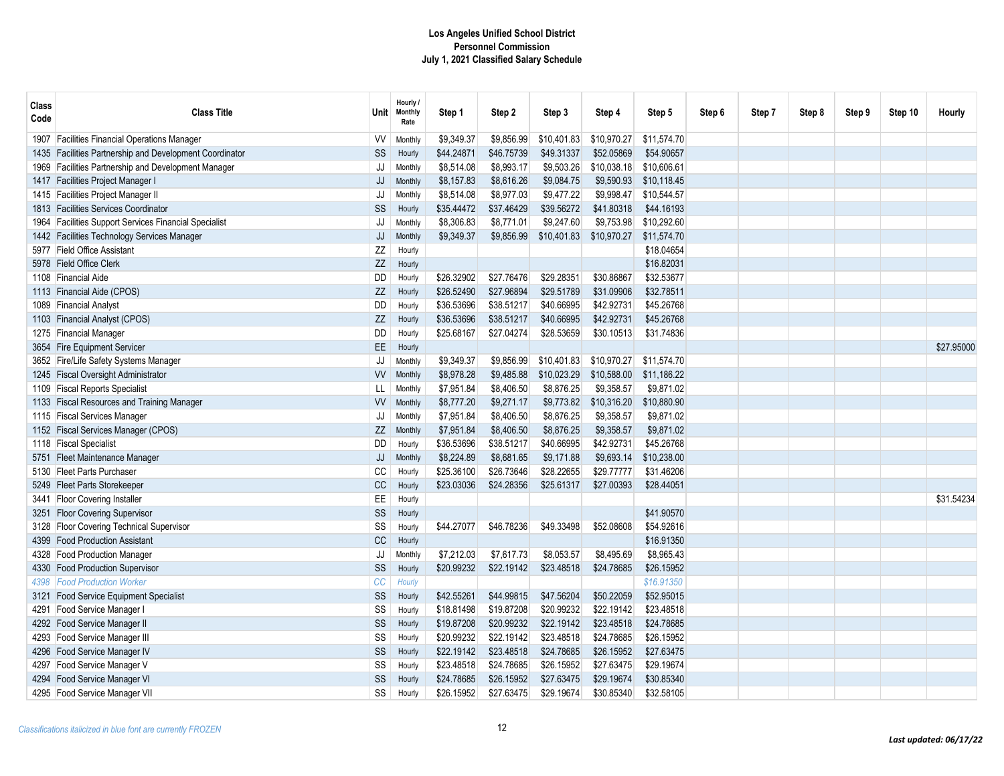| Class<br>Code | <b>Class Title</b>                                 | Unit⊣             | Hourly /<br><b>Monthly</b><br>Rate | Step 1     | Step 2     | Step 3      | Step 4      | Step 5      | Step 6 | Step 7 | Step 8 | Step 9 | Step 10 | Hourly     |
|---------------|----------------------------------------------------|-------------------|------------------------------------|------------|------------|-------------|-------------|-------------|--------|--------|--------|--------|---------|------------|
| 1907          | <b>Facilities Financial Operations Manager</b>     | W                 | Monthly                            | \$9,349.37 | \$9,856.99 | \$10,401.83 | \$10,970.27 | \$11,574.70 |        |        |        |        |         |            |
| 1435          | Facilities Partnership and Development Coordinator | SS                | Hourly                             | \$44.24871 | \$46.75739 | \$49.31337  | \$52.05869  | \$54.90657  |        |        |        |        |         |            |
| 1969          | Facilities Partnership and Development Manager     | JJ                | Monthly                            | \$8,514.08 | \$8,993.17 | \$9,503.26  | \$10,038.18 | \$10,606.61 |        |        |        |        |         |            |
| 1417          | <b>Facilities Project Manager I</b>                | JJ                | Monthly                            | \$8,157.83 | \$8,616.26 | \$9,084.75  | \$9,590.93  | \$10.118.45 |        |        |        |        |         |            |
| 1415          | Facilities Project Manager II                      | JJ                | Monthly                            | \$8,514.08 | \$8,977.03 | \$9,477.22  | \$9,998.47  | \$10,544.57 |        |        |        |        |         |            |
| 1813          | <b>Facilities Services Coordinator</b>             | <b>SS</b>         | Hourly                             | \$35.44472 | \$37.46429 | \$39.56272  | \$41.80318  | \$44,16193  |        |        |        |        |         |            |
| 1964          | Facilities Support Services Financial Specialist   | JJ                | Monthly                            | \$8,306.83 | \$8,771.01 | \$9,247.60  | \$9,753.98  | \$10,292.60 |        |        |        |        |         |            |
| 1442          | Facilities Technology Services Manager             | JJ                | Monthly                            | \$9,349.37 | \$9,856.99 | \$10,401.83 | \$10,970.27 | \$11,574.70 |        |        |        |        |         |            |
|               | 5977 Field Office Assistant                        | ΖZ                | Hourly                             |            |            |             |             | \$18.04654  |        |        |        |        |         |            |
| 5978          | <b>Field Office Clerk</b>                          | ΖZ                | Hourly                             |            |            |             |             | \$16.82031  |        |        |        |        |         |            |
| 1108          | <b>Financial Aide</b>                              | <b>DD</b>         | Hourly                             | \$26.32902 | \$27.76476 | \$29.28351  | \$30.86867  | \$32.53677  |        |        |        |        |         |            |
| 1113          | Financial Aide (CPOS)                              | ZZ                | Hourly                             | \$26.52490 | \$27.96894 | \$29.51789  | \$31.09906  | \$32.78511  |        |        |        |        |         |            |
| 1089          | <b>Financial Analyst</b>                           | <b>DD</b>         | Hourly                             | \$36.53696 | \$38.51217 | \$40.66995  | \$42.92731  | \$45.26768  |        |        |        |        |         |            |
| 1103          | <b>Financial Analyst (CPOS)</b>                    | ZZ                | Hourly                             | \$36.53696 | \$38.51217 | \$40.66995  | \$42.92731  | \$45.26768  |        |        |        |        |         |            |
| 1275          | <b>Financial Manager</b>                           | DD                | Hourly                             | \$25.68167 | \$27.04274 | \$28.53659  | \$30.10513  | \$31.74836  |        |        |        |        |         |            |
|               | 3654 Fire Equipment Servicer                       | EE.               | Hourly                             |            |            |             |             |             |        |        |        |        |         | \$27.95000 |
|               | 3652 Fire/Life Safety Systems Manager              | JJ                | Monthly                            | \$9,349.37 | \$9,856.99 | \$10,401.83 | \$10,970.27 | \$11,574.70 |        |        |        |        |         |            |
| 1245          | <b>Fiscal Oversight Administrator</b>              | W                 | Monthly                            | \$8,978.28 | \$9,485.88 | \$10,023.29 | \$10,588.00 | \$11,186.22 |        |        |        |        |         |            |
| 1109          | <b>Fiscal Reports Specialist</b>                   | LL                | Monthly                            | \$7,951.84 | \$8,406.50 | \$8,876.25  | \$9,358.57  | \$9.871.02  |        |        |        |        |         |            |
| 1133          | <b>Fiscal Resources and Training Manager</b>       | W                 | Monthly                            | \$8,777.20 | \$9,271.17 | \$9,773.82  | \$10,316.20 | \$10,880.90 |        |        |        |        |         |            |
| 1115          | <b>Fiscal Services Manager</b>                     | JJ                | Monthly                            | \$7,951.84 | \$8,406.50 | \$8,876.25  | \$9,358.57  | \$9,871.02  |        |        |        |        |         |            |
|               | 1152 Fiscal Services Manager (CPOS)                | ZZ                | Monthly                            | \$7,951.84 | \$8,406.50 | \$8,876.25  | \$9,358.57  | \$9,871.02  |        |        |        |        |         |            |
| 1118          | <b>Fiscal Specialist</b>                           | <b>DD</b>         | Hourly                             | \$36.53696 | \$38.51217 | \$40.66995  | \$42.92731  | \$45.26768  |        |        |        |        |         |            |
| 5751          | <b>Fleet Maintenance Manager</b>                   | JJ                | Monthly                            | \$8,224.89 | \$8,681.65 | \$9,171.88  | \$9,693.14  | \$10,238.00 |        |        |        |        |         |            |
| 5130          | <b>Fleet Parts Purchaser</b>                       | CC                | Hourly                             | \$25.36100 | \$26.73646 | \$28.22655  | \$29.77777  | \$31.46206  |        |        |        |        |         |            |
| 5249          | Fleet Parts Storekeeper                            | $\mathop{\rm CC}$ | Hourly                             | \$23.03036 | \$24.28356 | \$25.61317  | \$27.00393  | \$28.44051  |        |        |        |        |         |            |
| 3441          | <b>Floor Covering Installer</b>                    | EE                | Hourly                             |            |            |             |             |             |        |        |        |        |         | \$31.54234 |
| 3251          | <b>Floor Covering Supervisor</b>                   | SS                | Hourly                             |            |            |             |             | \$41.90570  |        |        |        |        |         |            |
| 3128          | <b>Floor Covering Technical Supervisor</b>         | SS                | Hourly                             | \$44.27077 | \$46.78236 | \$49.33498  | \$52.08608  | \$54.92616  |        |        |        |        |         |            |
| 4399          | <b>Food Production Assistant</b>                   | CC                | Hourly                             |            |            |             |             | \$16.91350  |        |        |        |        |         |            |
| 4328          | <b>Food Production Manager</b>                     | JJ                | Monthly                            | \$7,212.03 | \$7,617.73 | \$8,053.57  | \$8,495.69  | \$8,965.43  |        |        |        |        |         |            |
| 4330          | <b>Food Production Supervisor</b>                  | SS                | Hourly                             | \$20.99232 | \$22.19142 | \$23.48518  | \$24.78685  | \$26.15952  |        |        |        |        |         |            |
| 4398          | <b>Food Production Worker</b>                      | CC                | Hourly                             |            |            |             |             | \$16.91350  |        |        |        |        |         |            |
| 3121          | <b>Food Service Equipment Specialist</b>           | SS                | Hourly                             | \$42.55261 | \$44.99815 | \$47.56204  | \$50.22059  | \$52.95015  |        |        |        |        |         |            |
| 4291          | Food Service Manager I                             | SS                | Hourly                             | \$18.81498 | \$19.87208 | \$20.99232  | \$22.19142  | \$23.48518  |        |        |        |        |         |            |
|               | 4292 Food Service Manager II                       | SS                | Hourly                             | \$19.87208 | \$20.99232 | \$22.19142  | \$23.48518  | \$24.78685  |        |        |        |        |         |            |
|               | 4293 Food Service Manager II                       | SS                | Hourly                             | \$20.99232 | \$22.19142 | \$23.48518  | \$24.78685  | \$26.15952  |        |        |        |        |         |            |
| 4296          | Food Service Manager IV                            | SS                | Hourly                             | \$22.19142 | \$23.48518 | \$24.78685  | \$26.15952  | \$27.63475  |        |        |        |        |         |            |
|               | 4297 Food Service Manager V                        | SS                | Hourly                             | \$23.48518 | \$24.78685 | \$26.15952  | \$27.63475  | \$29.19674  |        |        |        |        |         |            |
| 4294          | Food Service Manager VI                            | SS                | Hourly                             | \$24.78685 | \$26.15952 | \$27.63475  | \$29.19674  | \$30.85340  |        |        |        |        |         |            |
|               | 4295 Food Service Manager VII                      | SS                | Hourly                             | \$26.15952 | \$27.63475 | \$29.19674  | \$30.85340  | \$32.58105  |        |        |        |        |         |            |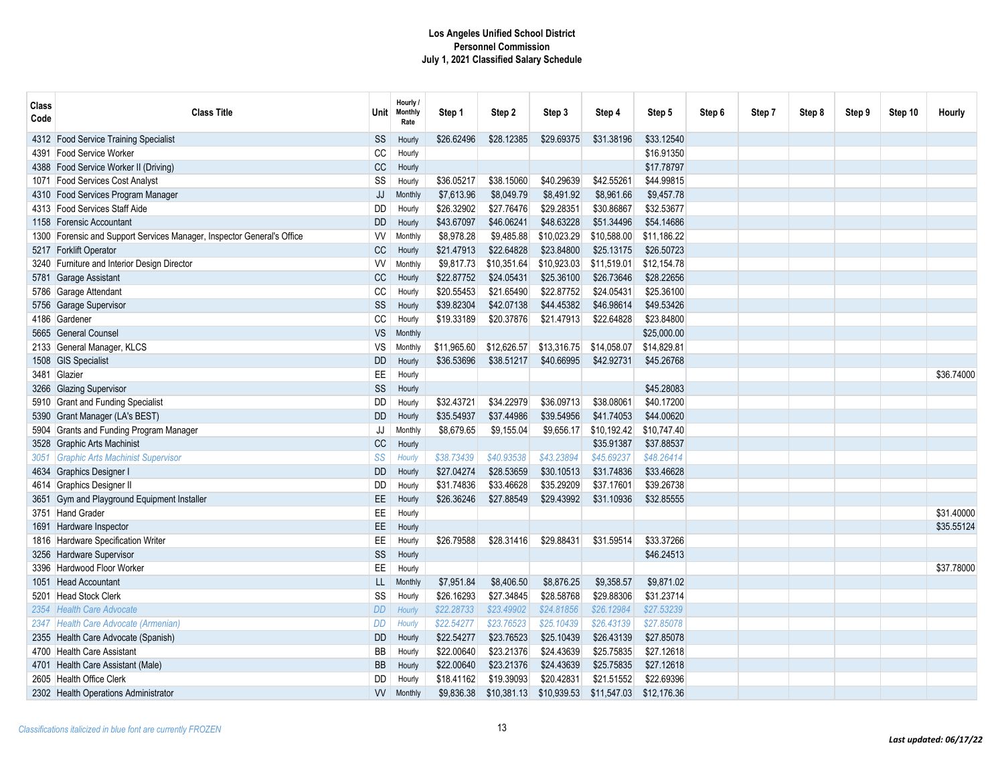| Class<br>Code | <b>Class Title</b>                                                | <b>Unit</b> | Hourly /<br><b>Monthly</b><br>Rate | Step 1      | Step 2      | Step 3      | Step 4      | Step 5      | Step 6 | Step 7 | Step 8 | Step 9 | Step 10 | Hourly     |
|---------------|-------------------------------------------------------------------|-------------|------------------------------------|-------------|-------------|-------------|-------------|-------------|--------|--------|--------|--------|---------|------------|
|               | 4312 Food Service Training Specialist                             | SS          | Hourly                             | \$26.62496  | \$28.12385  | \$29.69375  | \$31.38196  | \$33.12540  |        |        |        |        |         |            |
| 4391          | <b>Food Service Worker</b>                                        | CC          | Hourly                             |             |             |             |             | \$16.91350  |        |        |        |        |         |            |
| 4388          | Food Service Worker II (Driving)                                  | CC          | Hourly                             |             |             |             |             | \$17.78797  |        |        |        |        |         |            |
| 1071          | <b>Food Services Cost Analyst</b>                                 | SS          | Hourly                             | \$36.05217  | \$38.15060  | \$40.29639  | \$42.55261  | \$44.99815  |        |        |        |        |         |            |
|               | 4310 Food Services Program Manager                                | JJ          | Monthly                            | \$7,613.96  | \$8,049.79  | \$8,491.92  | \$8,961.66  | \$9,457.78  |        |        |        |        |         |            |
|               | 4313 Food Services Staff Aide                                     | DD          | Hourly                             | \$26.32902  | \$27.76476  | \$29.28351  | \$30.86867  | \$32.53677  |        |        |        |        |         |            |
| 1158          | <b>Forensic Accountant</b>                                        | <b>DD</b>   | Hourly                             | \$43.67097  | \$46.06241  | \$48.63228  | \$51.34496  | \$54.14686  |        |        |        |        |         |            |
| 1300          | Forensic and Support Services Manager, Inspector General's Office | <b>VV</b>   | Monthly                            | \$8,978.28  | \$9,485.88  | \$10,023.29 | \$10,588.00 | \$11,186.22 |        |        |        |        |         |            |
|               | 5217 Forklift Operator                                            | CC          | Hourly                             | \$21.47913  | \$22.64828  | \$23.84800  | \$25.13175  | \$26.50723  |        |        |        |        |         |            |
|               | 3240 Furniture and Interior Design Director                       | <b>VV</b>   | Monthly                            | \$9,817.73  | \$10,351.64 | \$10.923.03 | \$11,519.01 | \$12.154.78 |        |        |        |        |         |            |
| 5781          | Garage Assistant                                                  | <b>CC</b>   | Hourly                             | \$22.87752  | \$24.05431  | \$25.36100  | \$26.73646  | \$28.22656  |        |        |        |        |         |            |
|               | 5786 Garage Attendant                                             | CC          | Hourly                             | \$20.55453  | \$21.65490  | \$22.87752  | \$24.05431  | \$25.36100  |        |        |        |        |         |            |
| 5756          | Garage Supervisor                                                 | SS          | Hourly                             | \$39.82304  | \$42.07138  | \$44.45382  | \$46.98614  | \$49.53426  |        |        |        |        |         |            |
| 4186          | Gardener                                                          | CC          | Hourly                             | \$19.33189  | \$20.37876  | \$21.47913  | \$22.64828  | \$23.84800  |        |        |        |        |         |            |
|               | 5665 General Counsel                                              | <b>VS</b>   | Monthly                            |             |             |             |             | \$25,000.00 |        |        |        |        |         |            |
|               | 2133 General Manager, KLCS                                        | VS          | Monthly                            | \$11,965.60 | \$12,626.57 | \$13,316.75 | \$14,058.07 | \$14,829.81 |        |        |        |        |         |            |
| 1508          | <b>GIS Specialist</b>                                             | <b>DD</b>   | Hourly                             | \$36.53696  | \$38.51217  | \$40.66995  | \$42.92731  | \$45.26768  |        |        |        |        |         |            |
|               | 3481 Glazier                                                      | EE          | Hourly                             |             |             |             |             |             |        |        |        |        |         | \$36,74000 |
| 3266          | <b>Glazing Supervisor</b>                                         | SS          | Hourly                             |             |             |             |             | \$45,28083  |        |        |        |        |         |            |
|               | 5910 Grant and Funding Specialist                                 | DD          | Hourly                             | \$32.43721  | \$34.22979  | \$36,09713  | \$38,08061  | \$40.17200  |        |        |        |        |         |            |
| 5390          | Grant Manager (LA's BEST)                                         | <b>DD</b>   | Hourly                             | \$35.54937  | \$37.44986  | \$39.54956  | \$41.74053  | \$44.00620  |        |        |        |        |         |            |
|               | 5904 Grants and Funding Program Manager                           | JJ          | Monthly                            | \$8,679.65  | \$9,155.04  | \$9,656.17  | \$10,192.42 | \$10,747.40 |        |        |        |        |         |            |
|               | 3528 Graphic Arts Machinist                                       | CC          | Hourly                             |             |             |             | \$35.91387  | \$37.88537  |        |        |        |        |         |            |
| 3051          | <b>Graphic Arts Machinist Supervisor</b>                          | SS          | Hourly                             | \$38.73439  | \$40.93538  | \$43.23894  | \$45.69237  | \$48.26414  |        |        |        |        |         |            |
|               | 4634 Graphics Designer I                                          | <b>DD</b>   | Hourly                             | \$27.04274  | \$28.53659  | \$30.10513  | \$31.74836  | \$33.46628  |        |        |        |        |         |            |
|               | 4614 Graphics Designer II                                         | DD          | Hourly                             | \$31.74836  | \$33.46628  | \$35.29209  | \$37.17601  | \$39.26738  |        |        |        |        |         |            |
|               | 3651 Gym and Playground Equipment Installer                       | <b>EE</b>   | Hourly                             | \$26.36246  | \$27.88549  | \$29.43992  | \$31.10936  | \$32.85555  |        |        |        |        |         |            |
|               | 3751 Hand Grader                                                  | EE          | Hourly                             |             |             |             |             |             |        |        |        |        |         | \$31,40000 |
| 1691          | Hardware Inspector                                                | EE          | Hourly                             |             |             |             |             |             |        |        |        |        |         | \$35.55124 |
|               | 1816 Hardware Specification Writer                                | <b>EE</b>   | Hourly                             | \$26.79588  | \$28.31416  | \$29.88431  | \$31.59514  | \$33.37266  |        |        |        |        |         |            |
| 3256          | Hardware Supervisor                                               | SS          | Hourly                             |             |             |             |             | \$46.24513  |        |        |        |        |         |            |
| 3396          | Hardwood Floor Worker                                             | EE          | Hourly                             |             |             |             |             |             |        |        |        |        |         | \$37.78000 |
| 1051          | <b>Head Accountant</b>                                            | LL          | Monthly                            | \$7,951.84  | \$8,406.50  | \$8,876.25  | \$9,358.57  | \$9,871.02  |        |        |        |        |         |            |
| 5201          | Head Stock Clerk                                                  | SS          | Hourly                             | \$26.16293  | \$27.34845  | \$28.58768  | \$29.88306  | \$31.23714  |        |        |        |        |         |            |
| 2354          | <b>Health Care Advocate</b>                                       | DD          | Hourly                             | \$22.28733  | \$23.49902  | \$24.81856  | \$26.12984  | \$27.53239  |        |        |        |        |         |            |
| 2347          | Health Care Advocate (Armenian)                                   | <b>DD</b>   | Hourly                             | \$22.54277  | \$23.76523  | \$25,10439  | \$26.43139  | \$27.85078  |        |        |        |        |         |            |
| 2355          | Health Care Advocate (Spanish)                                    | <b>DD</b>   | Hourly                             | \$22.54277  | \$23.76523  | \$25.10439  | \$26.43139  | \$27.85078  |        |        |        |        |         |            |
| 4700          | <b>Health Care Assistant</b>                                      | BB          | Hourly                             | \$22.00640  | \$23.21376  | \$24.43639  | \$25.75835  | \$27.12618  |        |        |        |        |         |            |
|               | 4701 Health Care Assistant (Male)                                 | BB          | Hourly                             | \$22.00640  | \$23.21376  | \$24.43639  | \$25.75835  | \$27.12618  |        |        |        |        |         |            |
| 2605          | Health Office Clerk                                               | DD          | Hourly                             | \$18.41162  | \$19.39093  | \$20.42831  | \$21.51552  | \$22.69396  |        |        |        |        |         |            |
|               | 2302 Health Operations Administrator                              | W           | Monthly                            | \$9,836.38  | \$10,381.13 | \$10,939.53 | \$11,547.03 | \$12,176.36 |        |        |        |        |         |            |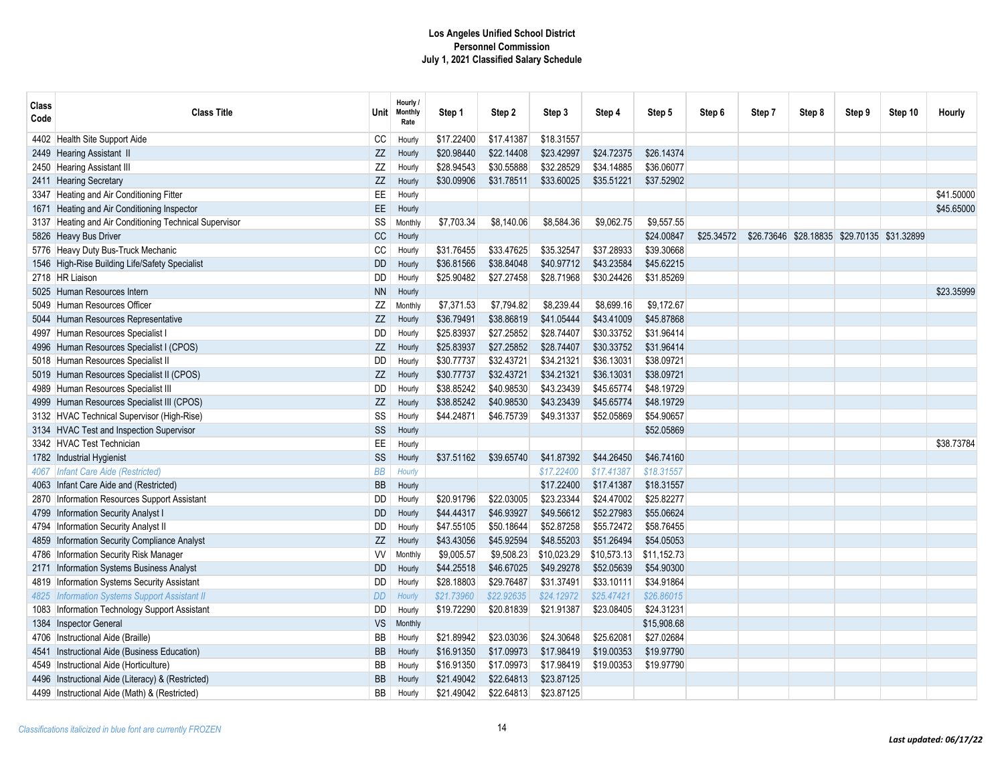| Class<br>Code | <b>Class Title</b>                                     | Unit⊺     | Hourly /<br><b>Monthly</b><br>Rate | Step 1     | Step 2     | Step 3      | Step 4      | Step 5      | Step 6     | Step 7 | Step 8                                      | Step 9 | Step 10 | Hourly     |
|---------------|--------------------------------------------------------|-----------|------------------------------------|------------|------------|-------------|-------------|-------------|------------|--------|---------------------------------------------|--------|---------|------------|
|               | 4402 Health Site Support Aide                          | CC        | Hourly                             | \$17.22400 | \$17.41387 | \$18.31557  |             |             |            |        |                                             |        |         |            |
|               | 2449 Hearing Assistant II                              | ZZ        | Hourly                             | \$20.98440 | \$22.14408 | \$23.42997  | \$24.72375  | \$26.14374  |            |        |                                             |        |         |            |
|               | 2450 Hearing Assistant III                             | ZZ        | Hourly                             | \$28.94543 | \$30.55888 | \$32.28529  | \$34.14885  | \$36.06077  |            |        |                                             |        |         |            |
|               | 2411 Hearing Secretary                                 | ZZ        | Hourly                             | \$30.09906 | \$31.78511 | \$33.60025  | \$35.51221  | \$37.52902  |            |        |                                             |        |         |            |
|               | 3347 Heating and Air Conditioning Fitter               | EE        | Hourly                             |            |            |             |             |             |            |        |                                             |        |         | \$41.50000 |
|               | 1671 Heating and Air Conditioning Inspector            | EE        | Hourly                             |            |            |             |             |             |            |        |                                             |        |         | \$45.65000 |
|               | 3137 Heating and Air Conditioning Technical Supervisor | SS        | Monthly                            | \$7,703.34 | \$8,140.06 | \$8,584.36  | \$9,062.75  | \$9,557.55  |            |        |                                             |        |         |            |
|               | 5826 Heavy Bus Driver                                  | CC        | Hourly                             |            |            |             |             | \$24.00847  | \$25.34572 |        | \$26.73646 \$28.18835 \$29.70135 \$31.32899 |        |         |            |
|               | 5776 Heavy Duty Bus-Truck Mechanic                     | CC        | Hourly                             | \$31.76455 | \$33.47625 | \$35.32547  | \$37.28933  | \$39.30668  |            |        |                                             |        |         |            |
|               | 1546 High-Rise Building Life/Safety Specialist         | <b>DD</b> | Hourly                             | \$36.81566 | \$38.84048 | \$40.97712  | \$43.23584  | \$45.62215  |            |        |                                             |        |         |            |
|               | 2718 HR Liaison                                        | <b>DD</b> | Hourly                             | \$25.90482 | \$27.27458 | \$28.71968  | \$30.24426  | \$31.85269  |            |        |                                             |        |         |            |
|               | 5025 Human Resources Intern                            | <b>NN</b> | Hourly                             |            |            |             |             |             |            |        |                                             |        |         | \$23.35999 |
|               | 5049 Human Resources Officer                           | ΖZ        | Monthly                            | \$7,371.53 | \$7,794.82 | \$8,239.44  | \$8,699.16  | \$9,172.67  |            |        |                                             |        |         |            |
|               | 5044 Human Resources Representative                    | ZZ        | Hourly                             | \$36.79491 | \$38.86819 | \$41.05444  | \$43.41009  | \$45.87868  |            |        |                                             |        |         |            |
|               | 4997 Human Resources Specialist                        | <b>DD</b> | Hourly                             | \$25.83937 | \$27.25852 | \$28.74407  | \$30.33752  | \$31.96414  |            |        |                                             |        |         |            |
|               | 4996 Human Resources Specialist I (CPOS)               | ZZ        | Hourly                             | \$25.83937 | \$27.25852 | \$28.74407  | \$30.33752  | \$31.96414  |            |        |                                             |        |         |            |
|               | 5018 Human Resources Specialist II                     | DD        | Hourly                             | \$30.77737 | \$32.43721 | \$34.21321  | \$36.13031  | \$38.09721  |            |        |                                             |        |         |            |
|               | 5019 Human Resources Specialist II (CPOS)              | ZZ        | Hourly                             | \$30.77737 | \$32.43721 | \$34.21321  | \$36.13031  | \$38.09721  |            |        |                                             |        |         |            |
|               | 4989 Human Resources Specialist III                    | <b>DD</b> | Hourly                             | \$38.85242 | \$40.98530 | \$43.23439  | \$45.65774  | \$48.19729  |            |        |                                             |        |         |            |
|               | 4999 Human Resources Specialist III (CPOS)             | ZZ        | Hourly                             | \$38.85242 | \$40.98530 | \$43.23439  | \$45.65774  | \$48.19729  |            |        |                                             |        |         |            |
|               | 3132 HVAC Technical Supervisor (High-Rise)             | SS        | Hourly                             | \$44.24871 | \$46.75739 | \$49.31337  | \$52.05869  | \$54.90657  |            |        |                                             |        |         |            |
|               | 3134 HVAC Test and Inspection Supervisor               | SS        | Hourly                             |            |            |             |             | \$52.05869  |            |        |                                             |        |         |            |
|               | 3342 HVAC Test Technician                              | EE        | Hourly                             |            |            |             |             |             |            |        |                                             |        |         | \$38.73784 |
|               | 1782 Industrial Hygienist                              | SS        | Hourly                             | \$37.51162 | \$39.65740 | \$41.87392  | \$44.26450  | \$46.74160  |            |        |                                             |        |         |            |
|               | 4067   Infant Care Aide (Restricted)                   | BB        | Hourly                             |            |            | \$17.22400  | \$17.41387  | \$18.31557  |            |        |                                             |        |         |            |
|               | 4063 Infant Care Aide and (Restricted)                 | <b>BB</b> | Hourly                             |            |            | \$17.22400  | \$17.41387  | \$18.31557  |            |        |                                             |        |         |            |
|               | 2870 Information Resources Support Assistant           | <b>DD</b> | Hourly                             | \$20.91796 | \$22.03005 | \$23.23344  | \$24.47002  | \$25.82277  |            |        |                                             |        |         |            |
|               | 4799 Information Security Analyst I                    | <b>DD</b> | Hourly                             | \$44.44317 | \$46.93927 | \$49.56612  | \$52.27983  | \$55.06624  |            |        |                                             |        |         |            |
|               | 4794   Information Security Analyst II                 | <b>DD</b> | Hourly                             | \$47.55105 | \$50.18644 | \$52.87258  | \$55.72472  | \$58.76455  |            |        |                                             |        |         |            |
|               | 4859 Information Security Compliance Analyst           | ZZ        | Hourly                             | \$43.43056 | \$45.92594 | \$48.55203  | \$51.26494  | \$54.05053  |            |        |                                             |        |         |            |
|               | 4786 Information Security Risk Manager                 | W         | Monthly                            | \$9,005.57 | \$9,508.23 | \$10,023.29 | \$10,573.13 | \$11,152.73 |            |        |                                             |        |         |            |
|               | 2171 Information Systems Business Analyst              | <b>DD</b> | Hourly                             | \$44.25518 | \$46.67025 | \$49.29278  | \$52.05639  | \$54.90300  |            |        |                                             |        |         |            |
|               | 4819 Information Systems Security Assistant            | <b>DD</b> | Hourly                             | \$28.18803 | \$29.76487 | \$31.37491  | \$33.10111  | \$34.91864  |            |        |                                             |        |         |            |
|               | 4825   Information Systems Support Assistant II        | <b>DD</b> | Hourly                             | \$21.73960 | \$22.92635 | \$24.12972  | \$25.47421  | \$26.86015  |            |        |                                             |        |         |            |
|               | 1083   Information Technology Support Assistant        | <b>DD</b> | Hourly                             | \$19.72290 | \$20.81839 | \$21.91387  | \$23.08405  | \$24.31231  |            |        |                                             |        |         |            |
|               | 1384 Inspector General                                 | <b>VS</b> | Monthly                            |            |            |             |             | \$15,908.68 |            |        |                                             |        |         |            |
|               | 4706   Instructional Aide (Braille)                    | <b>BB</b> | Hourly                             | \$21.89942 | \$23.03036 | \$24.30648  | \$25.62081  | \$27.02684  |            |        |                                             |        |         |            |
|               | 4541 Instructional Aide (Business Education)           | BB        | Hourly                             | \$16.91350 | \$17.09973 | \$17.98419  | \$19.00353  | \$19.97790  |            |        |                                             |        |         |            |
|               | 4549 Instructional Aide (Horticulture)                 | <b>BB</b> | Hourly                             | \$16.91350 | \$17.09973 | \$17.98419  | \$19.00353  | \$19.97790  |            |        |                                             |        |         |            |
|               | 4496 Instructional Aide (Literacy) & (Restricted)      | <b>BB</b> | Hourly                             | \$21.49042 | \$22.64813 | \$23.87125  |             |             |            |        |                                             |        |         |            |
|               | 4499   Instructional Aide (Math) & (Restricted)        | BB        | Hourly                             | \$21.49042 | \$22.64813 | \$23.87125  |             |             |            |        |                                             |        |         |            |
|               |                                                        |           |                                    |            |            |             |             |             |            |        |                                             |        |         |            |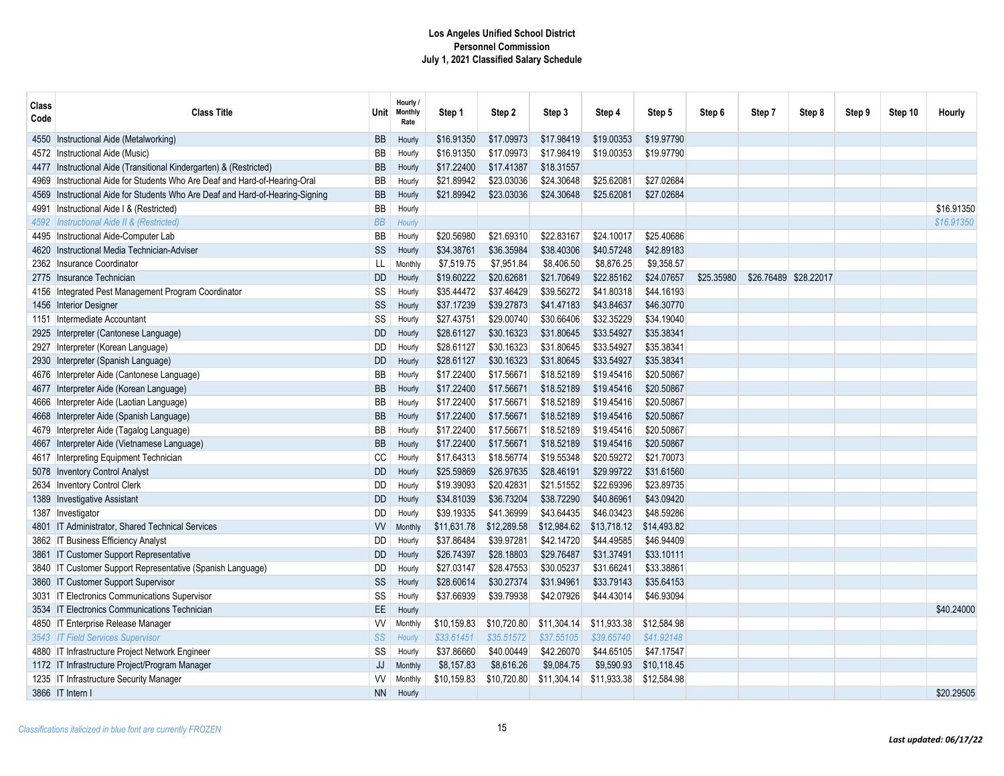| Class<br>Code | <b>Class Title</b>                                                       | Unit⊣     | Hourly /<br><b>Monthly</b><br>Rate | Step 1      | Step 2      | Step 3      | Step 4      | Step 5      | Step 6     | Step 7 | Step 8                | Step 9 | Step 10 | Hourly     |
|---------------|--------------------------------------------------------------------------|-----------|------------------------------------|-------------|-------------|-------------|-------------|-------------|------------|--------|-----------------------|--------|---------|------------|
| 4550          | Instructional Aide (Metalworking)                                        | <b>BB</b> | Hourly                             | \$16.91350  | \$17.09973  | \$17.98419  | \$19.00353  | \$19.97790  |            |        |                       |        |         |            |
| 4572          | Instructional Aide (Music)                                               | <b>BB</b> | Hourly                             | \$16.91350  | \$17.09973  | \$17.98419  | \$19.00353  | \$19.97790  |            |        |                       |        |         |            |
| 4477          | Instructional Aide (Transitional Kindergarten) & (Restricted)            | BB        | Hourly                             | \$17.22400  | \$17.41387  | \$18.31557  |             |             |            |        |                       |        |         |            |
| 4969          | Instructional Aide for Students Who Are Deaf and Hard-of-Hearing-Oral    | BB        | Hourly                             | \$21.89942  | \$23.03036  | \$24.30648  | \$25.62081  | \$27.02684  |            |        |                       |        |         |            |
| 4569          | Instructional Aide for Students Who Are Deaf and Hard-of-Hearing-Signing | BB        | Hourly                             | \$21.89942  | \$23.03036  | \$24.30648  | \$25.62081  | \$27.02684  |            |        |                       |        |         |            |
| 4991          | Instructional Aide I & (Restricted)                                      | <b>BB</b> | Hourly                             |             |             |             |             |             |            |        |                       |        |         | \$16.91350 |
| 4592          | Instructional Aide II & (Restricted)                                     | BB        | Hourly                             |             |             |             |             |             |            |        |                       |        |         | \$16.91350 |
| 4495          | Instructional Aide-Computer Lab                                          | BB        | Hourly                             | \$20.56980  | \$21.69310  | \$22.83167  | \$24.10017  | \$25.40686  |            |        |                       |        |         |            |
| 4620          | Instructional Media Technician-Adviser                                   | SS        | Hourly                             | \$34.38761  | \$36.35984  | \$38,40306  | \$40.57248  | \$42.89183  |            |        |                       |        |         |            |
| 2362          | Insurance Coordinator                                                    | LL        | Monthly                            | \$7,519.75  | \$7,951.84  | \$8,406.50  | \$8,876.25  | \$9,358.57  |            |        |                       |        |         |            |
| 2775          | Insurance Technician                                                     | <b>DD</b> | Hourly                             | \$19.60222  | \$20.62681  | \$21,70649  | \$22.85162  | \$24.07657  | \$25.35980 |        | \$26.76489 \$28.22017 |        |         |            |
| 4156          | Integrated Pest Management Program Coordinator                           | SS        | Hourly                             | \$35.44472  | \$37.46429  | \$39.56272  | \$41.80318  | \$44.16193  |            |        |                       |        |         |            |
| 1456          | Interior Designer                                                        | SS        | Hourly                             | \$37.17239  | \$39.27873  | \$41.47183  | \$43.84637  | \$46.30770  |            |        |                       |        |         |            |
| 1151          | Intermediate Accountant                                                  | SS        | Hourly                             | \$27.43751  | \$29.00740  | \$30.66406  | \$32.35229  | \$34.19040  |            |        |                       |        |         |            |
| 2925          | Interpreter (Cantonese Language)                                         | <b>DD</b> | Hourly                             | \$28.61127  | \$30.16323  | \$31.80645  | \$33.54927  | \$35.38341  |            |        |                       |        |         |            |
| 2927          | Interpreter (Korean Language)                                            | DD        | Hourly                             | \$28.61127  | \$30.16323  | \$31.80645  | \$33.54927  | \$35.38341  |            |        |                       |        |         |            |
| 2930          | Interpreter (Spanish Language)                                           | <b>DD</b> | Hourly                             | \$28.61127  | \$30.16323  | \$31.80645  | \$33.54927  | \$35.38341  |            |        |                       |        |         |            |
| 4676          | Interpreter Aide (Cantonese Language)                                    | BB        | Hourly                             | \$17.22400  | \$17.56671  | \$18.52189  | \$19.45416  | \$20.50867  |            |        |                       |        |         |            |
| 4677          | Interpreter Aide (Korean Language)                                       | BB        | Hourly                             | \$17.22400  | \$17.56671  | \$18.52189  | \$19.45416  | \$20.50867  |            |        |                       |        |         |            |
| 4666          | Interpreter Aide (Laotian Language)                                      | BB        | Hourly                             | \$17.22400  | \$17.56671  | \$18.52189  | \$19.45416  | \$20.50867  |            |        |                       |        |         |            |
| 4668          | Interpreter Aide (Spanish Language)                                      | BB        | Hourly                             | \$17.22400  | \$17.56671  | \$18.52189  | \$19.45416  | \$20.50867  |            |        |                       |        |         |            |
| 4679          | Interpreter Aide (Tagalog Language)                                      | BB        | Hourly                             | \$17.22400  | \$17.56671  | \$18.52189  | \$19.45416  | \$20.50867  |            |        |                       |        |         |            |
|               | Interpreter Aide (Vietnamese Language)                                   | BB        | Hourly                             | \$17.22400  | \$17.56671  | \$18.52189  | \$19.45416  | \$20.50867  |            |        |                       |        |         |            |
|               | 4617 Interpreting Equipment Technician                                   | CC        | Hourly                             | \$17.64313  | \$18.56774  | \$19.55348  | \$20.59272  | \$21.70073  |            |        |                       |        |         |            |
| 5078          | <b>Inventory Control Analyst</b>                                         | <b>DD</b> | Hourly                             | \$25.59869  | \$26.97635  | \$28,46191  | \$29.99722  | \$31.61560  |            |        |                       |        |         |            |
| 2634          | <b>Inventory Control Clerk</b>                                           | <b>DD</b> | Hourly                             | \$19.39093  | \$20.42831  | \$21.51552  | \$22.69396  | \$23.89735  |            |        |                       |        |         |            |
| 1389          | <b>Investigative Assistant</b>                                           | <b>DD</b> | Hourly                             | \$34.81039  | \$36.73204  | \$38.72290  | \$40.86961  | \$43.09420  |            |        |                       |        |         |            |
|               | 1387 Investigator                                                        | DD        | Hourly                             | \$39.19335  | \$41.36999  | \$43.64435  | \$46.03423  | \$48.59286  |            |        |                       |        |         |            |
|               | 4801 IT Administrator, Shared Technical Services                         | <b>VV</b> | Monthly                            | \$11,631.78 | \$12,289.58 | \$12,984.62 | \$13,718.12 | \$14,493.82 |            |        |                       |        |         |            |
|               | 3862 IT Business Efficiency Analyst                                      | <b>DD</b> | Hourly                             | \$37.86484  | \$39.97281  | \$42.14720  | \$44.49585  | \$46.94409  |            |        |                       |        |         |            |
| 3861          | IT Customer Support Representative                                       | <b>DD</b> | Hourly                             | \$26.74397  | \$28.18803  | \$29.76487  | \$31.37491  | \$33.10111  |            |        |                       |        |         |            |
| 3840          | IT Customer Support Representative (Spanish Language)                    | <b>DD</b> | Hourly                             | \$27.03147  | \$28.47553  | \$30.05237  | \$31.66241  | \$33.38861  |            |        |                       |        |         |            |
| 3860          | IT Customer Support Supervisor                                           | SS        | Hourly                             | \$28.60614  | \$30.27374  | \$31.94961  | \$33.79143  | \$35.64153  |            |        |                       |        |         |            |
|               | 3031 IT Electronics Communications Supervisor                            | SS        | Hourly                             | \$37.66939  | \$39.79938  | \$42.07926  | \$44.43014  | \$46.93094  |            |        |                       |        |         |            |
|               | 3534 IT Electronics Communications Technician                            | EE.       | Hourly                             |             |             |             |             |             |            |        |                       |        |         | \$40,24000 |
|               | 4850 IT Enterprise Release Manager                                       | <b>VV</b> | Monthly                            | \$10,159.83 | \$10,720.80 | \$11,304.14 | \$11,933.38 | \$12,584.98 |            |        |                       |        |         |            |
|               | 3543   IT Field Services Supervisor                                      | SS        | Hourly                             | \$33.61451  | \$35.51572  | \$37.55105  | \$39.65740  | \$41.92148  |            |        |                       |        |         |            |
|               | 4880   IT Infrastructure Project Network Engineer                        | SS        | Hourly                             | \$37.86660  | \$40.00449  | \$42.26070  | \$44.65105  | \$47.17547  |            |        |                       |        |         |            |
|               | 1172   IT Infrastructure Project/Program Manager                         | JJ        | Monthly                            | \$8,157.83  | \$8,616.26  | \$9,084.75  | \$9,590.93  | \$10,118.45 |            |        |                       |        |         |            |
|               | 1235   IT Infrastructure Security Manager                                | W         | Monthly                            | \$10,159.83 | \$10,720.80 | \$11,304.14 | \$11,933.38 | \$12,584.98 |            |        |                       |        |         |            |
|               | 3866 IT Intern I                                                         | <b>NN</b> | Hourly                             |             |             |             |             |             |            |        |                       |        |         | \$20.29505 |
|               |                                                                          |           |                                    |             |             |             |             |             |            |        |                       |        |         |            |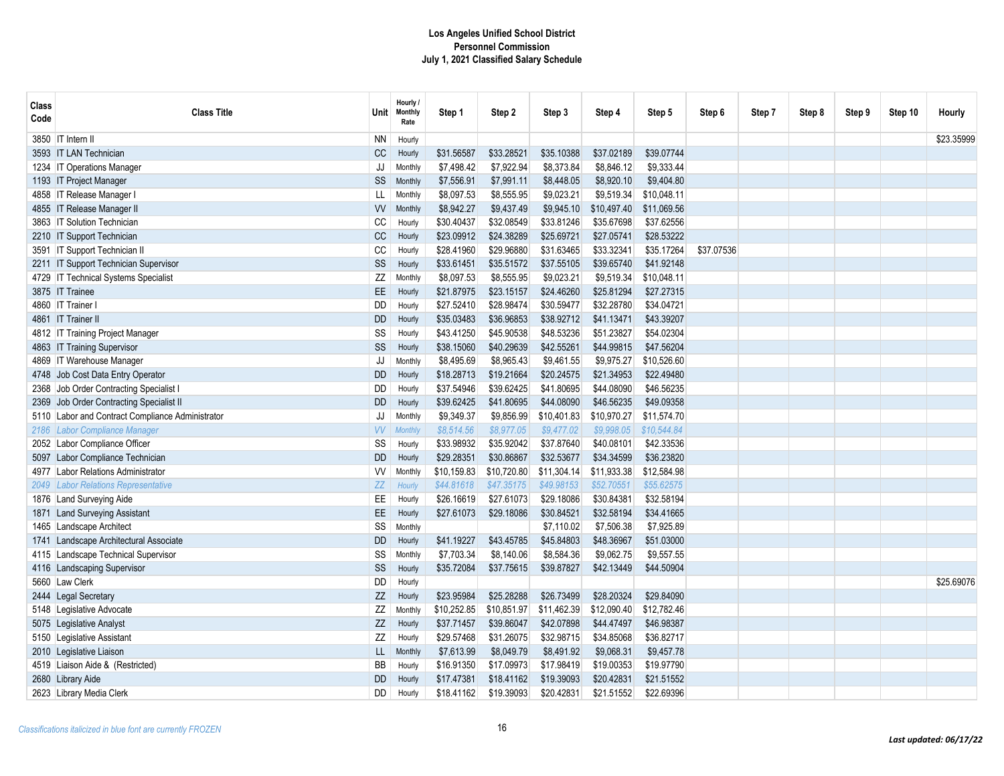| <b>Class</b><br>Code | <b>Class Title</b>                          | <b>Unit</b> | Hourly /<br><b>Monthly</b><br>Rate | Step 1      | Step 2      | Step 3      | Step 4      | Step 5      | Step 6     | Step 7 | Step 8 | Step 9 | Step 10 | Hourly     |
|----------------------|---------------------------------------------|-------------|------------------------------------|-------------|-------------|-------------|-------------|-------------|------------|--------|--------|--------|---------|------------|
|                      | 3850   IT Intern II                         | <b>NN</b>   | Hourly                             |             |             |             |             |             |            |        |        |        |         | \$23.35999 |
|                      | 3593 IT LAN Technician                      | CC          | Hourly                             | \$31.56587  | \$33.28521  | \$35.10388  | \$37.02189  | \$39.07744  |            |        |        |        |         |            |
|                      | 1234   IT Operations Manager                | JJ          | Monthly                            | \$7,498.42  | \$7,922.94  | \$8,373.84  | \$8,846.12  | \$9,333.44  |            |        |        |        |         |            |
|                      | 1193 IT Project Manager                     | SS          | Monthly                            | \$7,556.91  | \$7,991.11  | \$8,448.05  | \$8,920.10  | \$9,404.80  |            |        |        |        |         |            |
| 4858                 | IT Release Manager                          | LL          | Monthly                            | \$8,097.53  | \$8,555.95  | \$9,023.21  | \$9,519.34  | \$10,048.11 |            |        |        |        |         |            |
|                      | 4855 IT Release Manager II                  | <b>VV</b>   | Monthly                            | \$8,942.27  | \$9,437.49  | \$9,945.10  | \$10,497.40 | \$11,069.56 |            |        |        |        |         |            |
| 3863                 | <b>IT Solution Technician</b>               | CC          | Hourly                             | \$30.40437  | \$32.08549  | \$33.81246  | \$35.67698  | \$37.62556  |            |        |        |        |         |            |
|                      | 2210 IT Support Technician                  | CC          | Hourly                             | \$23.09912  | \$24.38289  | \$25.69721  | \$27.05741  | \$28.53222  |            |        |        |        |         |            |
|                      | 3591   IT Support Technician II             | CC          | Hourly                             | \$28.41960  | \$29.96880  | \$31.63465  | \$33.32341  | \$35.17264  | \$37.07536 |        |        |        |         |            |
|                      | 2211 IT Support Technician Supervisor       | SS          | Hourly                             | \$33.61451  | \$35.51572  | \$37.55105  | \$39.65740  | \$41.92148  |            |        |        |        |         |            |
|                      | 4729   IT Technical Systems Specialist      | ZZ          | Monthly                            | \$8,097.53  | \$8,555.95  | \$9,023.21  | \$9,519.34  | \$10,048.11 |            |        |        |        |         |            |
|                      | 3875 IT Trainee                             | EE.         | Hourly                             | \$21.87975  | \$23.15157  | \$24.46260  | \$25.81294  | \$27.27315  |            |        |        |        |         |            |
|                      | 4860 IT Trainer I                           | DD          | Hourly                             | \$27.52410  | \$28.98474  | \$30.59477  | \$32.28780  | \$34.04721  |            |        |        |        |         |            |
|                      | 4861 IT Trainer II                          | <b>DD</b>   | Hourly                             | \$35.03483  | \$36.96853  | \$38.92712  | \$41.13471  | \$43.39207  |            |        |        |        |         |            |
|                      | 4812   IT Training Project Manager          | SS          | Hourly                             | \$43.41250  | \$45.90538  | \$48.53236  | \$51.23827  | \$54.02304  |            |        |        |        |         |            |
|                      | 4863 IT Training Supervisor                 | SS          | Hourly                             | \$38.15060  | \$40.29639  | \$42.55261  | \$44.99815  | \$47.56204  |            |        |        |        |         |            |
|                      | 4869   IT Warehouse Manager                 | JJ          | Monthly                            | \$8,495.69  | \$8,965.43  | \$9,461.55  | \$9,975.27  | \$10,526.60 |            |        |        |        |         |            |
|                      | 4748 Job Cost Data Entry Operator           | <b>DD</b>   | Hourly                             | \$18.28713  | \$19.21664  | \$20.24575  | \$21.34953  | \$22.49480  |            |        |        |        |         |            |
|                      | 2368 Job Order Contracting Specialist I     | DD          | Hourly                             | \$37.54946  | \$39.62425  | \$41.80695  | \$44.08090  | \$46.56235  |            |        |        |        |         |            |
| 2369                 | Job Order Contracting Specialist II         | <b>DD</b>   | Hourly                             | \$39.62425  | \$41.80695  | \$44.08090  | \$46.56235  | \$49.09358  |            |        |        |        |         |            |
| 5110                 | Labor and Contract Compliance Administrator | JJ          | Monthly                            | \$9,349.37  | \$9,856.99  | \$10,401.83 | \$10,970.27 | \$11,574.70 |            |        |        |        |         |            |
|                      | 2186 Labor Compliance Manager               | <b>VV</b>   | <b>Monthly</b>                     | \$8,514.56  | \$8,977.05  | \$9,477.02  | \$9,998.05  | \$10,544.84 |            |        |        |        |         |            |
|                      | 2052 Labor Compliance Officer               | SS          | Hourly                             | \$33.98932  | \$35.92042  | \$37.87640  | \$40.08101  | \$42.33536  |            |        |        |        |         |            |
| 5097                 | Labor Compliance Technician                 | <b>DD</b>   | Hourly                             | \$29.28351  | \$30.86867  | \$32.53677  | \$34.34599  | \$36.23820  |            |        |        |        |         |            |
| 4977                 | Labor Relations Administrator               | W           | <b>Monthly</b>                     | \$10,159.83 | \$10,720.80 | \$11,304.14 | \$11,933.38 | \$12,584.98 |            |        |        |        |         |            |
| 2049                 | Labor Relations Representative              | ZZ          | Hourl <sub>)</sub>                 | \$44.81618  | \$47.35175  | \$49.98153  | \$52.70551  | \$55.62575  |            |        |        |        |         |            |
|                      | 1876 Land Surveying Aide                    | EE          | Hourly                             | \$26.16619  | \$27.61073  | \$29.18086  | \$30.84381  | \$32.58194  |            |        |        |        |         |            |
|                      | 1871 Land Surveying Assistant               | EE          | Hourly                             | \$27.61073  | \$29.18086  | \$30.84521  | \$32.58194  | \$34.41665  |            |        |        |        |         |            |
|                      | 1465 Landscape Architect                    | SS          | Monthly                            |             |             | \$7,110.02  | \$7,506.38  | \$7,925.89  |            |        |        |        |         |            |
| 1741                 | Landscape Architectural Associate           | <b>DD</b>   | Hourly                             | \$41.19227  | \$43.45785  | \$45.84803  | \$48.36967  | \$51.03000  |            |        |        |        |         |            |
| 4115                 | Landscape Technical Supervisor              | SS          | Monthly                            | \$7,703.34  | \$8,140.06  | \$8,584.36  | \$9,062.75  | \$9,557.55  |            |        |        |        |         |            |
|                      | 4116 Landscaping Supervisor                 | SS          | Hourly                             | \$35.72084  | \$37.75615  | \$39.87827  | \$42.13449  | \$44.50904  |            |        |        |        |         |            |
|                      | 5660 Law Clerk                              | DD          | Hourly                             |             |             |             |             |             |            |        |        |        |         | \$25.69076 |
| 2444                 | Legal Secretary                             | ZZ          | Hourly                             | \$23.95984  | \$25.28288  | \$26.73499  | \$28,20324  | \$29.84090  |            |        |        |        |         |            |
|                      | 5148 Legislative Advocate                   | ZZ          | <b>Monthly</b>                     | \$10,252.85 | \$10,851.97 | \$11,462.39 | \$12,090.40 | \$12,782.46 |            |        |        |        |         |            |
|                      | 5075 Legislative Analyst                    | ZZ          | Hourly                             | \$37.71457  | \$39.86047  | \$42.07898  | \$44.47497  | \$46.98387  |            |        |        |        |         |            |
|                      | 5150 Legislative Assistant                  | ZZ          | Hourly                             | \$29.57468  | \$31.26075  | \$32.98715  | \$34.85068  | \$36.82717  |            |        |        |        |         |            |
|                      | 2010 Legislative Liaison                    | LL          | Monthly                            | \$7,613.99  | \$8,049.79  | \$8,491.92  | \$9,068.31  | \$9,457.78  |            |        |        |        |         |            |
|                      | 4519 Liaison Aide & (Restricted)            | BB          | Hourly                             | \$16.91350  | \$17.09973  | \$17.98419  | \$19.00353  | \$19.97790  |            |        |        |        |         |            |
|                      | 2680 Library Aide                           | DD          | Hourly                             | \$17.47381  | \$18.41162  | \$19.39093  | \$20.42831  | \$21.51552  |            |        |        |        |         |            |
|                      | 2623 Library Media Clerk                    | DD          | Hourly                             | \$18.41162  | \$19.39093  | \$20.42831  | \$21.51552  | \$22.69396  |            |        |        |        |         |            |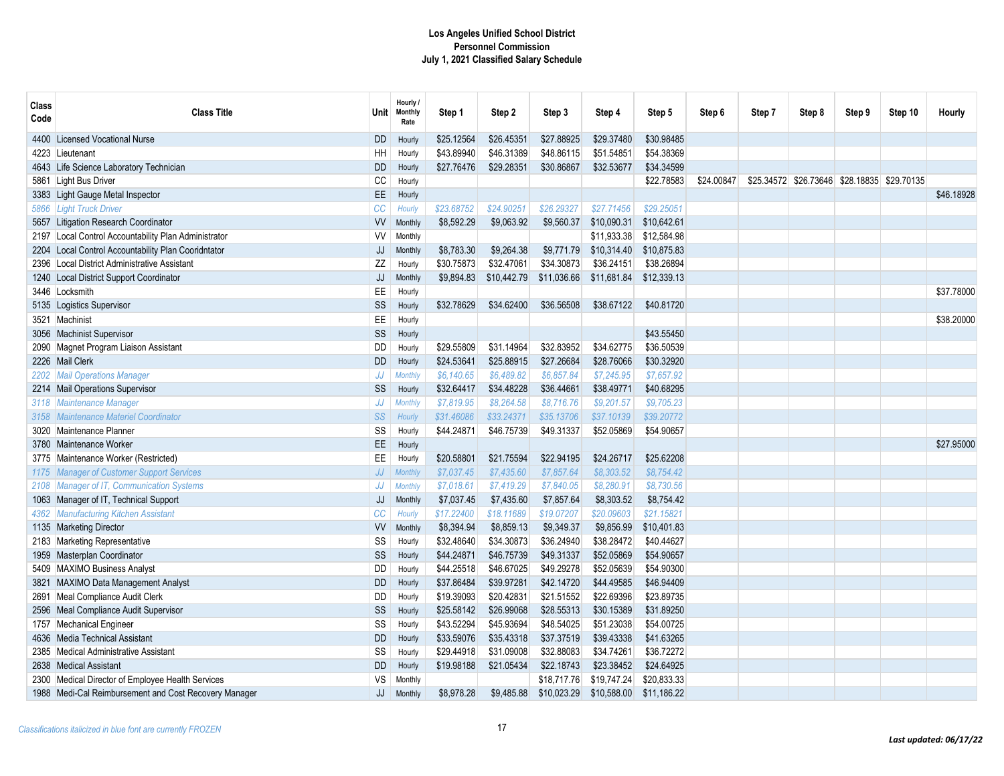| Class<br>Code | <b>Class Title</b>                                    | <b>Unit</b>   | Hourly /<br><b>Monthly</b><br>Rate | Step 1     | Step 2      | Step 3      | Step 4      | Step 5      | Step 6     | Step 7 | Step 8                                      | Step 9 | Step 10 | Hourly     |
|---------------|-------------------------------------------------------|---------------|------------------------------------|------------|-------------|-------------|-------------|-------------|------------|--------|---------------------------------------------|--------|---------|------------|
|               | 4400 Licensed Vocational Nurse                        | <b>DD</b>     | Hourly                             | \$25.12564 | \$26.45351  | \$27.88925  | \$29.37480  | \$30.98485  |            |        |                                             |        |         |            |
|               | 4223 Lieutenant                                       | HH            | Hourly                             | \$43.89940 | \$46.31389  | \$48.86115  | \$51.54851  | \$54.38369  |            |        |                                             |        |         |            |
|               | 4643 Life Science Laboratory Technician               | <b>DD</b>     | Hourly                             | \$27.76476 | \$29.28351  | \$30.86867  | \$32.53677  | \$34.34599  |            |        |                                             |        |         |            |
|               | 5861 Light Bus Driver                                 | СC            | Hourly                             |            |             |             |             | \$22.78583  | \$24.00847 |        | \$25.34572 \$26.73646 \$28.18835 \$29.70135 |        |         |            |
|               | 3383 Light Gauge Metal Inspector                      | $\mathsf{EE}$ | Hourly                             |            |             |             |             |             |            |        |                                             |        |         | \$46,18928 |
|               | 5866 Light Truck Driver                               | <b>CC</b>     | Hourly                             | \$23.68752 | \$24.90251  | \$26,29327  | \$27.71456  | \$29.25051  |            |        |                                             |        |         |            |
|               | 5657 Litigation Research Coordinator                  | W             | Monthly                            | \$8,592.29 | \$9,063.92  | \$9,560.37  | \$10,090.31 | \$10,642.61 |            |        |                                             |        |         |            |
|               | 2197 Local Control Accountability Plan Administrator  | <b>VV</b>     | Monthly                            |            |             |             | \$11.933.38 | \$12,584.98 |            |        |                                             |        |         |            |
|               | 2204 Local Control Accountability Plan Cooridntator   | JJ            | Monthly                            | \$8,783.30 | \$9,264.38  | \$9,771.79  | \$10,314.40 | \$10,875.83 |            |        |                                             |        |         |            |
|               | 2396 Local District Administrative Assistant          | ZZ            | Hourly                             | \$30.75873 | \$32.47061  | \$34.30873  | \$36.24151  | \$38.26894  |            |        |                                             |        |         |            |
|               | 1240 Local District Support Coordinator               | JJ            | Monthly                            | \$9,894.83 | \$10,442.79 | \$11,036.66 | \$11,681.84 | \$12,339.13 |            |        |                                             |        |         |            |
|               | 3446 Locksmith                                        | EE            | Hourly                             |            |             |             |             |             |            |        |                                             |        |         | \$37.78000 |
|               | 5135 Logistics Supervisor                             | SS            | Hourly                             | \$32.78629 | \$34.62400  | \$36.56508  | \$38.67122  | \$40.81720  |            |        |                                             |        |         |            |
|               | 3521 Machinist                                        | EE            | Hourly                             |            |             |             |             |             |            |        |                                             |        |         | \$38.20000 |
|               | 3056 Machinist Supervisor                             | SS            | Hourly                             |            |             |             |             | \$43.55450  |            |        |                                             |        |         |            |
|               | 2090 Magnet Program Liaison Assistant                 | DD            | Hourly                             | \$29.55809 | \$31.14964  | \$32.83952  | \$34.62775  | \$36.50539  |            |        |                                             |        |         |            |
|               | 2226 Mail Clerk                                       | <b>DD</b>     | Hourly                             | \$24.53641 | \$25.88915  | \$27.26684  | \$28.76066  | \$30.32920  |            |        |                                             |        |         |            |
| 2202          | <b>Mail Operations Manager</b>                        | JJ            | <b>Monthly</b>                     | \$6,140.65 | \$6,489.82  | \$6,857.84  | \$7,245.95  | \$7,657.92  |            |        |                                             |        |         |            |
|               | 2214 Mail Operations Supervisor                       | SS            | Hourly                             | \$32.64417 | \$34.48228  | \$36.44661  | \$38.49771  | \$40.68295  |            |        |                                             |        |         |            |
| 3118          | Maintenance Manager                                   | JJ            | <b>Monthly</b>                     | \$7,819.95 | \$8,264.58  | \$8,716.76  | \$9,201.57  | \$9,705.23  |            |        |                                             |        |         |            |
| 3158          | <b>Maintenance Materiel Coordinator</b>               | SS            | Hourly                             | \$31.46086 | \$33.24371  | \$35.13706  | \$37.10139  | \$39.20772  |            |        |                                             |        |         |            |
| 3020          | Maintenance Planner                                   | SS            | Hourly                             | \$44.24871 | \$46.75739  | \$49.31337  | \$52.05869  | \$54.90657  |            |        |                                             |        |         |            |
| 3780          | Maintenance Worker                                    | EE            | Hourly                             |            |             |             |             |             |            |        |                                             |        |         | \$27.95000 |
|               | 3775 Maintenance Worker (Restricted)                  | EE            | Hourly                             | \$20.58801 | \$21.75594  | \$22.94195  | \$24.26717  | \$25.62208  |            |        |                                             |        |         |            |
|               | 1175 Manager of Customer Support Services             | JJ            | <b>Monthl</b>                      | \$7,037.45 | \$7,435.60  | \$7,857.64  | \$8,303.52  | \$8.754.42  |            |        |                                             |        |         |            |
| 2108          | Manager of IT, Communication Systems                  | JJ            | <b>Monthly</b>                     | \$7,018.61 | \$7,419.29  | \$7,840.05  | \$8,280.91  | \$8,730.56  |            |        |                                             |        |         |            |
| 1063          | Manager of IT, Technical Support                      | JJ            | Monthly                            | \$7,037.45 | \$7,435.60  | \$7,857.64  | \$8,303.52  | \$8,754.42  |            |        |                                             |        |         |            |
| 4362          | <b>Manufacturing Kitchen Assistant</b>                | CC            | Hourly                             | \$17.22400 | \$18.11689  | \$19.07207  | \$20.09603  | \$21.15821  |            |        |                                             |        |         |            |
|               | 1135 Marketing Director                               | <b>VV</b>     | Monthly                            | \$8,394.94 | \$8,859.13  | \$9,349.37  | \$9,856.99  | \$10,401.83 |            |        |                                             |        |         |            |
|               | 2183 Marketing Representative                         | SS            | Hourly                             | \$32.48640 | \$34.30873  | \$36.24940  | \$38.28472  | \$40.44627  |            |        |                                             |        |         |            |
| 1959          | Masterplan Coordinator                                | SS            | Hourly                             | \$44.24871 | \$46.75739  | \$49.31337  | \$52.05869  | \$54,90657  |            |        |                                             |        |         |            |
|               | 5409 MAXIMO Business Analyst                          | DD            | Hourly                             | \$44.25518 | \$46.67025  | \$49.29278  | \$52.05639  | \$54,90300  |            |        |                                             |        |         |            |
| 3821          | MAXIMO Data Management Analyst                        | <b>DD</b>     | Hourly                             | \$37.86484 | \$39.97281  | \$42.14720  | \$44.49585  | \$46.94409  |            |        |                                             |        |         |            |
|               | 2691 Meal Compliance Audit Clerk                      | DD            | Hourly                             | \$19.39093 | \$20.42831  | \$21.51552  | \$22.69396  | \$23.89735  |            |        |                                             |        |         |            |
|               | 2596 Meal Compliance Audit Supervisor                 | SS            | Hourly                             | \$25.58142 | \$26.99068  | \$28.55313  | \$30.15389  | \$31.89250  |            |        |                                             |        |         |            |
|               | 1757 Mechanical Engineer                              | SS            | Hourly                             | \$43.52294 | \$45.93694  | \$48.54025  | \$51.23038  | \$54.00725  |            |        |                                             |        |         |            |
|               | 4636 Media Technical Assistant                        | DD            | Hourly                             | \$33.59076 | \$35.43318  | \$37.37519  | \$39.43338  | \$41.63265  |            |        |                                             |        |         |            |
| 2385          | Medical Administrative Assistant                      | SS            | Hourly                             | \$29.44918 | \$31.09008  | \$32.88083  | \$34.74261  | \$36.72272  |            |        |                                             |        |         |            |
|               | 2638 Medical Assistant                                | <b>DD</b>     | Hourly                             | \$19.98188 | \$21.05434  | \$22.18743  | \$23.38452  | \$24.64925  |            |        |                                             |        |         |            |
|               | 2300 Medical Director of Employee Health Services     | VS            | Monthly                            |            |             | \$18,717.76 | \$19,747.24 | \$20,833.33 |            |        |                                             |        |         |            |
|               | 1988 Medi-Cal Reimbursement and Cost Recovery Manager | JJ            | Monthly                            | \$8,978.28 | \$9,485.88  | \$10,023.29 | \$10,588.00 | \$11,186.22 |            |        |                                             |        |         |            |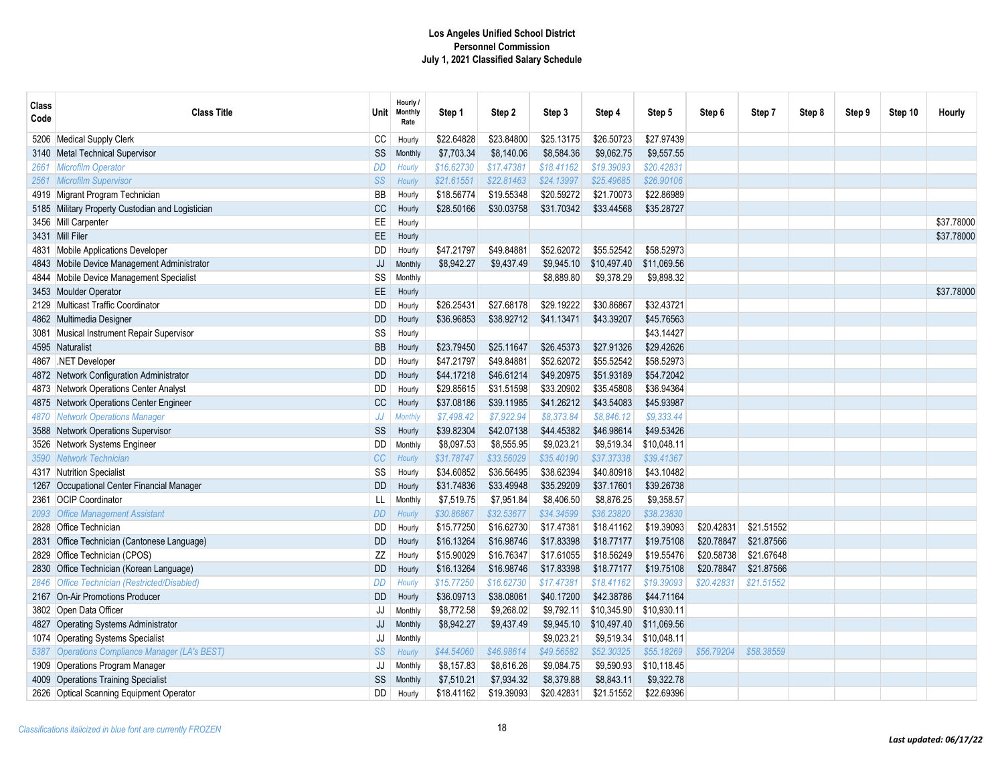| Class<br>Code | <b>Class Title</b>                               | <b>Unit</b> | Hourly /<br><b>Monthly</b><br>Rate | Step 1     | Step 2     | Step 3     | Step 4      | Step 5      | Step 6     | Step 7     | Step 8 | Step 9 | Step 10 | Hourly     |
|---------------|--------------------------------------------------|-------------|------------------------------------|------------|------------|------------|-------------|-------------|------------|------------|--------|--------|---------|------------|
| 5206          | Medical Supply Clerk                             | CC          | Hourly                             | \$22.64828 | \$23.84800 | \$25.13175 | \$26.50723  | \$27.97439  |            |            |        |        |         |            |
|               | 3140 Metal Technical Supervisor                  | SS          | <b>Monthly</b>                     | \$7,703.34 | \$8,140.06 | \$8,584.36 | \$9,062.75  | \$9,557.55  |            |            |        |        |         |            |
| 2661          | <b>Microfilm Operator</b>                        | DD          | Hourly                             | \$16.62730 | \$17.47381 | \$18.41162 | \$19.39093  | \$20.42831  |            |            |        |        |         |            |
| 2561          | <b>Microfilm Supervisor</b>                      | SS          | Hourly                             | \$21.61551 | \$22.81463 | \$24.13997 | \$25.49685  | \$26.90106  |            |            |        |        |         |            |
| 4919          | Migrant Program Technician                       | BB          | Hourly                             | \$18.56774 | \$19.55348 | \$20.59272 | \$21.70073  | \$22.86989  |            |            |        |        |         |            |
|               | 5185 Military Property Custodian and Logistician | CC          | Hourly                             | \$28.50166 | \$30.03758 | \$31.70342 | \$33.44568  | \$35.28727  |            |            |        |        |         |            |
|               | 3456 Mill Carpenter                              | EE          | Hourly                             |            |            |            |             |             |            |            |        |        |         | \$37.78000 |
|               | 3431 Mill Filer                                  | EE          | Hourly                             |            |            |            |             |             |            |            |        |        |         | \$37.78000 |
|               | 4831 Mobile Applications Developer               | DD          | Hourly                             | \$47.21797 | \$49.84881 | \$52.62072 | \$55.52542  | \$58.52973  |            |            |        |        |         |            |
| 4843          | Mobile Device Management Administrator           | JJ          | Monthly                            | \$8,942.27 | \$9,437.49 | \$9,945.10 | \$10,497.40 | \$11,069.56 |            |            |        |        |         |            |
| 4844          | Mobile Device Management Specialist              | SS          | Monthly                            |            |            | \$8,889.80 | \$9,378.29  | \$9,898.32  |            |            |        |        |         |            |
|               | 3453 Moulder Operator                            | EE.         | Hourly                             |            |            |            |             |             |            |            |        |        |         | \$37,78000 |
| 2129          | Multicast Traffic Coordinator                    | DD          | Hourly                             | \$26.25431 | \$27.68178 | \$29.19222 | \$30.86867  | \$32.43721  |            |            |        |        |         |            |
| 4862          | Multimedia Designer                              | <b>DD</b>   | Hourly                             | \$36.96853 | \$38.92712 | \$41.13471 | \$43.39207  | \$45.76563  |            |            |        |        |         |            |
|               | 3081 Musical Instrument Repair Supervisor        | SS          | Hourly                             |            |            |            |             | \$43.14427  |            |            |        |        |         |            |
|               | 4595 Naturalist                                  | <b>BB</b>   | Hourly                             | \$23.79450 | \$25.11647 | \$26.45373 | \$27.91326  | \$29.42626  |            |            |        |        |         |            |
|               | 4867 NET Developer                               | DD          | Hourly                             | \$47.21797 | \$49.84881 | \$52.62072 | \$55.52542  | \$58.52973  |            |            |        |        |         |            |
|               | 4872 Network Configuration Administrator         | <b>DD</b>   | Hourly                             | \$44.17218 | \$46.61214 | \$49,20975 | \$51,93189  | \$54.72042  |            |            |        |        |         |            |
|               | 4873 Network Operations Center Analyst           | <b>DD</b>   | Hourly                             | \$29.85615 | \$31.51598 | \$33.20902 | \$35.45808  | \$36.94364  |            |            |        |        |         |            |
|               | 4875 Network Operations Center Engineer          | CC          | Hourly                             | \$37.08186 | \$39.11985 | \$41.26212 | \$43.54083  | \$45.93987  |            |            |        |        |         |            |
| 4870          | <b>Network Operations Manager</b>                | JJ          | <b>Monthly</b>                     | \$7,498.42 | \$7.922.94 | \$8,373.84 | \$8,846.12  | \$9.333.44  |            |            |        |        |         |            |
|               | 3588 Network Operations Supervisor               | SS          | Hourly                             | \$39.82304 | \$42.07138 | \$44.45382 | \$46.98614  | \$49.53426  |            |            |        |        |         |            |
| 3526          | Network Systems Engineer                         | DD          | Monthly                            | \$8,097.53 | \$8,555.95 | \$9,023.21 | \$9,519.34  | \$10,048.11 |            |            |        |        |         |            |
| 3590          | <b>Network Technician</b>                        | CC          | Hourly                             | \$31.78747 | \$33.56029 | \$35,40190 | \$37.37338  | \$39,41367  |            |            |        |        |         |            |
|               | 4317 Nutrition Specialist                        | SS          | Hourly                             | \$34.60852 | \$36.56495 | \$38.62394 | \$40.80918  | \$43.10482  |            |            |        |        |         |            |
| 1267          | Occupational Center Financial Manager            | <b>DD</b>   | Hourly                             | \$31.74836 | \$33.49948 | \$35.29209 | \$37.17601  | \$39.26738  |            |            |        |        |         |            |
| 2361          | <b>OCIP Coordinator</b>                          | LL          | Monthly                            | \$7,519.75 | \$7,951.84 | \$8,406.50 | \$8,876.25  | \$9,358.57  |            |            |        |        |         |            |
| 2093          | <b>Office Management Assistant</b>               | DD          | Hourly                             | \$30.86867 | \$32.53677 | \$34.34599 | \$36.23820  | \$38.23830  |            |            |        |        |         |            |
| 2828          | <b>Office Technician</b>                         | DD          | Hourly                             | \$15.77250 | \$16.62730 | \$17.47381 | \$18.41162  | \$19.39093  | \$20.42831 | \$21.51552 |        |        |         |            |
| 2831          | Office Technician (Cantonese Language)           | DD          | Hourly                             | \$16.13264 | \$16.98746 | \$17.83398 | \$18.77177  | \$19.75108  | \$20.78847 | \$21.87566 |        |        |         |            |
| 2829          | Office Technician (CPOS)                         | ZZ          | Hourly                             | \$15.90029 | \$16.76347 | \$17.61055 | \$18.56249  | \$19.55476  | \$20.58738 | \$21.67648 |        |        |         |            |
| 2830          | Office Technician (Korean Language)              | <b>DD</b>   | Hourly                             | \$16.13264 | \$16.98746 | \$17.83398 | \$18.77177  | \$19.75108  | \$20.78847 | \$21.87566 |        |        |         |            |
| 2846          | <b>Office Technician (Restricted/Disabled)</b>   | DD          | Hourly                             | \$15.77250 | \$16.62730 | \$17.47381 | \$18.41162  | \$19.39093  | \$20.42831 | \$21.51552 |        |        |         |            |
| 2167          | <b>On-Air Promotions Producer</b>                | DD          | Hourly                             | \$36.09713 | \$38.08061 | \$40.17200 | \$42.38786  | \$44.71164  |            |            |        |        |         |            |
|               | 3802 Open Data Officer                           | JJ          | Monthly                            | \$8,772.58 | \$9,268.02 | \$9,792.11 | \$10,345.90 | \$10,930.11 |            |            |        |        |         |            |
|               | 4827 Operating Systems Administrator             | JJ          | Monthly                            | \$8,942.27 | \$9,437.49 | \$9,945.10 | \$10,497.40 | \$11,069.56 |            |            |        |        |         |            |
|               | 1074 Operating Systems Specialist                | JJ          | Monthly                            |            |            | \$9,023.21 | \$9,519.34  | \$10,048.11 |            |            |        |        |         |            |
| 5387          | Operations Compliance Manager (LA's BEST)        | SS          | Hourly                             | \$44.54060 | \$46.98614 | \$49.56582 | \$52.30325  | \$55.18269  | \$56.79204 | \$58.38559 |        |        |         |            |
|               | 1909 Operations Program Manager                  | JJ          | Monthly                            | \$8,157.83 | \$8,616.26 | \$9,084.75 | \$9,590.93  | \$10,118.45 |            |            |        |        |         |            |
|               | 4009 Operations Training Specialist              | SS          | Monthly                            | \$7,510.21 | \$7,934.32 | \$8,379.88 | \$8,843.11  | \$9,322.78  |            |            |        |        |         |            |
|               | 2626 Optical Scanning Equipment Operator         | DD          | Hourly                             | \$18.41162 | \$19.39093 | \$20.42831 | \$21.51552  | \$22.69396  |            |            |        |        |         |            |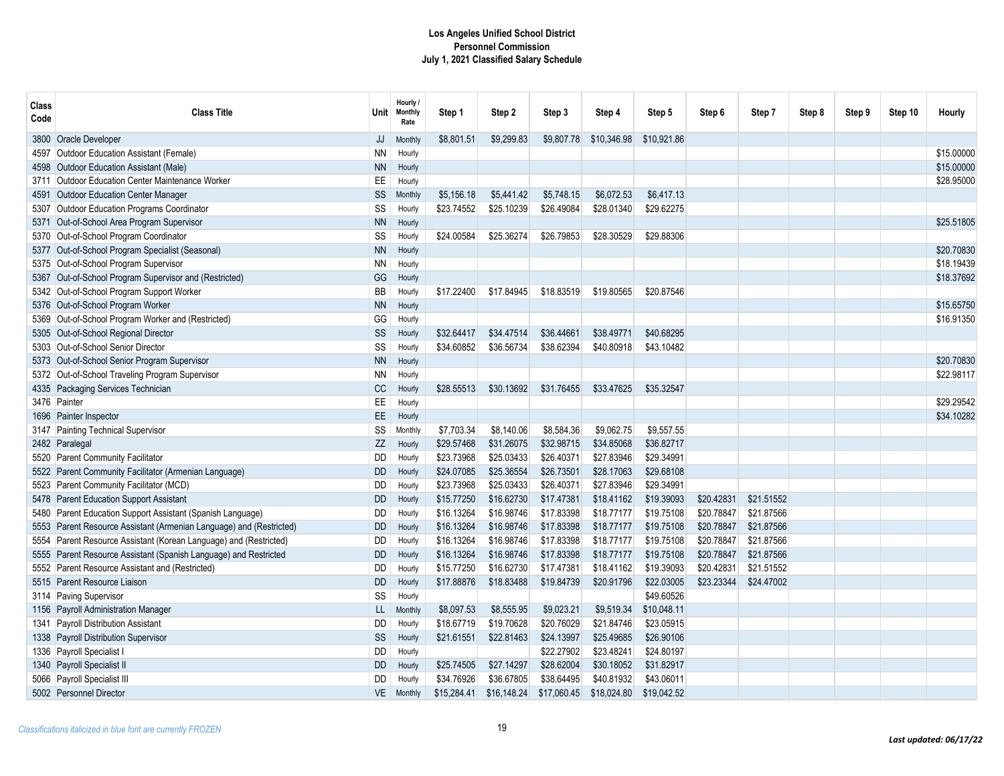| <b>Class</b><br>Code | <b>Class Title</b>                                                  |           | Hourly /<br>Unit Monthly<br>Rate | Step 1      | Step 2      | Step 3      | Step 4      | Step 5      | Step 6     | Step 7     | Step 8 | Step 9 | Step 10 | Hourly     |
|----------------------|---------------------------------------------------------------------|-----------|----------------------------------|-------------|-------------|-------------|-------------|-------------|------------|------------|--------|--------|---------|------------|
| 3800                 | <b>Oracle Developer</b>                                             | JJ        | Monthly                          | \$8,801.51  | \$9,299.83  | \$9,807.78  | \$10,346.98 | \$10,921.86 |            |            |        |        |         |            |
| 4597                 | Outdoor Education Assistant (Female)                                | <b>NN</b> | Hourly                           |             |             |             |             |             |            |            |        |        |         | \$15.00000 |
| 4598                 | Outdoor Education Assistant (Male)                                  | <b>NN</b> | Hourly                           |             |             |             |             |             |            |            |        |        |         | \$15,00000 |
| 3711                 | <b>Outdoor Education Center Maintenance Worker</b>                  | EE        | Hourly                           |             |             |             |             |             |            |            |        |        |         | \$28.95000 |
| 4591                 | Outdoor Education Center Manager                                    | SS        | Monthly                          | \$5,156.18  | \$5,441.42  | \$5,748.15  | \$6,072.53  | \$6,417.13  |            |            |        |        |         |            |
|                      | 5307 Outdoor Education Programs Coordinator                         | SS        | Hourly                           | \$23.74552  | \$25.10239  | \$26.49084  | \$28.01340  | \$29.62275  |            |            |        |        |         |            |
| 5371                 | Out-of-School Area Program Supervisor                               | <b>NN</b> | Hourly                           |             |             |             |             |             |            |            |        |        |         | \$25.51805 |
| 5370                 | Out-of-School Program Coordinator                                   | SS        | Hourly                           | \$24.00584  | \$25.36274  | \$26.79853  | \$28.30529  | \$29.88306  |            |            |        |        |         |            |
|                      | 5377 Out-of-School Program Specialist (Seasonal)                    | <b>NN</b> | Hourly                           |             |             |             |             |             |            |            |        |        |         | \$20.70830 |
|                      | 5375 Out-of-School Program Supervisor                               | <b>NN</b> | Hourly                           |             |             |             |             |             |            |            |        |        |         | \$18.19439 |
| 5367                 | Out-of-School Program Supervisor and (Restricted)                   | GG        | Hourly                           |             |             |             |             |             |            |            |        |        |         | \$18.37692 |
|                      | 5342 Out-of-School Program Support Worker                           | BB        | Hourly                           | \$17.22400  | \$17.84945  | \$18.83519  | \$19.80565  | \$20.87546  |            |            |        |        |         |            |
|                      | 5376 Out-of-School Program Worker                                   | <b>NN</b> | Hourly                           |             |             |             |             |             |            |            |        |        |         | \$15.65750 |
| 5369                 | Out-of-School Program Worker and (Restricted)                       | GG        | Hourly                           |             |             |             |             |             |            |            |        |        |         | \$16.91350 |
|                      | 5305 Out-of-School Regional Director                                | SS        | Hourly                           | \$32.64417  | \$34.47514  | \$36.44661  | \$38.49771  | \$40.68295  |            |            |        |        |         |            |
|                      | 5303 Out-of-School Senior Director                                  | SS        | Hourly                           | \$34.60852  | \$36.56734  | \$38.62394  | \$40.80918  | \$43.10482  |            |            |        |        |         |            |
|                      | 5373 Out-of-School Senior Program Supervisor                        | <b>NN</b> | Hourly                           |             |             |             |             |             |            |            |        |        |         | \$20.70830 |
|                      | 5372 Out-of-School Traveling Program Supervisor                     | <b>NN</b> | Hourly                           |             |             |             |             |             |            |            |        |        |         | \$22,98117 |
|                      | 4335 Packaging Services Technician                                  | <b>CC</b> | Hourly                           | \$28,55513  | \$30.13692  | \$31.76455  | \$33.47625  | \$35.32547  |            |            |        |        |         |            |
|                      | 3476 Painter                                                        | EE        | Hourly                           |             |             |             |             |             |            |            |        |        |         | \$29.29542 |
|                      | 1696 Painter Inspector                                              | <b>EE</b> | Hourly                           |             |             |             |             |             |            |            |        |        |         | \$34.10282 |
|                      | 3147 Painting Technical Supervisor                                  | SS        | Monthly                          | \$7,703.34  | \$8,140.06  | \$8,584.36  | \$9,062.75  | \$9,557.55  |            |            |        |        |         |            |
|                      | 2482 Paralegal                                                      | ZZ        | Hourly                           | \$29.57468  | \$31.26075  | \$32.98715  | \$34.85068  | \$36.82717  |            |            |        |        |         |            |
| 5520                 | <b>Parent Community Facilitator</b>                                 | DD        | Hourly                           | \$23.73968  | \$25.03433  | \$26.40371  | \$27.83946  | \$29.34991  |            |            |        |        |         |            |
|                      | 5522 Parent Community Facilitator (Armenian Language)               | DD        | Hourly                           | \$24.07085  | \$25.36554  | \$26.73501  | \$28.17063  | \$29.68108  |            |            |        |        |         |            |
|                      | 5523 Parent Community Facilitator (MCD)                             | DD        | Hourly                           | \$23.73968  | \$25.03433  | \$26.40371  | \$27.83946  | \$29.34991  |            |            |        |        |         |            |
|                      | 5478 Parent Education Support Assistant                             | <b>DD</b> | Hourly                           | \$15.77250  | \$16.62730  | \$17.47381  | \$18.41162  | \$19.39093  | \$20.42831 | \$21.51552 |        |        |         |            |
| 5480                 | Parent Education Support Assistant (Spanish Language)               | DD        | Hourly                           | \$16.13264  | \$16.98746  | \$17.83398  | \$18.77177  | \$19.75108  | \$20.78847 | \$21.87566 |        |        |         |            |
|                      | 5553 Parent Resource Assistant (Armenian Language) and (Restricted) | <b>DD</b> | Hourly                           | \$16.13264  | \$16.98746  | \$17.83398  | \$18.77177  | \$19.75108  | \$20.78847 | \$21.87566 |        |        |         |            |
| 5554                 | Parent Resource Assistant (Korean Language) and (Restricted)        | DD        | Hourly                           | \$16.13264  | \$16.98746  | \$17.83398  | \$18,77177  | \$19,75108  | \$20.78847 | \$21.87566 |        |        |         |            |
| 5555                 | Parent Resource Assistant (Spanish Language) and Restricted         | DD        | Hourly                           | \$16.13264  | \$16.98746  | \$17.83398  | \$18,77177  | \$19.75108  | \$20.78847 | \$21.87566 |        |        |         |            |
|                      | 5552 Parent Resource Assistant and (Restricted)                     | <b>DD</b> | Hourly                           | \$15.77250  | \$16.62730  | \$17.47381  | \$18,41162  | \$19.39093  | \$20.42831 | \$21.51552 |        |        |         |            |
|                      | 5515 Parent Resource Liaison                                        | <b>DD</b> | Hourly                           | \$17.88876  | \$18.83488  | \$19.84739  | \$20.91796  | \$22.03005  | \$23.23344 | \$24.47002 |        |        |         |            |
|                      | 3114 Paving Supervisor                                              | SS        | Hourly                           |             |             |             |             | \$49.60526  |            |            |        |        |         |            |
|                      | 1156 Payroll Administration Manager                                 | LL.       | Monthly                          | \$8,097.53  | \$8,555.95  | \$9,023.21  | \$9,519.34  | \$10,048.11 |            |            |        |        |         |            |
|                      | 1341 Payroll Distribution Assistant                                 | DD        | Hourly                           | \$18.67719  | \$19.70628  | \$20.76029  | \$21.84746  | \$23.05915  |            |            |        |        |         |            |
|                      | 1338 Payroll Distribution Supervisor                                | SS        | Hourly                           | \$21.61551  | \$22.81463  | \$24.13997  | \$25.49685  | \$26.90106  |            |            |        |        |         |            |
|                      | 1336 Payroll Specialist I                                           | DD        | Hourly                           |             |             | \$22.27902  | \$23.48241  | \$24.80197  |            |            |        |        |         |            |
|                      | 1340 Payroll Specialist II                                          | <b>DD</b> | Hourly                           | \$25.74505  | \$27.14297  | \$28.62004  | \$30.18052  | \$31.82917  |            |            |        |        |         |            |
|                      | 5066 Payroll Specialist III                                         | DD        | Hourly                           | \$34.76926  | \$36.67805  | \$38.64495  | \$40.81932  | \$43.06011  |            |            |        |        |         |            |
|                      | 5002 Personnel Director                                             | VE        | Monthly                          | \$15,284.41 | \$16,148.24 | \$17,060.45 | \$18,024.80 | \$19,042.52 |            |            |        |        |         |            |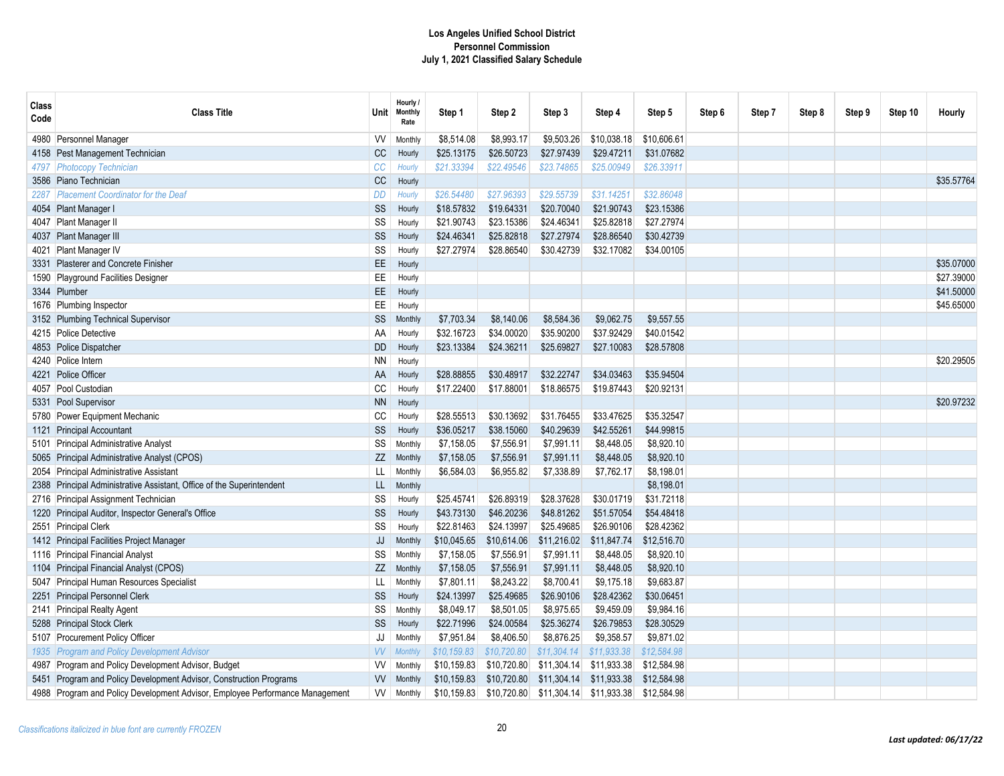| Class<br>Code | <b>Class Title</b>                                                           | Unit      | Hourly /<br><b>Monthly</b><br>Rate | Step 1      | Step 2      | Step 3      | Step 4      | Step 5      | Step 6 | Step 7 | Step 8 | Step 9 | Step 10 | Hourly     |
|---------------|------------------------------------------------------------------------------|-----------|------------------------------------|-------------|-------------|-------------|-------------|-------------|--------|--------|--------|--------|---------|------------|
| 4980          | Personnel Manager                                                            | W         | Monthly                            | \$8,514.08  | \$8,993.17  | \$9,503.26  | \$10,038.18 | \$10,606.61 |        |        |        |        |         |            |
|               | 4158 Pest Management Technician                                              | CC        | Hourly                             | \$25.13175  | \$26.50723  | \$27.97439  | \$29.47211  | \$31.07682  |        |        |        |        |         |            |
| 4797          | <b>Photocopy Technician</b>                                                  | CC        | Hourly                             | \$21.33394  | \$22.49546  | \$23.74865  | \$25.00949  | \$26.33911  |        |        |        |        |         |            |
|               | 3586 Piano Technician                                                        | CC        | Hourly                             |             |             |             |             |             |        |        |        |        |         | \$35.57764 |
| 2287          | <b>Placement Coordinator for the Deaf</b>                                    | DD        | Hourly                             | \$26.54480  | \$27.96393  | \$29.55739  | \$31.14251  | \$32.86048  |        |        |        |        |         |            |
|               | 4054 Plant Manager I                                                         | SS        | Hourly                             | \$18.57832  | \$19.64331  | \$20.70040  | \$21.90743  | \$23.15386  |        |        |        |        |         |            |
|               | 4047 Plant Manager II                                                        | SS        | Hourly                             | \$21.90743  | \$23.15386  | \$24.46341  | \$25.82818  | \$27.27974  |        |        |        |        |         |            |
|               | 4037 Plant Manager III                                                       | SS        | Hourly                             | \$24.46341  | \$25.82818  | \$27.27974  | \$28.86540  | \$30.42739  |        |        |        |        |         |            |
|               | 4021 Plant Manager IV                                                        | SS        | Hourly                             | \$27.27974  | \$28.86540  | \$30.42739  | \$32.17082  | \$34.00105  |        |        |        |        |         |            |
|               | 3331 Plasterer and Concrete Finisher                                         | EE.       | Hourly                             |             |             |             |             |             |        |        |        |        |         | \$35.07000 |
| 1590          | Playground Facilities Designer                                               | EE        | Hourly                             |             |             |             |             |             |        |        |        |        |         | \$27.39000 |
|               | 3344 Plumber                                                                 | EE        | Hourly                             |             |             |             |             |             |        |        |        |        |         | \$41.50000 |
|               | 1676 Plumbing Inspector                                                      | EE        | Hourly                             |             |             |             |             |             |        |        |        |        |         | \$45.65000 |
|               | 3152 Plumbing Technical Supervisor                                           | <b>SS</b> | Monthly                            | \$7,703.34  | \$8,140.06  | \$8,584.36  | \$9,062.75  | \$9,557.55  |        |        |        |        |         |            |
|               | 4215 Police Detective                                                        | AA        | Hourly                             | \$32.16723  | \$34.00020  | \$35.90200  | \$37.92429  | \$40.01542  |        |        |        |        |         |            |
|               | 4853 Police Dispatcher                                                       | <b>DD</b> | Hourly                             | \$23.13384  | \$24.36211  | \$25.69827  | \$27.10083  | \$28.57808  |        |        |        |        |         |            |
|               | 4240 Police Intern                                                           | <b>NN</b> | Hourly                             |             |             |             |             |             |        |        |        |        |         | \$20.29505 |
| 4221          | Police Officer                                                               | AA        | Hourly                             | \$28.88855  | \$30.48917  | \$32.22747  | \$34.03463  | \$35.94504  |        |        |        |        |         |            |
|               | 4057 Pool Custodian                                                          | CC        | Hourly                             | \$17.22400  | \$17.88001  | \$18.86575  | \$19.87443  | \$20.92131  |        |        |        |        |         |            |
| 5331          | Pool Supervisor                                                              | <b>NN</b> | Hourly                             |             |             |             |             |             |        |        |        |        |         | \$20.97232 |
| 5780          | Power Equipment Mechanic                                                     | CC        | Hourly                             | \$28.55513  | \$30.13692  | \$31.76455  | \$33.47625  | \$35.32547  |        |        |        |        |         |            |
| 1121          | <b>Principal Accountant</b>                                                  | SS        | Hourly                             | \$36.05217  | \$38.15060  | \$40.29639  | \$42.55261  | \$44.99815  |        |        |        |        |         |            |
|               | 5101 Principal Administrative Analyst                                        | SS        | Monthly                            | \$7,158.05  | \$7,556.91  | \$7,991.11  | \$8,448.05  | \$8,920.10  |        |        |        |        |         |            |
| 5065          | Principal Administrative Analyst (CPOS)                                      | ZZ        | Monthly                            | \$7,158.05  | \$7,556.91  | \$7,991.11  | \$8,448.05  | \$8,920.10  |        |        |        |        |         |            |
| 2054          | <b>Principal Administrative Assistant</b>                                    | LL        | Monthly                            | \$6,584.03  | \$6,955.82  | \$7,338.89  | \$7,762.17  | \$8,198.01  |        |        |        |        |         |            |
|               | 2388 Principal Administrative Assistant, Office of the Superintendent        | LL        | Monthly                            |             |             |             |             | \$8,198.01  |        |        |        |        |         |            |
|               | 2716 Principal Assignment Technician                                         | SS        | Hourly                             | \$25.45741  | \$26.89319  | \$28.37628  | \$30.01719  | \$31.72118  |        |        |        |        |         |            |
|               | 1220 Principal Auditor, Inspector General's Office                           | SS        | Hourly                             | \$43.73130  | \$46.20236  | \$48.81262  | \$51.57054  | \$54.48418  |        |        |        |        |         |            |
|               | 2551 Principal Clerk                                                         | SS        | Hourly                             | \$22.81463  | \$24.13997  | \$25.49685  | \$26.90106  | \$28.42362  |        |        |        |        |         |            |
|               | 1412 Principal Facilities Project Manager                                    | JJ        | Monthly                            | \$10,045.65 | \$10,614.06 | \$11,216.02 | \$11,847.74 | \$12,516.70 |        |        |        |        |         |            |
| 1116          | <b>Principal Financial Analyst</b>                                           | SS        | Monthly                            | \$7,158.05  | \$7.556.91  | \$7.991.11  | \$8.448.05  | \$8.920.10  |        |        |        |        |         |            |
| 1104          | Principal Financial Analyst (CPOS)                                           | ZZ        | Monthly                            | \$7,158.05  | \$7,556.91  | \$7,991.11  | \$8,448.05  | \$8,920.10  |        |        |        |        |         |            |
|               | 5047 Principal Human Resources Specialist                                    | LL        | Monthly                            | \$7,801.11  | \$8,243.22  | \$8,700.41  | \$9,175.18  | \$9,683.87  |        |        |        |        |         |            |
| 2251          | <b>Principal Personnel Clerk</b>                                             | SS        | Hourly                             | \$24.13997  | \$25.49685  | \$26.90106  | \$28.42362  | \$30.06451  |        |        |        |        |         |            |
|               | 2141 Principal Realty Agent                                                  | SS        | Monthly                            | \$8,049.17  | \$8,501.05  | \$8,975.65  | \$9,459.09  | \$9,984.16  |        |        |        |        |         |            |
|               | 5288 Principal Stock Clerk                                                   | SS        | Hourly                             | \$22.71996  | \$24.00584  | \$25.36274  | \$26.79853  | \$28.30529  |        |        |        |        |         |            |
|               | 5107 Procurement Policy Officer                                              | JJ        | Monthly                            | \$7,951.84  | \$8,406.50  | \$8,876.25  | \$9,358.57  | \$9,871.02  |        |        |        |        |         |            |
| 1935          | <b>Program and Policy Development Advisor</b>                                | <b>VV</b> | <b>Monthly</b>                     | \$10,159.83 | \$10,720.80 | \$11,304.14 | \$11,933.38 | \$12,584.98 |        |        |        |        |         |            |
| 4987          | Program and Policy Development Advisor, Budget                               | W         | Monthly                            | \$10,159.83 | \$10,720.80 | \$11,304.14 | \$11,933.38 | \$12,584.98 |        |        |        |        |         |            |
|               | 5451 Program and Policy Development Advisor, Construction Programs           | <b>VV</b> | Monthly                            | \$10,159.83 | \$10,720.80 | \$11,304.14 | \$11,933.38 | \$12,584.98 |        |        |        |        |         |            |
|               | 4988 Program and Policy Development Advisor, Employee Performance Management | W         | Monthly                            | \$10,159.83 | \$10,720.80 | \$11,304.14 | \$11,933.38 | \$12,584.98 |        |        |        |        |         |            |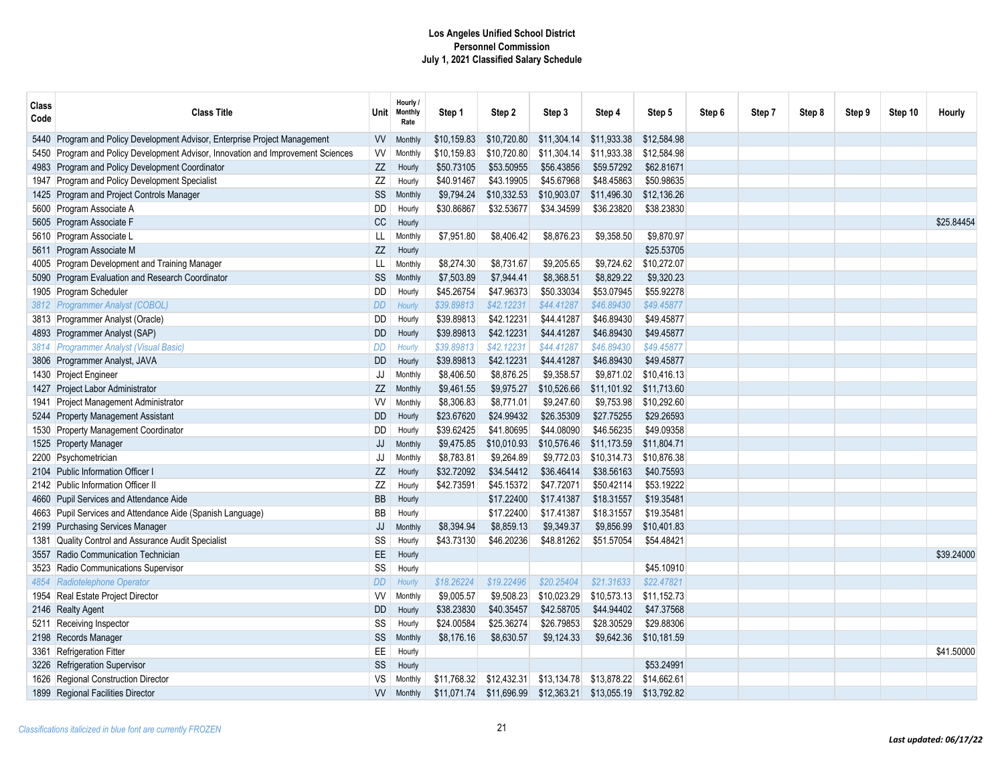| Class<br>Code | <b>Class Title</b>                                                               | Unit      | Hourly /<br><b>Monthly</b><br>Rate | Step 1      | Step 2      | Step 3      | Step 4      | Step 5      | Step 6 | Step 7 | Step 8 | Step 9 | Step 10 | Hourly     |
|---------------|----------------------------------------------------------------------------------|-----------|------------------------------------|-------------|-------------|-------------|-------------|-------------|--------|--------|--------|--------|---------|------------|
|               | 5440 Program and Policy Development Advisor, Enterprise Project Management       | W         | <b>Monthly</b>                     | \$10,159.83 | \$10,720.80 | \$11,304.14 | \$11,933.38 | \$12,584.98 |        |        |        |        |         |            |
|               | 5450 Program and Policy Development Advisor, Innovation and Improvement Sciences | W         | <b>Monthly</b>                     | \$10,159.83 | \$10,720.80 | \$11,304.14 | \$11,933.38 | \$12,584.98 |        |        |        |        |         |            |
|               | 4983 Program and Policy Development Coordinator                                  | ZZ        | Hourly                             | \$50.73105  | \$53.50955  | \$56.43856  | \$59.57292  | \$62.81671  |        |        |        |        |         |            |
|               | 1947 Program and Policy Development Specialist                                   | ZZ        | Hourly                             | \$40.91467  | \$43.19905  | \$45.67968  | \$48.45863  | \$50.98635  |        |        |        |        |         |            |
|               | 1425 Program and Project Controls Manager                                        | SS        | <b>Monthly</b>                     | \$9,794.24  | \$10,332.53 | \$10,903.07 | \$11,496.30 | \$12,136.26 |        |        |        |        |         |            |
|               | 5600 Program Associate A                                                         | <b>DD</b> | Hourly                             | \$30.86867  | \$32.53677  | \$34.34599  | \$36.23820  | \$38.23830  |        |        |        |        |         |            |
|               | 5605 Program Associate F                                                         | CC        | Hourly                             |             |             |             |             |             |        |        |        |        |         | \$25.84454 |
|               | 5610 Program Associate L                                                         | LL        | Monthly                            | \$7,951.80  | \$8,406.42  | \$8,876.23  | \$9,358.50  | \$9,870.97  |        |        |        |        |         |            |
|               | 5611 Program Associate M                                                         | ZZ        | Hourly                             |             |             |             |             | \$25.53705  |        |        |        |        |         |            |
|               | 4005 Program Development and Training Manager                                    | LL        | Monthly                            | \$8,274.30  | \$8,731.67  | \$9,205.65  | \$9,724.62  | \$10,272.07 |        |        |        |        |         |            |
|               | 5090 Program Evaluation and Research Coordinator                                 | SS        | Monthly                            | \$7,503.89  | \$7,944.41  | \$8,368.51  | \$8,829.22  | \$9,320.23  |        |        |        |        |         |            |
|               | 1905 Program Scheduler                                                           | DD        | Hourly                             | \$45.26754  | \$47.96373  | \$50.33034  | \$53.07945  | \$55.92278  |        |        |        |        |         |            |
|               | 3812 Programmer Analyst (COBOL)                                                  | <b>DD</b> | Hourly                             | \$39.89813  | \$42.12231  | \$44.41287  | \$46.89430  | \$49.45877  |        |        |        |        |         |            |
|               | 3813 Programmer Analyst (Oracle)                                                 | DD        | Hourly                             | \$39.89813  | \$42.12231  | \$44.41287  | \$46.89430  | \$49.45877  |        |        |        |        |         |            |
|               | 4893 Programmer Analyst (SAP)                                                    | <b>DD</b> | Hourly                             | \$39.89813  | \$42.12231  | \$44.41287  | \$46.89430  | \$49,45877  |        |        |        |        |         |            |
|               | 3814   Programmer Analyst (Visual Basic)                                         | DD        | Hourly                             | \$39.89813  | \$42.12231  | \$44.41287  | \$46.89430  | \$49.45877  |        |        |        |        |         |            |
|               | 3806 Programmer Analyst, JAVA                                                    | <b>DD</b> | Hourly                             | \$39.89813  | \$42.12231  | \$44.41287  | \$46.89430  | \$49.45877  |        |        |        |        |         |            |
|               | 1430 Project Engineer                                                            | JJ        | Monthly                            | \$8,406.50  | \$8,876.25  | \$9,358.57  | \$9,871.02  | \$10,416.13 |        |        |        |        |         |            |
|               | 1427 Project Labor Administrator                                                 | ZZ        | <b>Monthly</b>                     | \$9,461.55  | \$9,975.27  | \$10,526.66 | \$11,101.92 | \$11,713.60 |        |        |        |        |         |            |
| 1941          | Project Management Administrator                                                 | W         | Monthly                            | \$8,306.83  | \$8,771.01  | \$9,247.60  | \$9,753.98  | \$10,292.60 |        |        |        |        |         |            |
|               | 5244 Property Management Assistant                                               | DD        | Hourly                             | \$23.67620  | \$24.99432  | \$26.35309  | \$27.75255  | \$29.26593  |        |        |        |        |         |            |
|               | 1530 Property Management Coordinator                                             | DD        | Hourly                             | \$39.62425  | \$41.80695  | \$44.08090  | \$46.56235  | \$49.09358  |        |        |        |        |         |            |
|               | 1525 Property Manager                                                            | JJ        | Monthly                            | \$9,475.85  | \$10,010.93 | \$10,576.46 | \$11,173.59 | \$11,804.71 |        |        |        |        |         |            |
|               | 2200 Psychometrician                                                             | JJ        | Monthly                            | \$8,783.81  | \$9,264.89  | \$9,772.03  | \$10,314.73 | \$10,876.38 |        |        |        |        |         |            |
|               | 2104 Public Information Officer I                                                | ΖZ        | Hourly                             | \$32.72092  | \$34.54412  | \$36.46414  | \$38.56163  | \$40.75593  |        |        |        |        |         |            |
|               | 2142 Public Information Officer II                                               | ZZ        | Hourly                             | \$42.73591  | \$45.15372  | \$47.72071  | \$50.42114  | \$53.19222  |        |        |        |        |         |            |
|               | 4660 Pupil Services and Attendance Aide                                          | <b>BB</b> | Hourly                             |             | \$17.22400  | \$17.41387  | \$18.31557  | \$19.35481  |        |        |        |        |         |            |
|               | 4663 Pupil Services and Attendance Aide (Spanish Language)                       | BB        | Hourly                             |             | \$17.22400  | \$17.41387  | \$18.31557  | \$19.35481  |        |        |        |        |         |            |
|               | 2199 Purchasing Services Manager                                                 | JJ        | Monthly                            | \$8,394.94  | \$8,859.13  | \$9,349.37  | \$9,856.99  | \$10,401.83 |        |        |        |        |         |            |
|               | 1381 Quality Control and Assurance Audit Specialist                              | SS        | Hourly                             | \$43.73130  | \$46.20236  | \$48.81262  | \$51.57054  | \$54.48421  |        |        |        |        |         |            |
|               | 3557 Radio Communication Technician                                              | EE.       | Hourly                             |             |             |             |             |             |        |        |        |        |         | \$39,24000 |
|               | 3523 Radio Communications Supervisor                                             | SS        | Hourly                             |             |             |             |             | \$45.10910  |        |        |        |        |         |            |
|               | 4854 Radiotelephone Operator                                                     | <b>DD</b> | Hourly                             | \$18.26224  | \$19.22496  | \$20.25404  | \$21.31633  | \$22.47821  |        |        |        |        |         |            |
|               | 1954 Real Estate Project Director                                                | W         | Monthly                            | \$9,005.57  | \$9,508.23  | \$10,023.29 | \$10,573.13 | \$11,152.73 |        |        |        |        |         |            |
|               | 2146 Realty Agent                                                                | DD        | Hourly                             | \$38.23830  | \$40.35457  | \$42.58705  | \$44.94402  | \$47.37568  |        |        |        |        |         |            |
|               | 5211 Receiving Inspector                                                         | SS        | Hourly                             | \$24.00584  | \$25.36274  | \$26.79853  | \$28.30529  | \$29.88306  |        |        |        |        |         |            |
|               | 2198 Records Manager                                                             | SS        | Monthly                            | \$8,176.16  | \$8,630.57  | \$9,124.33  | \$9,642.36  | \$10,181.59 |        |        |        |        |         |            |
|               | 3361 Refrigeration Fitter                                                        | EE        | Hourly                             |             |             |             |             |             |        |        |        |        |         | \$41.50000 |
|               | 3226 Refrigeration Supervisor                                                    | SS        | Hourly                             |             |             |             |             | \$53.24991  |        |        |        |        |         |            |
|               | 1626 Regional Construction Director                                              | VS        | Monthly                            | \$11,768.32 | \$12,432.31 | \$13,134.78 | \$13,878.22 | \$14,662.61 |        |        |        |        |         |            |
|               | 1899 Regional Facilities Director                                                | <b>VV</b> | Monthly                            | \$11,071.74 | \$11,696.99 | \$12,363.21 | \$13,055.19 | \$13,792.82 |        |        |        |        |         |            |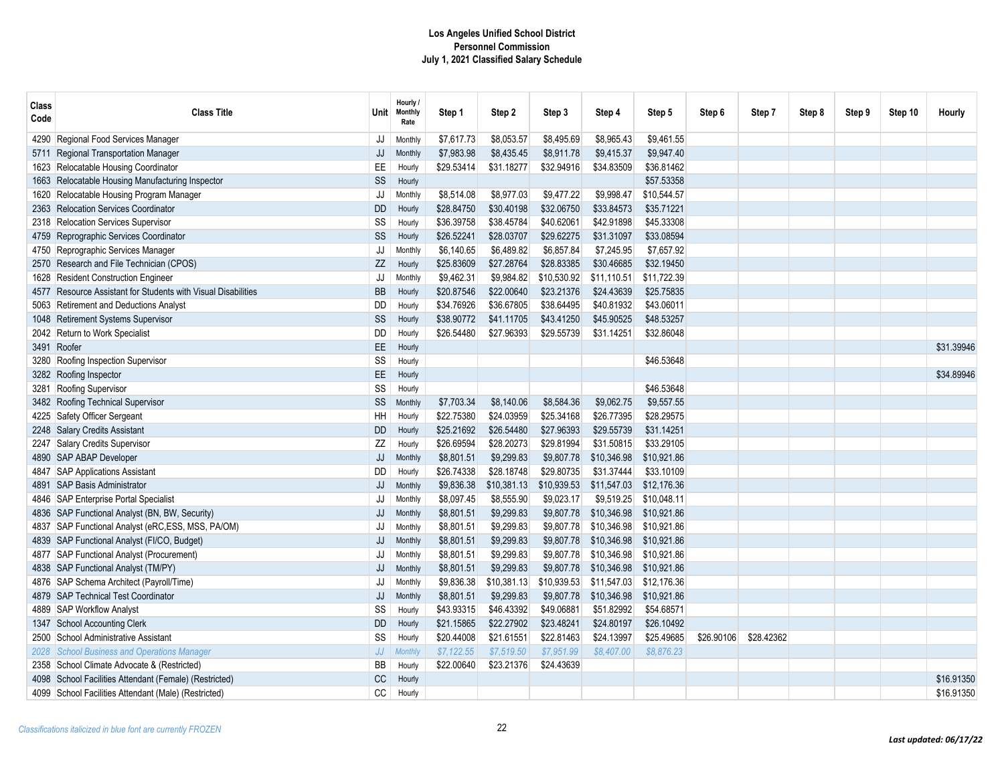| Class<br>Code | <b>Class Title</b>                                            | Unit      | Hourly /<br>Monthly<br>Rate | Step 1     | Step 2      | Step 3      | Step 4      | Step 5      | Step 6     | Step 7     | Step 8 | Step 9 | Step 10 | Hourly     |
|---------------|---------------------------------------------------------------|-----------|-----------------------------|------------|-------------|-------------|-------------|-------------|------------|------------|--------|--------|---------|------------|
|               | 4290 Regional Food Services Manager                           | JJ        | Monthly                     | \$7,617.73 | \$8,053.57  | \$8,495.69  | \$8,965.43  | \$9,461.55  |            |            |        |        |         |            |
|               | 5711 Regional Transportation Manager                          | JJ        | <b>Monthly</b>              | \$7,983.98 | \$8,435.45  | \$8,911.78  | \$9,415.37  | \$9,947.40  |            |            |        |        |         |            |
|               | 1623 Relocatable Housing Coordinator                          | EE        | Hourly                      | \$29.53414 | \$31.18277  | \$32.94916  | \$34.83509  | \$36.81462  |            |            |        |        |         |            |
|               | 1663 Relocatable Housing Manufacturing Inspector              | SS        | Hourly                      |            |             |             |             | \$57.53358  |            |            |        |        |         |            |
|               | 1620 Relocatable Housing Program Manager                      | JJ        | Monthly                     | \$8,514.08 | \$8,977.03  | \$9,477.22  | \$9,998.47  | \$10,544.57 |            |            |        |        |         |            |
|               | 2363 Relocation Services Coordinator                          | <b>DD</b> | Hourly                      | \$28.84750 | \$30.40198  | \$32.06750  | \$33.84573  | \$35.71221  |            |            |        |        |         |            |
|               | 2318 Relocation Services Supervisor                           | SS        | Hourly                      | \$36.39758 | \$38.45784  | \$40.62061  | \$42.91898  | \$45.33308  |            |            |        |        |         |            |
|               | 4759 Reprographic Services Coordinator                        | SS        | Hourly                      | \$26.52241 | \$28.03707  | \$29.62275  | \$31.31097  | \$33.08594  |            |            |        |        |         |            |
|               | 4750 Reprographic Services Manager                            | JJ        | Monthly                     | \$6,140.65 | \$6,489.82  | \$6,857.84  | \$7,245.95  | \$7,657.92  |            |            |        |        |         |            |
|               | 2570 Research and File Technician (CPOS)                      | ZZ        | Hourly                      | \$25.83609 | \$27.28764  | \$28.83385  | \$30.46685  | \$32.19450  |            |            |        |        |         |            |
|               | 1628 Resident Construction Engineer                           | JJ        | Monthly                     | \$9,462.31 | \$9,984.82  | \$10,530.92 | \$11.110.51 | \$11.722.39 |            |            |        |        |         |            |
|               | 4577 Resource Assistant for Students with Visual Disabilities | <b>BB</b> | Hourly                      | \$20.87546 | \$22.00640  | \$23.21376  | \$24.43639  | \$25.75835  |            |            |        |        |         |            |
|               | 5063 Retirement and Deductions Analyst                        | DD        | Hourly                      | \$34.76926 | \$36.67805  | \$38.64495  | \$40.81932  | \$43.06011  |            |            |        |        |         |            |
|               | 1048 Retirement Systems Supervisor                            | SS        | Hourly                      | \$38,90772 | \$41.11705  | \$43.41250  | \$45.90525  | \$48,53257  |            |            |        |        |         |            |
|               | 2042 Return to Work Specialist                                | DD        | Hourly                      | \$26.54480 | \$27.96393  | \$29.55739  | \$31.14251  | \$32.86048  |            |            |        |        |         |            |
|               | 3491 Roofer                                                   | EE        | Hourly                      |            |             |             |             |             |            |            |        |        |         | \$31.39946 |
|               | 3280 Roofing Inspection Supervisor                            | SS        | Hourly                      |            |             |             |             | \$46.53648  |            |            |        |        |         |            |
|               | 3282 Roofing Inspector                                        | EE.       | Hourly                      |            |             |             |             |             |            |            |        |        |         | \$34.89946 |
|               | 3281 Roofing Supervisor                                       | SS        | Hourly                      |            |             |             |             | \$46.53648  |            |            |        |        |         |            |
|               | 3482 Roofing Technical Supervisor                             | SS        | Monthly                     | \$7,703.34 | \$8,140.06  | \$8,584.36  | \$9,062.75  | \$9,557.55  |            |            |        |        |         |            |
|               | 4225 Safety Officer Sergeant                                  | HH        | Hourly                      | \$22.75380 | \$24.03959  | \$25.34168  | \$26.77395  | \$28.29575  |            |            |        |        |         |            |
|               | 2248 Salary Credits Assistant                                 | <b>DD</b> | Hourly                      | \$25.21692 | \$26.54480  | \$27.96393  | \$29.55739  | \$31.14251  |            |            |        |        |         |            |
|               | 2247 Salary Credits Supervisor                                | ZZ        | Hourly                      | \$26.69594 | \$28.20273  | \$29.81994  | \$31.50815  | \$33.29105  |            |            |        |        |         |            |
|               | 4890 SAP ABAP Developer                                       | JJ        | Monthly                     | \$8,801.51 | \$9,299.83  | \$9,807.78  | \$10,346.98 | \$10,921.86 |            |            |        |        |         |            |
|               | 4847 SAP Applications Assistant                               | DD        | Hourly                      | \$26.74338 | \$28.18748  | \$29.80735  | \$31.37444  | \$33.10109  |            |            |        |        |         |            |
|               | 4891 SAP Basis Administrator                                  | JJ        | Monthly                     | \$9,836.38 | \$10,381.13 | \$10,939.53 | \$11,547.03 | \$12,176.36 |            |            |        |        |         |            |
|               | 4846   SAP Enterprise Portal Specialist                       | JJ        | Monthly                     | \$8,097.45 | \$8,555.90  | \$9,023.17  | \$9,519.25  | \$10.048.11 |            |            |        |        |         |            |
|               | 4836 SAP Functional Analyst (BN, BW, Security)                | JJ        | Monthly                     | \$8,801.51 | \$9,299.83  | \$9,807.78  | \$10,346.98 | \$10,921.86 |            |            |        |        |         |            |
|               | 4837 SAP Functional Analyst (eRC, ESS, MSS, PA/OM)            | JJ        | Monthly                     | \$8,801.51 | \$9,299.83  | \$9,807.78  | \$10,346.98 | \$10,921.86 |            |            |        |        |         |            |
|               | 4839 SAP Functional Analyst (FI/CO, Budget)                   | JJ        | Monthly                     | \$8,801.51 | \$9,299.83  | \$9,807.78  | \$10,346.98 | \$10,921.86 |            |            |        |        |         |            |
|               | 4877   SAP Functional Analyst (Procurement)                   | JJ        | Monthly                     | \$8,801.51 | \$9,299.83  | \$9,807.78  | \$10,346.98 | \$10,921.86 |            |            |        |        |         |            |
|               | 4838 SAP Functional Analyst (TM/PY)                           | JJ        | <b>Monthly</b>              | \$8,801.51 | \$9,299.83  | \$9,807.78  | \$10,346.98 | \$10,921.86 |            |            |        |        |         |            |
|               | 4876   SAP Schema Architect (Payroll/Time)                    | JJ        | Monthly                     | \$9,836.38 | \$10,381.13 | \$10,939.53 | \$11,547.03 | \$12,176.36 |            |            |        |        |         |            |
|               | 4879 SAP Technical Test Coordinator                           | JJ        | Monthly                     | \$8,801.51 | \$9,299.83  | \$9,807.78  | \$10,346.98 | \$10,921.86 |            |            |        |        |         |            |
|               | 4889 SAP Workflow Analyst                                     | SS        | Hourly                      | \$43.93315 | \$46.43392  | \$49.06881  | \$51.82992  | \$54.68571  |            |            |        |        |         |            |
|               | 1347 School Accounting Clerk                                  | <b>DD</b> | Hourly                      | \$21.15865 | \$22.27902  | \$23.48241  | \$24.80197  | \$26.10492  |            |            |        |        |         |            |
|               | 2500 School Administrative Assistant                          | SS        | Hourly                      | \$20.44008 | \$21.61551  | \$22.81463  | \$24.13997  | \$25.49685  | \$26.90106 | \$28.42362 |        |        |         |            |
|               | 2028 School Business and Operations Manager                   | JJ        | <b>Monthl</b>               | \$7,122.55 | \$7,519.50  | \$7,951.99  | \$8,407.00  | \$8,876.23  |            |            |        |        |         |            |
|               | 2358 School Climate Advocate & (Restricted)                   | BB        | Hourly                      | \$22.00640 | \$23.21376  | \$24.43639  |             |             |            |            |        |        |         |            |
|               | 4098 School Facilities Attendant (Female) (Restricted)        | CC        | Hourly                      |            |             |             |             |             |            |            |        |        |         | \$16.91350 |
|               | 4099 School Facilities Attendant (Male) (Restricted)          | CC        | Hourly                      |            |             |             |             |             |            |            |        |        |         | \$16.91350 |
|               |                                                               |           |                             |            |             |             |             |             |            |            |        |        |         |            |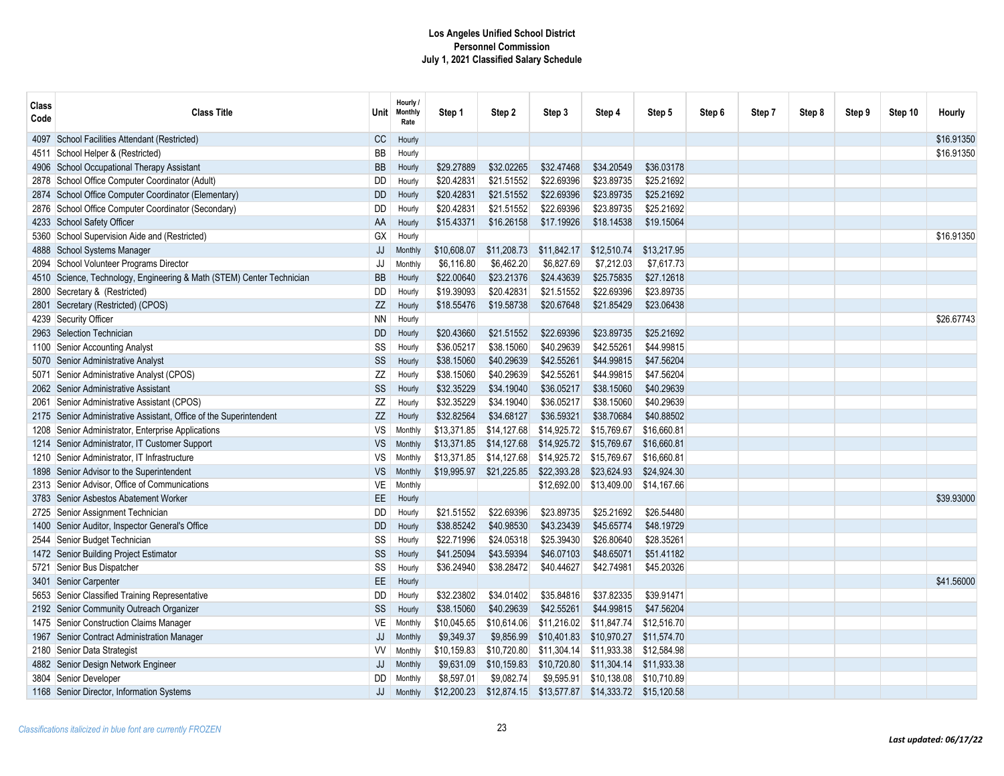| Class<br>Code | <b>Class Title</b>                                                    | Unit⊹     | Hourly /<br><b>Monthly</b><br>Rate | Step 1      | Step 2      | Step 3      | Step 4                  | Step 5      | Step 6 | Step 7 | Step 8 | Step 9 | Step 10 | Hourly     |
|---------------|-----------------------------------------------------------------------|-----------|------------------------------------|-------------|-------------|-------------|-------------------------|-------------|--------|--------|--------|--------|---------|------------|
|               | 4097 School Facilities Attendant (Restricted)                         | CC        | Hourly                             |             |             |             |                         |             |        |        |        |        |         | \$16,91350 |
|               | 4511 School Helper & (Restricted)                                     | BB        | Hourly                             |             |             |             |                         |             |        |        |        |        |         | \$16.91350 |
|               | 4906 School Occupational Therapy Assistant                            | <b>BB</b> | Hourly                             | \$29.27889  | \$32.02265  | \$32.47468  | \$34,20549              | \$36.03178  |        |        |        |        |         |            |
|               | 2878 School Office Computer Coordinator (Adult)                       | <b>DD</b> | Hourly                             | \$20.42831  | \$21.51552  | \$22.69396  | \$23.89735              | \$25.21692  |        |        |        |        |         |            |
|               | 2874 School Office Computer Coordinator (Elementary)                  | <b>DD</b> | Hourly                             | \$20.42831  | \$21.51552  | \$22.69396  | \$23.89735              | \$25.21692  |        |        |        |        |         |            |
|               | 2876 School Office Computer Coordinator (Secondary)                   | <b>DD</b> | Hourly                             | \$20.42831  | \$21.51552  | \$22.69396  | \$23.89735              | \$25.21692  |        |        |        |        |         |            |
|               | 4233 School Safety Officer                                            | AA        | Hourly                             | \$15.43371  | \$16.26158  | \$17.19926  | \$18.14538              | \$19.15064  |        |        |        |        |         |            |
|               | 5360 School Supervision Aide and (Restricted)                         | GX        | Hourly                             |             |             |             |                         |             |        |        |        |        |         | \$16,91350 |
|               | 4888 School Systems Manager                                           | JJ        | Monthly                            | \$10,608.07 | \$11,208.73 | \$11,842.17 | \$12,510.74             | \$13,217.95 |        |        |        |        |         |            |
|               | 2094 School Volunteer Programs Director                               | JJ        | Monthly                            | \$6,116.80  | \$6,462.20  | \$6,827.69  | \$7,212.03              | \$7,617.73  |        |        |        |        |         |            |
|               | 4510 Science, Technology, Engineering & Math (STEM) Center Technician | <b>BB</b> | Hourly                             | \$22.00640  | \$23.21376  | \$24.43639  | \$25.75835              | \$27.12618  |        |        |        |        |         |            |
|               | 2800 Secretary & (Restricted)                                         | DD        | Hourly                             | \$19.39093  | \$20.42831  | \$21.51552  | \$22.69396              | \$23.89735  |        |        |        |        |         |            |
|               | 2801 Secretary (Restricted) (CPOS)                                    | ZZ        | Hourly                             | \$18.55476  | \$19.58738  | \$20.67648  | \$21.85429              | \$23.06438  |        |        |        |        |         |            |
|               | 4239 Security Officer                                                 | <b>NN</b> | Hourly                             |             |             |             |                         |             |        |        |        |        |         | \$26.67743 |
|               | 2963 Selection Technician                                             | <b>DD</b> | Hourly                             | \$20.43660  | \$21.51552  | \$22.69396  | \$23.89735              | \$25.21692  |        |        |        |        |         |            |
|               | 1100 Senior Accounting Analyst                                        | SS        | Hourly                             | \$36.05217  | \$38.15060  | \$40.29639  | \$42.55261              | \$44.99815  |        |        |        |        |         |            |
|               | 5070 Senior Administrative Analyst                                    | SS        | Hourly                             | \$38.15060  | \$40.29639  | \$42.55261  | \$44.99815              | \$47.56204  |        |        |        |        |         |            |
|               | 5071 Senior Administrative Analyst (CPOS)                             | ZZ        | Hourly                             | \$38.15060  | \$40.29639  | \$42.55261  | \$44.99815              | \$47.56204  |        |        |        |        |         |            |
|               | 2062 Senior Administrative Assistant                                  | SS        | Hourly                             | \$32.35229  | \$34.19040  | \$36.05217  | \$38.15060              | \$40.29639  |        |        |        |        |         |            |
|               | 2061 Senior Administrative Assistant (CPOS)                           | ZZ        | Hourly                             | \$32.35229  | \$34.19040  | \$36.05217  | \$38.15060              | \$40.29639  |        |        |        |        |         |            |
|               | 2175 Senior Administrative Assistant, Office of the Superintendent    | ZZ        | Hourly                             | \$32.82564  | \$34.68127  | \$36.59321  | \$38.70684              | \$40.88502  |        |        |        |        |         |            |
|               | 1208 Senior Administrator, Enterprise Applications                    | VS        | Monthly                            | \$13,371.85 | \$14,127.68 | \$14,925.72 | \$15,769.67             | \$16,660.81 |        |        |        |        |         |            |
|               | 1214 Senior Administrator, IT Customer Support                        | <b>VS</b> | Monthly                            | \$13,371.85 | \$14,127.68 | \$14,925.72 | \$15,769.67             | \$16,660.81 |        |        |        |        |         |            |
|               | 1210 Senior Administrator, IT Infrastructure                          | VS        | Monthly                            | \$13,371.85 | \$14,127.68 | \$14,925.72 | \$15,769.67             | \$16,660.81 |        |        |        |        |         |            |
|               | 1898 Senior Advisor to the Superintendent                             | <b>VS</b> | Monthly                            | \$19,995.97 | \$21,225.85 | \$22,393.28 | \$23,624.93             | \$24,924.30 |        |        |        |        |         |            |
|               | 2313 Senior Advisor, Office of Communications                         | VE        | Monthly                            |             |             | \$12,692.00 | \$13,409.00 \$14,167.66 |             |        |        |        |        |         |            |
|               | 3783 Senior Asbestos Abatement Worker                                 | EE        | Hourly                             |             |             |             |                         |             |        |        |        |        |         | \$39.93000 |
|               | 2725 Senior Assignment Technician                                     | <b>DD</b> | Hourly                             | \$21.51552  | \$22.69396  | \$23.89735  | \$25.21692              | \$26.54480  |        |        |        |        |         |            |
|               | 1400 Senior Auditor, Inspector General's Office                       | <b>DD</b> | Hourly                             | \$38.85242  | \$40.98530  | \$43.23439  | \$45.65774              | \$48.19729  |        |        |        |        |         |            |
|               | 2544 Senior Budget Technician                                         | SS        | Hourly                             | \$22.71996  | \$24.05318  | \$25.39430  | \$26,80640              | \$28.35261  |        |        |        |        |         |            |
|               | 1472 Senior Building Project Estimator                                | SS        | Hourly                             | \$41.25094  | \$43.59394  | \$46.07103  | \$48.65071              | \$51.41182  |        |        |        |        |         |            |
|               | 5721 Senior Bus Dispatcher                                            | SS        | Hourly                             | \$36.24940  | \$38.28472  | \$40.44627  | \$42.74981              | \$45.20326  |        |        |        |        |         |            |
|               | 3401 Senior Carpenter                                                 | EE        | Hourly                             |             |             |             |                         |             |        |        |        |        |         | \$41,56000 |
|               | 5653 Senior Classified Training Representative                        | DD        | Hourly                             | \$32.23802  | \$34.01402  | \$35.84816  | \$37.82335              | \$39.91471  |        |        |        |        |         |            |
|               | 2192 Senior Community Outreach Organizer                              | SS        | Hourly                             | \$38.15060  | \$40.29639  | \$42.55261  | \$44.99815              | \$47.56204  |        |        |        |        |         |            |
|               | 1475 Senior Construction Claims Manager                               | <b>VE</b> | Monthly                            | \$10,045.65 | \$10,614.06 | \$11,216.02 | \$11,847.74             | \$12,516.70 |        |        |        |        |         |            |
|               | 1967 Senior Contract Administration Manager                           | JJ        | Monthly                            | \$9,349.37  | \$9,856.99  | \$10,401.83 | \$10,970.27             | \$11,574.70 |        |        |        |        |         |            |
|               | 2180 Senior Data Strategist                                           | W         | Monthly                            | \$10,159.83 | \$10,720.80 | \$11,304.14 | \$11,933.38             | \$12,584.98 |        |        |        |        |         |            |
|               | 4882 Senior Design Network Engineer                                   | JJ        | Monthly                            | \$9,631.09  | \$10,159.83 | \$10,720.80 | \$11,304.14             | \$11,933.38 |        |        |        |        |         |            |
|               | 3804 Senior Developer                                                 | DD        | Monthly                            | \$8,597.01  | \$9,082.74  | \$9,595.91  | \$10,138.08             | \$10,710.89 |        |        |        |        |         |            |
|               | 1168 Senior Director, Information Systems                             | JJ        | Monthly                            | \$12,200.23 | \$12,874.15 | \$13,577.87 | \$14,333.72             | \$15,120.58 |        |        |        |        |         |            |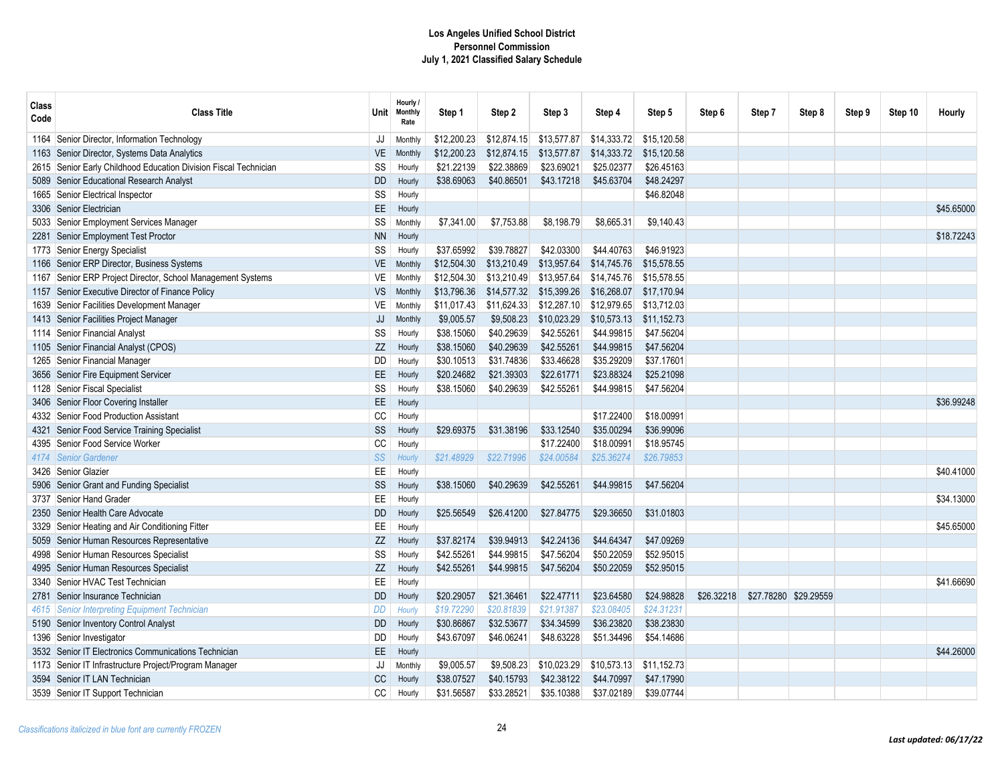| Class<br>Code | <b>Class Title</b>                                               | Unit      | Hourly /<br><b>Monthly</b><br>Rate | Step 1      | Step 2      | Step 3      | Step 4      | Step 5      | Step 6     | Step 7                | Step 8 | Step 9 | Step 10 | <b>Hourly</b> |
|---------------|------------------------------------------------------------------|-----------|------------------------------------|-------------|-------------|-------------|-------------|-------------|------------|-----------------------|--------|--------|---------|---------------|
|               | 1164 Senior Director, Information Technology                     | JJ        | Monthly                            | \$12,200.23 | \$12,874.15 | \$13,577.87 | \$14,333.72 | \$15,120.58 |            |                       |        |        |         |               |
|               | 1163 Senior Director, Systems Data Analytics                     | VE        | Monthly                            | \$12,200.23 | \$12,874.15 | \$13,577.87 | \$14,333.72 | \$15,120.58 |            |                       |        |        |         |               |
|               | 2615 Senior Early Childhood Education Division Fiscal Technician | SS        | Hourly                             | \$21.22139  | \$22.38869  | \$23.69021  | \$25.02377  | \$26.45163  |            |                       |        |        |         |               |
|               | 5089 Senior Educational Research Analyst                         | <b>DD</b> | Hourly                             | \$38.69063  | \$40.86501  | \$43.17218  | \$45.63704  | \$48.24297  |            |                       |        |        |         |               |
|               | 1665 Senior Electrical Inspector                                 | SS        | Hourly                             |             |             |             |             | \$46.82048  |            |                       |        |        |         |               |
|               | 3306 Senior Electrician                                          | EE        | Hourly                             |             |             |             |             |             |            |                       |        |        |         | \$45,65000    |
|               | 5033 Senior Employment Services Manager                          | SS        | Monthly                            | \$7,341.00  | \$7,753.88  | \$8,198.79  | \$8,665.31  | \$9,140.43  |            |                       |        |        |         |               |
|               | 2281 Senior Employment Test Proctor                              | <b>NN</b> | Hourly                             |             |             |             |             |             |            |                       |        |        |         | \$18.72243    |
|               | 1773 Senior Energy Specialist                                    | SS        | Hourly                             | \$37.65992  | \$39.78827  | \$42.03300  | \$44.40763  | \$46.91923  |            |                       |        |        |         |               |
|               | 1166 Senior ERP Director, Business Systems                       | <b>VE</b> | Monthly                            | \$12,504.30 | \$13,210.49 | \$13,957.64 | \$14,745.76 | \$15.578.55 |            |                       |        |        |         |               |
|               | 1167 Senior ERP Project Director, School Management Systems      | VE        | Monthly                            | \$12,504.30 | \$13,210.49 | \$13,957.64 | \$14,745.76 | \$15.578.55 |            |                       |        |        |         |               |
|               | 1157 Senior Executive Director of Finance Policy                 | <b>VS</b> | Monthly                            | \$13,796.36 | \$14,577.32 | \$15,399.26 | \$16,268.07 | \$17,170.94 |            |                       |        |        |         |               |
|               | 1639 Senior Facilities Development Manager                       | VE        | Monthly                            | \$11,017.43 | \$11,624.33 | \$12,287.10 | \$12,979.65 | \$13,712.03 |            |                       |        |        |         |               |
|               | 1413 Senior Facilities Project Manager                           | JJ        | <b>Monthly</b>                     | \$9,005.57  | \$9,508.23  | \$10,023.29 | \$10,573.13 | \$11,152.73 |            |                       |        |        |         |               |
|               | 1114 Senior Financial Analyst                                    | SS        | Hourly                             | \$38.15060  | \$40.29639  | \$42.55261  | \$44.99815  | \$47.56204  |            |                       |        |        |         |               |
|               | 1105 Senior Financial Analyst (CPOS)                             | ZZ        | Hourly                             | \$38.15060  | \$40.29639  | \$42.55261  | \$44.99815  | \$47.56204  |            |                       |        |        |         |               |
|               | 1265 Senior Financial Manager                                    | <b>DD</b> | Hourly                             | \$30.10513  | \$31.74836  | \$33.46628  | \$35.29209  | \$37.17601  |            |                       |        |        |         |               |
|               | 3656 Senior Fire Equipment Servicer                              | EE        | Hourly                             | \$20.24682  | \$21.39303  | \$22.61771  | \$23.88324  | \$25.21098  |            |                       |        |        |         |               |
|               | 1128 Senior Fiscal Specialist                                    | SS        | Hourly                             | \$38.15060  | \$40.29639  | \$42.55261  | \$44.99815  | \$47.56204  |            |                       |        |        |         |               |
|               | 3406 Senior Floor Covering Installer                             | EE        | Hourly                             |             |             |             |             |             |            |                       |        |        |         | \$36.99248    |
|               | 4332 Senior Food Production Assistant                            | CC        | Hourly                             |             |             |             | \$17.22400  | \$18.00991  |            |                       |        |        |         |               |
|               | 4321 Senior Food Service Training Specialist                     | SS        | Hourly                             | \$29.69375  | \$31.38196  | \$33.12540  | \$35.00294  | \$36.99096  |            |                       |        |        |         |               |
|               | 4395 Senior Food Service Worker                                  | CC        | Hourly                             |             |             | \$17.22400  | \$18.00991  | \$18.95745  |            |                       |        |        |         |               |
|               | 4174 Senior Gardener                                             | SS        | Hourly                             | \$21.48929  | \$22.71996  | \$24.00584  | \$25,36274  | \$26.79853  |            |                       |        |        |         |               |
|               | 3426   Senior Glazier                                            | EE        | Hourly                             |             |             |             |             |             |            |                       |        |        |         | \$40,41000    |
|               | 5906 Senior Grant and Funding Specialist                         | SS        | Hourly                             | \$38,15060  | \$40,29639  | \$42.55261  | \$44,99815  | \$47.56204  |            |                       |        |        |         |               |
|               | 3737 Senior Hand Grader                                          | EE        | Hourly                             |             |             |             |             |             |            |                       |        |        |         | \$34,13000    |
|               | 2350 Senior Health Care Advocate                                 | <b>DD</b> | Hourly                             | \$25.56549  | \$26.41200  | \$27.84775  | \$29.36650  | \$31.01803  |            |                       |        |        |         |               |
|               | 3329 Senior Heating and Air Conditioning Fitter                  | EE        | Hourly                             |             |             |             |             |             |            |                       |        |        |         | \$45.65000    |
|               | 5059 Senior Human Resources Representative                       | ZZ        | Hourly                             | \$37.82174  | \$39,94913  | \$42.24136  | \$44,64347  | \$47.09269  |            |                       |        |        |         |               |
|               | 4998 Senior Human Resources Specialist                           | SS        | Hourly                             | \$42.55261  | \$44.99815  | \$47.56204  | \$50.22059  | \$52.95015  |            |                       |        |        |         |               |
|               | 4995 Senior Human Resources Specialist                           | ZZ        | Hourly                             | \$42.55261  | \$44.99815  | \$47.56204  | \$50.22059  | \$52.95015  |            |                       |        |        |         |               |
|               | 3340 Senior HVAC Test Technician                                 | EE        | Hourly                             |             |             |             |             |             |            |                       |        |        |         | \$41,66690    |
|               | 2781 Senior Insurance Technician                                 | <b>DD</b> | Hourly                             | \$20.29057  | \$21.36461  | \$22.47711  | \$23.64580  | \$24.98828  | \$26.32218 | \$27.78280 \$29.29559 |        |        |         |               |
|               | 4615 Senior Interpreting Equipment Technician                    | DD        | Hourly                             | \$19.72290  | \$20.81839  | \$21.91387  | \$23.08405  | \$24.31231  |            |                       |        |        |         |               |
|               | 5190 Senior Inventory Control Analyst                            | <b>DD</b> | Hourly                             | \$30.86867  | \$32.53677  | \$34.34599  | \$36.23820  | \$38.23830  |            |                       |        |        |         |               |
|               | 1396 Senior Investigator                                         | DD        | Hourly                             | \$43.67097  | \$46.06241  | \$48.63228  | \$51.34496  | \$54.14686  |            |                       |        |        |         |               |
|               | 3532 Senior IT Electronics Communications Technician             | EE        | Hourly                             |             |             |             |             |             |            |                       |        |        |         | \$44,26000    |
|               | 1173 Senior IT Infrastructure Project/Program Manager            | JJ        | Monthly                            | \$9,005.57  | \$9,508.23  | \$10,023.29 | \$10,573.13 | \$11,152.73 |            |                       |        |        |         |               |
|               | 3594 Senior IT LAN Technician                                    | <b>CC</b> | Hourly                             | \$38.07527  | \$40.15793  | \$42.38122  | \$44.70997  | \$47.17990  |            |                       |        |        |         |               |
|               | 3539 Senior IT Support Technician                                | CC        | Hourly                             | \$31.56587  | \$33.28521  | \$35.10388  | \$37.02189  | \$39.07744  |            |                       |        |        |         |               |
|               |                                                                  |           |                                    |             |             |             |             |             |            |                       |        |        |         |               |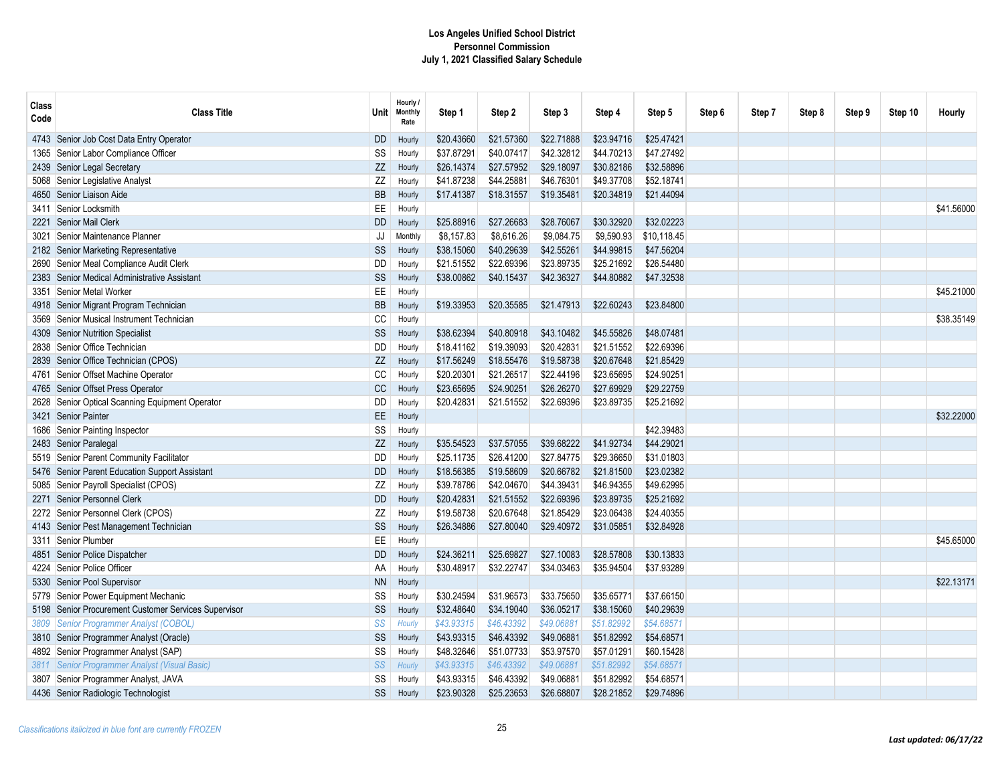| <b>Class</b><br>Code | <b>Class Title</b>                              | <b>Unit</b> | Hourly /<br><b>Monthly</b><br>Rate | Step 1     | Step 2     | Step 3     | Step 4     | Step 5      | Step 6 | Step 7 | Step 8 | Step 9 | Step 10 | Hourly     |
|----------------------|-------------------------------------------------|-------------|------------------------------------|------------|------------|------------|------------|-------------|--------|--------|--------|--------|---------|------------|
| 4743                 | Senior Job Cost Data Entry Operator             | <b>DD</b>   | Hourly                             | \$20.43660 | \$21.57360 | \$22.71888 | \$23,94716 | \$25.47421  |        |        |        |        |         |            |
| 1365                 | Senior Labor Compliance Officer                 | SS          | Hourly                             | \$37.87291 | \$40.07417 | \$42.32812 | \$44,70213 | \$47.27492  |        |        |        |        |         |            |
| 2439                 | Senior Legal Secretary                          | ZZ          | Hourly                             | \$26.14374 | \$27.57952 | \$29.18097 | \$30,82186 | \$32.58896  |        |        |        |        |         |            |
| 5068                 | Senior Legislative Analyst                      | ZZ          | Hourly                             | \$41.87238 | \$44.25881 | \$46.76301 | \$49.37708 | \$52.18741  |        |        |        |        |         |            |
|                      | 4650 Senior Liaison Aide                        | <b>BB</b>   | Hourly                             | \$17.41387 | \$18.31557 | \$19.35481 | \$20.34819 | \$21.44094  |        |        |        |        |         |            |
|                      | 3411 Senior Locksmith                           | EE          | Hourly                             |            |            |            |            |             |        |        |        |        |         | \$41.56000 |
| 2221                 | <b>Senior Mail Clerk</b>                        | <b>DD</b>   | Hourly                             | \$25.88916 | \$27.26683 | \$28.76067 | \$30.32920 | \$32.02223  |        |        |        |        |         |            |
| 3021                 | Senior Maintenance Planner                      | JJ          | Monthly                            | \$8,157.83 | \$8,616.26 | \$9,084.75 | \$9,590.93 | \$10,118.45 |        |        |        |        |         |            |
|                      | 2182 Senior Marketing Representative            | SS          | Hourly                             | \$38.15060 | \$40.29639 | \$42.55261 | \$44.99815 | \$47.56204  |        |        |        |        |         |            |
| 2690                 | Senior Meal Compliance Audit Clerk              | <b>DD</b>   | Hourly                             | \$21.51552 | \$22.69396 | \$23.89735 | \$25.21692 | \$26.54480  |        |        |        |        |         |            |
| 2383                 | Senior Medical Administrative Assistant         | SS          | Hourly                             | \$38.00862 | \$40.15437 | \$42.36327 | \$44.80882 | \$47.32538  |        |        |        |        |         |            |
| 3351                 | Senior Metal Worker                             | EE          | Hourly                             |            |            |            |            |             |        |        |        |        |         | \$45.21000 |
|                      | 4918 Senior Migrant Program Technician          | <b>BB</b>   | Hourly                             | \$19.33953 | \$20.35585 | \$21.47913 | \$22.60243 | \$23.84800  |        |        |        |        |         |            |
| 3569                 | Senior Musical Instrument Technician            | CC          | Hourly                             |            |            |            |            |             |        |        |        |        |         | \$38.35149 |
| 4309                 | Senior Nutrition Specialist                     | SS          | Hourly                             | \$38.62394 | \$40.80918 | \$43.10482 | \$45.55826 | \$48.07481  |        |        |        |        |         |            |
|                      | 2838 Senior Office Technician                   | DD          | Hourly                             | \$18.41162 | \$19.39093 | \$20.42831 | \$21.51552 | \$22.69396  |        |        |        |        |         |            |
| 2839                 | Senior Office Technician (CPOS)                 | ZZ          | Hourly                             | \$17.56249 | \$18.55476 | \$19.58738 | \$20.67648 | \$21.85429  |        |        |        |        |         |            |
| 4761                 | Senior Offset Machine Operator                  | CC          | Hourly                             | \$20.20301 | \$21.26517 | \$22.44196 | \$23.65695 | \$24.90251  |        |        |        |        |         |            |
|                      | 4765 Senior Offset Press Operator               | CC          | Hourly                             | \$23.65695 | \$24.90251 | \$26.26270 | \$27,69929 | \$29.22759  |        |        |        |        |         |            |
| 2628                 | Senior Optical Scanning Equipment Operator      | DD          | Hourly                             | \$20.42831 | \$21.51552 | \$22.69396 | \$23.89735 | \$25.21692  |        |        |        |        |         |            |
| 3421                 | Senior Painter                                  | EE.         | Hourly                             |            |            |            |            |             |        |        |        |        |         | \$32,22000 |
|                      | 1686 Senior Painting Inspector                  | SS          | Hourly                             |            |            |            |            | \$42.39483  |        |        |        |        |         |            |
|                      | 2483 Senior Paralegal                           | ZZ          | Hourly                             | \$35.54523 | \$37.57055 | \$39.68222 | \$41.92734 | \$44.29021  |        |        |        |        |         |            |
| 5519                 | Senior Parent Community Facilitator             | DD          | Hourly                             | \$25.11735 | \$26.41200 | \$27.84775 | \$29.36650 | \$31.01803  |        |        |        |        |         |            |
|                      | 5476 Senior Parent Education Support Assistant  | <b>DD</b>   | Hourly                             | \$18.56385 | \$19.58609 | \$20.66782 | \$21.81500 | \$23.02382  |        |        |        |        |         |            |
|                      | 5085 Senior Payroll Specialist (CPOS)           | ZZ          | Hourly                             | \$39.78786 | \$42.04670 | \$44.39431 | \$46.94355 | \$49.62995  |        |        |        |        |         |            |
| 2271                 | Senior Personnel Clerk                          | <b>DD</b>   | Hourly                             | \$20.42831 | \$21.51552 | \$22,69396 | \$23,89735 | \$25.21692  |        |        |        |        |         |            |
| 2272                 | Senior Personnel Clerk (CPOS)                   | ZZ          | Hourly                             | \$19.58738 | \$20.67648 | \$21.85429 | \$23.06438 | \$24.40355  |        |        |        |        |         |            |
|                      | 4143 Senior Pest Management Technician          | SS          | Hourly                             | \$26.34886 | \$27.80040 | \$29.40972 | \$31.05851 | \$32.84928  |        |        |        |        |         |            |
| 3311                 | Senior Plumber                                  | EE          | Hourly                             |            |            |            |            |             |        |        |        |        |         | \$45,65000 |
| 4851                 | Senior Police Dispatcher                        | <b>DD</b>   | Hourly                             | \$24.36211 | \$25.69827 | \$27.10083 | \$28.57808 | \$30.13833  |        |        |        |        |         |            |
| 4224                 | Senior Police Officer                           | AA          | Hourly                             | \$30.48917 | \$32.22747 | \$34.03463 | \$35.94504 | \$37.93289  |        |        |        |        |         |            |
| 5330                 | Senior Pool Supervisor                          | <b>NN</b>   | Hourly                             |            |            |            |            |             |        |        |        |        |         | \$22.13171 |
| 5779                 | Senior Power Equipment Mechanic                 | SS          | Hourly                             | \$30.24594 | \$31.96573 | \$33.75650 | \$35.65771 | \$37.66150  |        |        |        |        |         |            |
| 5198                 | Senior Procurement Customer Services Supervisor | SS          | Hourly                             | \$32.48640 | \$34.19040 | \$36.05217 | \$38.15060 | \$40.29639  |        |        |        |        |         |            |
| 3809                 | <b>Senior Programmer Analyst (COBOL)</b>        | SS          | Hourly                             | \$43.93315 | \$46.43392 | \$49.06881 | \$51.82992 | \$54.68571  |        |        |        |        |         |            |
|                      | 3810 Senior Programmer Analyst (Oracle)         | SS          | Hourly                             | \$43.93315 | \$46.43392 | \$49.06881 | \$51.82992 | \$54.68571  |        |        |        |        |         |            |
|                      | 4892 Senior Programmer Analyst (SAP)            | SS          | Hourly                             | \$48.32646 | \$51.07733 | \$53.97570 | \$57.01291 | \$60.15428  |        |        |        |        |         |            |
| 3811                 | Senior Programmer Analyst (Visual Basic)        | SS          | Hourly                             | \$43.93315 | \$46.43392 | \$49.06881 | \$51.82992 | \$54.68571  |        |        |        |        |         |            |
| 3807                 | Senior Programmer Analyst, JAVA                 | SS          | Hourly                             | \$43.93315 | \$46.43392 | \$49.06881 | \$51.82992 | \$54.68571  |        |        |        |        |         |            |
|                      | 4436 Senior Radiologic Technologist             | SS          | Hourly                             | \$23.90328 | \$25.23653 | \$26.68807 | \$28.21852 | \$29.74896  |        |        |        |        |         |            |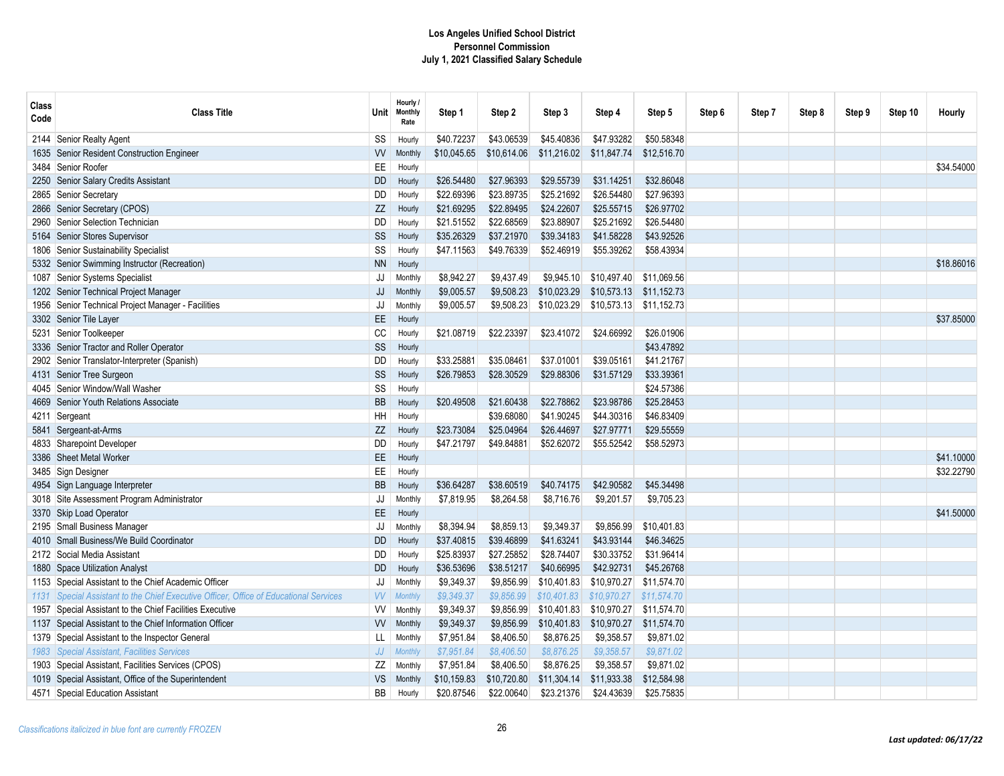| \$40.72237<br>\$43.06539<br>\$45.40836<br>\$47.93282<br>\$50.58348<br>Senior Realty Agent<br>SS<br>2144<br>Hourly<br>\$10,045.65<br>Senior Resident Construction Engineer<br><b>VV</b><br>\$10,614.06<br>\$11,216.02<br>\$11,847.74<br>\$12,516.70<br><b>Monthly</b><br>1635<br>Senior Roofer<br>EE<br>3484<br>Hourly<br>\$32.86048<br>Senior Salary Credits Assistant<br>\$26.54480<br>\$27.96393<br>\$29.55739<br>\$31.14251<br><b>DD</b><br>2250<br>Hourly<br>\$22.69396<br>\$23.89735<br>\$26.54480<br>\$27.96393<br>\$25.21692<br>2865 Senior Secretary<br>DD<br>Hourly<br>\$22.89495<br>\$24.22607<br>\$25.55715<br>\$26.97702<br>Senior Secretary (CPOS)<br>ZZ<br>\$21.69295<br>2866<br>Hourly<br>\$23.88907<br>\$26.54480<br>Senior Selection Technician<br>DD<br>\$21.51552<br>\$22.68569<br>\$25.21692<br>2960<br>Hourly<br>Senior Stores Supervisor<br>SS<br>\$35.26329<br>\$37.21970<br>\$39.34183<br>\$41.58228<br>\$43.92526<br>5164<br>Hourly<br>\$47.11563<br>\$49.76339<br>\$52.46919<br>\$55.39262<br>\$58.43934<br>1806 Senior Sustainability Specialist<br>SS<br>Hourly<br><b>NN</b><br>5332 Senior Swimming Instructor (Recreation)<br>Hourly<br>\$8,942.27<br>\$9,437.49<br>\$10,497.40<br>\$11,069.56<br>Senior Systems Specialist<br>\$9,945.10<br>1087<br>JJ<br>Monthly<br>\$11.152.73<br>1202 Senior Technical Project Manager<br>JJ<br>\$9,005.57<br>\$9,508.23<br>\$10,023.29<br>\$10,573.13<br>Monthly<br>1956 Senior Technical Project Manager - Facilities<br>JJ<br>\$9,005.57<br>\$9,508.23<br>\$10,023.29<br>\$10,573.13 \$11,152.73<br>Monthly<br>3302 Senior Tile Layer<br>EE.<br>Hourly<br>5231 Senior Toolkeeper<br>CC<br>\$22.23397<br>\$26,01906<br>\$21.08719<br>\$23.41072<br>\$24.66992<br>Hourly<br>SS<br>3336 Senior Tractor and Roller Operator<br>\$43.47892<br>Hourly<br>\$41.21767<br>Senior Translator-Interpreter (Spanish)<br>DD<br>\$33.25881<br>\$35.08461<br>\$37.01001<br>\$39.05161<br>2902<br>Hourly | <b>Class</b><br>Code | <b>Class Title</b>       | <b>Unit</b> | Hourly /<br><b>Monthly</b><br>Rate | Step 1     | Step 2     | Step 3     | Step 4     | Step 5     | Step 6 | Step 7 | Step 8 | Step 9 | Step 10 | Hourly     |
|---------------------------------------------------------------------------------------------------------------------------------------------------------------------------------------------------------------------------------------------------------------------------------------------------------------------------------------------------------------------------------------------------------------------------------------------------------------------------------------------------------------------------------------------------------------------------------------------------------------------------------------------------------------------------------------------------------------------------------------------------------------------------------------------------------------------------------------------------------------------------------------------------------------------------------------------------------------------------------------------------------------------------------------------------------------------------------------------------------------------------------------------------------------------------------------------------------------------------------------------------------------------------------------------------------------------------------------------------------------------------------------------------------------------------------------------------------------------------------------------------------------------------------------------------------------------------------------------------------------------------------------------------------------------------------------------------------------------------------------------------------------------------------------------------------------------------------------------------------------------------------------------------------------------------------------------------------------|----------------------|--------------------------|-------------|------------------------------------|------------|------------|------------|------------|------------|--------|--------|--------|--------|---------|------------|
|                                                                                                                                                                                                                                                                                                                                                                                                                                                                                                                                                                                                                                                                                                                                                                                                                                                                                                                                                                                                                                                                                                                                                                                                                                                                                                                                                                                                                                                                                                                                                                                                                                                                                                                                                                                                                                                                                                                                                               |                      |                          |             |                                    |            |            |            |            |            |        |        |        |        |         |            |
|                                                                                                                                                                                                                                                                                                                                                                                                                                                                                                                                                                                                                                                                                                                                                                                                                                                                                                                                                                                                                                                                                                                                                                                                                                                                                                                                                                                                                                                                                                                                                                                                                                                                                                                                                                                                                                                                                                                                                               |                      |                          |             |                                    |            |            |            |            |            |        |        |        |        |         |            |
|                                                                                                                                                                                                                                                                                                                                                                                                                                                                                                                                                                                                                                                                                                                                                                                                                                                                                                                                                                                                                                                                                                                                                                                                                                                                                                                                                                                                                                                                                                                                                                                                                                                                                                                                                                                                                                                                                                                                                               |                      |                          |             |                                    |            |            |            |            |            |        |        |        |        |         | \$34,54000 |
|                                                                                                                                                                                                                                                                                                                                                                                                                                                                                                                                                                                                                                                                                                                                                                                                                                                                                                                                                                                                                                                                                                                                                                                                                                                                                                                                                                                                                                                                                                                                                                                                                                                                                                                                                                                                                                                                                                                                                               |                      |                          |             |                                    |            |            |            |            |            |        |        |        |        |         |            |
|                                                                                                                                                                                                                                                                                                                                                                                                                                                                                                                                                                                                                                                                                                                                                                                                                                                                                                                                                                                                                                                                                                                                                                                                                                                                                                                                                                                                                                                                                                                                                                                                                                                                                                                                                                                                                                                                                                                                                               |                      |                          |             |                                    |            |            |            |            |            |        |        |        |        |         |            |
|                                                                                                                                                                                                                                                                                                                                                                                                                                                                                                                                                                                                                                                                                                                                                                                                                                                                                                                                                                                                                                                                                                                                                                                                                                                                                                                                                                                                                                                                                                                                                                                                                                                                                                                                                                                                                                                                                                                                                               |                      |                          |             |                                    |            |            |            |            |            |        |        |        |        |         |            |
|                                                                                                                                                                                                                                                                                                                                                                                                                                                                                                                                                                                                                                                                                                                                                                                                                                                                                                                                                                                                                                                                                                                                                                                                                                                                                                                                                                                                                                                                                                                                                                                                                                                                                                                                                                                                                                                                                                                                                               |                      |                          |             |                                    |            |            |            |            |            |        |        |        |        |         |            |
|                                                                                                                                                                                                                                                                                                                                                                                                                                                                                                                                                                                                                                                                                                                                                                                                                                                                                                                                                                                                                                                                                                                                                                                                                                                                                                                                                                                                                                                                                                                                                                                                                                                                                                                                                                                                                                                                                                                                                               |                      |                          |             |                                    |            |            |            |            |            |        |        |        |        |         |            |
|                                                                                                                                                                                                                                                                                                                                                                                                                                                                                                                                                                                                                                                                                                                                                                                                                                                                                                                                                                                                                                                                                                                                                                                                                                                                                                                                                                                                                                                                                                                                                                                                                                                                                                                                                                                                                                                                                                                                                               |                      |                          |             |                                    |            |            |            |            |            |        |        |        |        |         |            |
|                                                                                                                                                                                                                                                                                                                                                                                                                                                                                                                                                                                                                                                                                                                                                                                                                                                                                                                                                                                                                                                                                                                                                                                                                                                                                                                                                                                                                                                                                                                                                                                                                                                                                                                                                                                                                                                                                                                                                               |                      |                          |             |                                    |            |            |            |            |            |        |        |        |        |         | \$18.86016 |
|                                                                                                                                                                                                                                                                                                                                                                                                                                                                                                                                                                                                                                                                                                                                                                                                                                                                                                                                                                                                                                                                                                                                                                                                                                                                                                                                                                                                                                                                                                                                                                                                                                                                                                                                                                                                                                                                                                                                                               |                      |                          |             |                                    |            |            |            |            |            |        |        |        |        |         |            |
|                                                                                                                                                                                                                                                                                                                                                                                                                                                                                                                                                                                                                                                                                                                                                                                                                                                                                                                                                                                                                                                                                                                                                                                                                                                                                                                                                                                                                                                                                                                                                                                                                                                                                                                                                                                                                                                                                                                                                               |                      |                          |             |                                    |            |            |            |            |            |        |        |        |        |         |            |
|                                                                                                                                                                                                                                                                                                                                                                                                                                                                                                                                                                                                                                                                                                                                                                                                                                                                                                                                                                                                                                                                                                                                                                                                                                                                                                                                                                                                                                                                                                                                                                                                                                                                                                                                                                                                                                                                                                                                                               |                      |                          |             |                                    |            |            |            |            |            |        |        |        |        |         |            |
|                                                                                                                                                                                                                                                                                                                                                                                                                                                                                                                                                                                                                                                                                                                                                                                                                                                                                                                                                                                                                                                                                                                                                                                                                                                                                                                                                                                                                                                                                                                                                                                                                                                                                                                                                                                                                                                                                                                                                               |                      |                          |             |                                    |            |            |            |            |            |        |        |        |        |         | \$37,85000 |
|                                                                                                                                                                                                                                                                                                                                                                                                                                                                                                                                                                                                                                                                                                                                                                                                                                                                                                                                                                                                                                                                                                                                                                                                                                                                                                                                                                                                                                                                                                                                                                                                                                                                                                                                                                                                                                                                                                                                                               |                      |                          |             |                                    |            |            |            |            |            |        |        |        |        |         |            |
|                                                                                                                                                                                                                                                                                                                                                                                                                                                                                                                                                                                                                                                                                                                                                                                                                                                                                                                                                                                                                                                                                                                                                                                                                                                                                                                                                                                                                                                                                                                                                                                                                                                                                                                                                                                                                                                                                                                                                               |                      |                          |             |                                    |            |            |            |            |            |        |        |        |        |         |            |
|                                                                                                                                                                                                                                                                                                                                                                                                                                                                                                                                                                                                                                                                                                                                                                                                                                                                                                                                                                                                                                                                                                                                                                                                                                                                                                                                                                                                                                                                                                                                                                                                                                                                                                                                                                                                                                                                                                                                                               |                      |                          |             |                                    |            |            |            |            |            |        |        |        |        |         |            |
|                                                                                                                                                                                                                                                                                                                                                                                                                                                                                                                                                                                                                                                                                                                                                                                                                                                                                                                                                                                                                                                                                                                                                                                                                                                                                                                                                                                                                                                                                                                                                                                                                                                                                                                                                                                                                                                                                                                                                               |                      | 4131 Senior Tree Surgeon | SS          | Hourly                             | \$26.79853 | \$28.30529 | \$29.88306 | \$31.57129 | \$33,39361 |        |        |        |        |         |            |
| 4045 Senior Window/Wall Washer<br>SS<br>\$24.57386<br>Hourly                                                                                                                                                                                                                                                                                                                                                                                                                                                                                                                                                                                                                                                                                                                                                                                                                                                                                                                                                                                                                                                                                                                                                                                                                                                                                                                                                                                                                                                                                                                                                                                                                                                                                                                                                                                                                                                                                                  |                      |                          |             |                                    |            |            |            |            |            |        |        |        |        |         |            |
| <b>BB</b><br>\$20.49508<br>\$21.60438<br>\$22.78862<br>\$23.98786<br>\$25.28453<br>4669<br>Senior Youth Relations Associate<br>Hourly                                                                                                                                                                                                                                                                                                                                                                                                                                                                                                                                                                                                                                                                                                                                                                                                                                                                                                                                                                                                                                                                                                                                                                                                                                                                                                                                                                                                                                                                                                                                                                                                                                                                                                                                                                                                                         |                      |                          |             |                                    |            |            |            |            |            |        |        |        |        |         |            |
| \$39.68080<br>\$41.90245<br>\$44.30316<br>\$46.83409<br>Sergeant<br>HH<br>4211<br>Hourly                                                                                                                                                                                                                                                                                                                                                                                                                                                                                                                                                                                                                                                                                                                                                                                                                                                                                                                                                                                                                                                                                                                                                                                                                                                                                                                                                                                                                                                                                                                                                                                                                                                                                                                                                                                                                                                                      |                      |                          |             |                                    |            |            |            |            |            |        |        |        |        |         |            |
| \$23.73084<br>\$25.04964<br>\$26.44697<br>\$29.55559<br>Sergeant-at-Arms<br>ZZ<br>\$27.97771<br>5841<br>Hourly                                                                                                                                                                                                                                                                                                                                                                                                                                                                                                                                                                                                                                                                                                                                                                                                                                                                                                                                                                                                                                                                                                                                                                                                                                                                                                                                                                                                                                                                                                                                                                                                                                                                                                                                                                                                                                                |                      |                          |             |                                    |            |            |            |            |            |        |        |        |        |         |            |
| Sharepoint Developer<br>\$49.84881<br>\$52.62072<br>\$55.52542<br>\$58.52973<br><b>DD</b><br>\$47.21797<br>4833<br>Hourly                                                                                                                                                                                                                                                                                                                                                                                                                                                                                                                                                                                                                                                                                                                                                                                                                                                                                                                                                                                                                                                                                                                                                                                                                                                                                                                                                                                                                                                                                                                                                                                                                                                                                                                                                                                                                                     |                      |                          |             |                                    |            |            |            |            |            |        |        |        |        |         |            |
| Sheet Metal Worker<br>EE<br>3386<br>Hourly                                                                                                                                                                                                                                                                                                                                                                                                                                                                                                                                                                                                                                                                                                                                                                                                                                                                                                                                                                                                                                                                                                                                                                                                                                                                                                                                                                                                                                                                                                                                                                                                                                                                                                                                                                                                                                                                                                                    |                      |                          |             |                                    |            |            |            |            |            |        |        |        |        |         | \$41,10000 |
| 3485 Sign Designer<br>EE<br>Hourly                                                                                                                                                                                                                                                                                                                                                                                                                                                                                                                                                                                                                                                                                                                                                                                                                                                                                                                                                                                                                                                                                                                                                                                                                                                                                                                                                                                                                                                                                                                                                                                                                                                                                                                                                                                                                                                                                                                            |                      |                          |             |                                    |            |            |            |            |            |        |        |        |        |         | \$32.22790 |
| \$42,90582<br>\$45,34498<br>Sign Language Interpreter<br><b>BB</b><br>\$36.64287<br>\$38.60519<br>\$40.74175<br>4954<br>Hourly                                                                                                                                                                                                                                                                                                                                                                                                                                                                                                                                                                                                                                                                                                                                                                                                                                                                                                                                                                                                                                                                                                                                                                                                                                                                                                                                                                                                                                                                                                                                                                                                                                                                                                                                                                                                                                |                      |                          |             |                                    |            |            |            |            |            |        |        |        |        |         |            |
| 3018 Site Assessment Program Administrator<br>JJ<br>\$7,819.95<br>\$8,264.58<br>\$8,716.76<br>\$9,201.57<br>\$9,705.23<br>Monthly                                                                                                                                                                                                                                                                                                                                                                                                                                                                                                                                                                                                                                                                                                                                                                                                                                                                                                                                                                                                                                                                                                                                                                                                                                                                                                                                                                                                                                                                                                                                                                                                                                                                                                                                                                                                                             |                      |                          |             |                                    |            |            |            |            |            |        |        |        |        |         |            |
| EE<br>Skip Load Operator<br>3370<br>Hourly                                                                                                                                                                                                                                                                                                                                                                                                                                                                                                                                                                                                                                                                                                                                                                                                                                                                                                                                                                                                                                                                                                                                                                                                                                                                                                                                                                                                                                                                                                                                                                                                                                                                                                                                                                                                                                                                                                                    |                      |                          |             |                                    |            |            |            |            |            |        |        |        |        |         | \$41,50000 |
| \$8,394.94<br>\$8,859.13<br>\$9,349.37<br>\$10,401.83<br>2195 Small Business Manager<br>JJ<br>\$9,856.99<br>Monthly                                                                                                                                                                                                                                                                                                                                                                                                                                                                                                                                                                                                                                                                                                                                                                                                                                                                                                                                                                                                                                                                                                                                                                                                                                                                                                                                                                                                                                                                                                                                                                                                                                                                                                                                                                                                                                           |                      |                          |             |                                    |            |            |            |            |            |        |        |        |        |         |            |
| \$37.40815<br>\$39.46899<br>\$41.63241<br>\$43.93144<br>\$46.34625<br>Small Business/We Build Coordinator<br>DD<br>4010<br>Hourly                                                                                                                                                                                                                                                                                                                                                                                                                                                                                                                                                                                                                                                                                                                                                                                                                                                                                                                                                                                                                                                                                                                                                                                                                                                                                                                                                                                                                                                                                                                                                                                                                                                                                                                                                                                                                             |                      |                          |             |                                    |            |            |            |            |            |        |        |        |        |         |            |
| 2172 Social Media Assistant<br>\$25.83937<br>\$27.25852<br>\$28.74407<br>\$30.33752<br>\$31.96414<br>DD<br>Hourly                                                                                                                                                                                                                                                                                                                                                                                                                                                                                                                                                                                                                                                                                                                                                                                                                                                                                                                                                                                                                                                                                                                                                                                                                                                                                                                                                                                                                                                                                                                                                                                                                                                                                                                                                                                                                                             |                      |                          |             |                                    |            |            |            |            |            |        |        |        |        |         |            |
| \$36.53696<br>\$38.51217<br>\$40.66995<br>\$42.92731<br>\$45.26768<br>Space Utilization Analyst<br>DD<br>1880<br>Hourly                                                                                                                                                                                                                                                                                                                                                                                                                                                                                                                                                                                                                                                                                                                                                                                                                                                                                                                                                                                                                                                                                                                                                                                                                                                                                                                                                                                                                                                                                                                                                                                                                                                                                                                                                                                                                                       |                      |                          |             |                                    |            |            |            |            |            |        |        |        |        |         |            |
| \$9.349.37<br>\$10.970.27<br>Special Assistant to the Chief Academic Officer<br>JJ<br>\$9.856.99<br>\$10,401.83<br>\$11.574.70<br>Monthly<br>1153                                                                                                                                                                                                                                                                                                                                                                                                                                                                                                                                                                                                                                                                                                                                                                                                                                                                                                                                                                                                                                                                                                                                                                                                                                                                                                                                                                                                                                                                                                                                                                                                                                                                                                                                                                                                             |                      |                          |             |                                    |            |            |            |            |            |        |        |        |        |         |            |
| \$9,349.37<br>\$11.574.70<br>Special Assistant to the Chief Executive Officer, Office of Educational Services<br>VV<br>\$9.856.99<br>\$10.401.83<br>\$10.970.27<br>Monthly<br>1131                                                                                                                                                                                                                                                                                                                                                                                                                                                                                                                                                                                                                                                                                                                                                                                                                                                                                                                                                                                                                                                                                                                                                                                                                                                                                                                                                                                                                                                                                                                                                                                                                                                                                                                                                                            |                      |                          |             |                                    |            |            |            |            |            |        |        |        |        |         |            |
| \$9,349.37<br>\$10,970.27<br>\$11,574.70<br>Special Assistant to the Chief Facilities Executive<br><b>VV</b><br>\$9,856.99<br>\$10,401.83<br>1957<br>Monthly                                                                                                                                                                                                                                                                                                                                                                                                                                                                                                                                                                                                                                                                                                                                                                                                                                                                                                                                                                                                                                                                                                                                                                                                                                                                                                                                                                                                                                                                                                                                                                                                                                                                                                                                                                                                  |                      |                          |             |                                    |            |            |            |            |            |        |        |        |        |         |            |
| \$9,349.37<br>\$10,970.27<br>1137 Special Assistant to the Chief Information Officer<br><b>VV</b><br>\$9,856.99<br>\$10,401.83<br>\$11,574.70<br>Monthly                                                                                                                                                                                                                                                                                                                                                                                                                                                                                                                                                                                                                                                                                                                                                                                                                                                                                                                                                                                                                                                                                                                                                                                                                                                                                                                                                                                                                                                                                                                                                                                                                                                                                                                                                                                                      |                      |                          |             |                                    |            |            |            |            |            |        |        |        |        |         |            |
| \$7,951.84<br>\$8,406.50<br>\$8,876.25<br>\$9,358.57<br>\$9,871.02<br>Special Assistant to the Inspector General<br>LL<br>Monthly<br>1379                                                                                                                                                                                                                                                                                                                                                                                                                                                                                                                                                                                                                                                                                                                                                                                                                                                                                                                                                                                                                                                                                                                                                                                                                                                                                                                                                                                                                                                                                                                                                                                                                                                                                                                                                                                                                     |                      |                          |             |                                    |            |            |            |            |            |        |        |        |        |         |            |
| Special Assistant, Facilities Services<br>JJ<br>\$7,951.84<br>\$8,406.50<br>\$8,876.25<br>\$9,358.57<br>\$9,871.02<br>1983<br>Monthly                                                                                                                                                                                                                                                                                                                                                                                                                                                                                                                                                                                                                                                                                                                                                                                                                                                                                                                                                                                                                                                                                                                                                                                                                                                                                                                                                                                                                                                                                                                                                                                                                                                                                                                                                                                                                         |                      |                          |             |                                    |            |            |            |            |            |        |        |        |        |         |            |
| 1903 Special Assistant, Facilities Services (CPOS)<br>ZZ<br>\$7,951.84<br>\$8,406.50<br>\$8,876.25<br>\$9,358.57<br>\$9,871.02<br>Monthly                                                                                                                                                                                                                                                                                                                                                                                                                                                                                                                                                                                                                                                                                                                                                                                                                                                                                                                                                                                                                                                                                                                                                                                                                                                                                                                                                                                                                                                                                                                                                                                                                                                                                                                                                                                                                     |                      |                          |             |                                    |            |            |            |            |            |        |        |        |        |         |            |
| \$12,584.98<br>1019 Special Assistant, Office of the Superintendent<br><b>VS</b><br>\$10,159.83<br>\$10,720.80<br>\$11,304.14<br>\$11,933.38<br>Monthly                                                                                                                                                                                                                                                                                                                                                                                                                                                                                                                                                                                                                                                                                                                                                                                                                                                                                                                                                                                                                                                                                                                                                                                                                                                                                                                                                                                                                                                                                                                                                                                                                                                                                                                                                                                                       |                      |                          |             |                                    |            |            |            |            |            |        |        |        |        |         |            |
| BB<br>\$20.87546<br>\$22.00640<br>\$23.21376<br>\$24.43639<br>\$25.75835<br>4571 Special Education Assistant<br>Hourly                                                                                                                                                                                                                                                                                                                                                                                                                                                                                                                                                                                                                                                                                                                                                                                                                                                                                                                                                                                                                                                                                                                                                                                                                                                                                                                                                                                                                                                                                                                                                                                                                                                                                                                                                                                                                                        |                      |                          |             |                                    |            |            |            |            |            |        |        |        |        |         |            |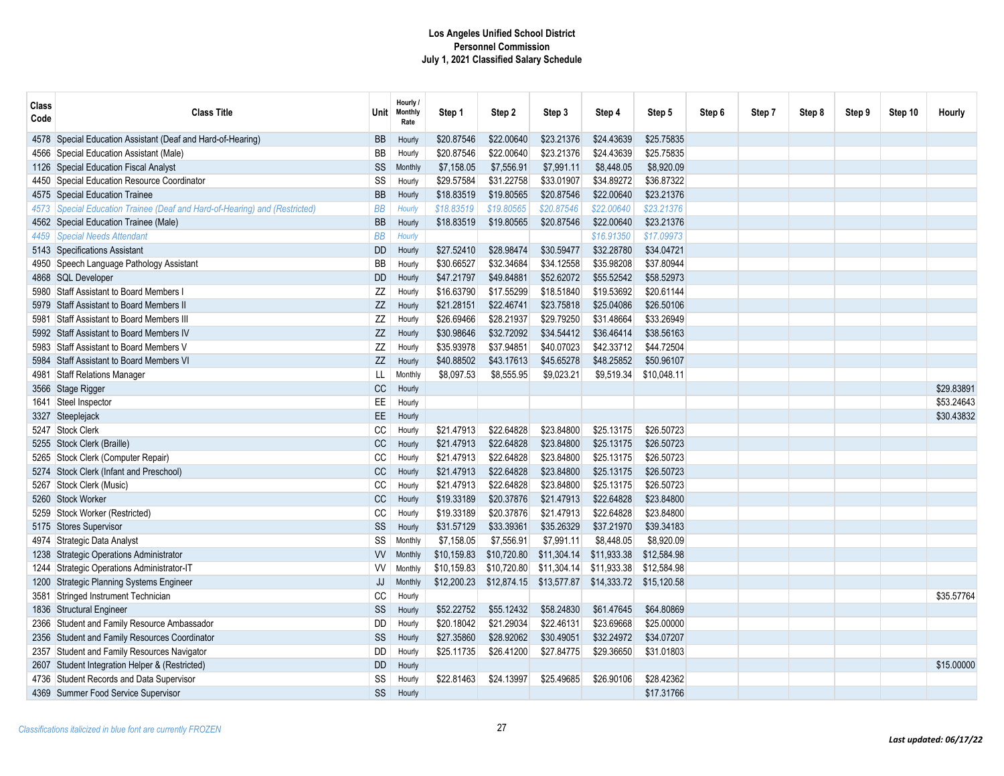| <b>Class</b><br>Code | <b>Class Title</b>                                                    | <b>Unit</b> | Hourly /<br><b>Monthly</b><br>Rate | Step 1      | Step 2      | Step 3      | Step 4      | Step 5      | Step 6 | Step 7 | Step 8 | Step 9 | Step 10 | Hourly     |
|----------------------|-----------------------------------------------------------------------|-------------|------------------------------------|-------------|-------------|-------------|-------------|-------------|--------|--------|--------|--------|---------|------------|
| 4578                 | Special Education Assistant (Deaf and Hard-of-Hearing)                | <b>BB</b>   | Hourly                             | \$20.87546  | \$22.00640  | \$23.21376  | \$24.43639  | \$25.75835  |        |        |        |        |         |            |
| 4566                 | Special Education Assistant (Male)                                    | BB          | Hourly                             | \$20.87546  | \$22.00640  | \$23.21376  | \$24.43639  | \$25.75835  |        |        |        |        |         |            |
|                      | 1126 Special Education Fiscal Analyst                                 | SS          | Monthly                            | \$7,158.05  | \$7,556.91  | \$7,991.11  | \$8,448.05  | \$8,920.09  |        |        |        |        |         |            |
| 4450                 | Special Education Resource Coordinator                                | SS          | Hourly                             | \$29.57584  | \$31.22758  | \$33.01907  | \$34.89272  | \$36.87322  |        |        |        |        |         |            |
|                      | 4575 Special Education Trainee                                        | <b>BB</b>   | Hourly                             | \$18.83519  | \$19.80565  | \$20.87546  | \$22.00640  | \$23.21376  |        |        |        |        |         |            |
| 4573                 | Special Education Trainee (Deaf and Hard-of-Hearing) and (Restricted) | <b>BB</b>   | Hourly                             | \$18.83519  | \$19.80565  | \$20.87546  | \$22.00640  | \$23.21376  |        |        |        |        |         |            |
|                      | 4562 Special Education Trainee (Male)                                 | <b>BB</b>   | Hourly                             | \$18.83519  | \$19.80565  | \$20.87546  | \$22.00640  | \$23.21376  |        |        |        |        |         |            |
| 4459                 | <b>Special Needs Attendant</b>                                        | <b>BB</b>   | Hourly                             |             |             |             | \$16.91350  | \$17.09973  |        |        |        |        |         |            |
|                      | 5143 Specifications Assistant                                         | <b>DD</b>   | Hourly                             | \$27.52410  | \$28.98474  | \$30.59477  | \$32.28780  | \$34.04721  |        |        |        |        |         |            |
| 4950                 | Speech Language Pathology Assistant                                   | BB          | Hourly                             | \$30.66527  | \$32.34684  | \$34.12558  | \$35.98208  | \$37.80944  |        |        |        |        |         |            |
|                      | 4868 SQL Developer                                                    | <b>DD</b>   | Hourly                             | \$47.21797  | \$49.84881  | \$52.62072  | \$55.52542  | \$58.52973  |        |        |        |        |         |            |
| 5980                 | Staff Assistant to Board Members                                      | ΖZ          | Hourly                             | \$16.63790  | \$17.55299  | \$18.51840  | \$19.53692  | \$20.61144  |        |        |        |        |         |            |
| 5979                 | Staff Assistant to Board Members II                                   | ZZ          | Hourly                             | \$21.28151  | \$22.46741  | \$23.75818  | \$25.04086  | \$26.50106  |        |        |        |        |         |            |
| 5981                 | Staff Assistant to Board Members III                                  | ΖZ          | Hourly                             | \$26.69466  | \$28.21937  | \$29.79250  | \$31.48664  | \$33.26949  |        |        |        |        |         |            |
| 5992                 | Staff Assistant to Board Members IV                                   | $Z\!Z$      | Hourly                             | \$30.98646  | \$32.72092  | \$34.54412  | \$36.46414  | \$38.56163  |        |        |        |        |         |            |
| 5983                 | Staff Assistant to Board Members V                                    | ZZ          | Hourly                             | \$35.93978  | \$37.94851  | \$40.07023  | \$42.33712  | \$44.72504  |        |        |        |        |         |            |
| 5984                 | <b>Staff Assistant to Board Members VI</b>                            | ZZ          | Hourly                             | \$40.88502  | \$43.17613  | \$45.65278  | \$48.25852  | \$50.96107  |        |        |        |        |         |            |
| 4981                 | Staff Relations Manager                                               | LL          | Monthly                            | \$8,097.53  | \$8,555.95  | \$9,023.21  | \$9,519.34  | \$10,048.11 |        |        |        |        |         |            |
|                      | 3566 Stage Rigger                                                     | CC          | Hourly                             |             |             |             |             |             |        |        |        |        |         | \$29.83891 |
| 1641                 | Steel Inspector                                                       | EE          | Hourly                             |             |             |             |             |             |        |        |        |        |         | \$53.24643 |
| 3327                 | Steeplejack                                                           | EE          | Hourly                             |             |             |             |             |             |        |        |        |        |         | \$30.43832 |
|                      | 5247 Stock Clerk                                                      | CC          | Hourly                             | \$21.47913  | \$22.64828  | \$23.84800  | \$25.13175  | \$26.50723  |        |        |        |        |         |            |
| 5255                 | Stock Clerk (Braille)                                                 | CC          | Hourly                             | \$21.47913  | \$22.64828  | \$23.84800  | \$25.13175  | \$26.50723  |        |        |        |        |         |            |
| 5265                 | Stock Clerk (Computer Repair)                                         | CC          | Hourly                             | \$21.47913  | \$22.64828  | \$23.84800  | \$25.13175  | \$26.50723  |        |        |        |        |         |            |
|                      | 5274 Stock Clerk (Infant and Preschool)                               | CC          | Hourly                             | \$21.47913  | \$22.64828  | \$23.84800  | \$25.13175  | \$26.50723  |        |        |        |        |         |            |
|                      | 5267 Stock Clerk (Music)                                              | CC          | Hourly                             | \$21.47913  | \$22.64828  | \$23.84800  | \$25.13175  | \$26.50723  |        |        |        |        |         |            |
| 5260                 | <b>Stock Worker</b>                                                   | CC          | Hourly                             | \$19.33189  | \$20.37876  | \$21.47913  | \$22.64828  | \$23.84800  |        |        |        |        |         |            |
| 5259                 | Stock Worker (Restricted)                                             | CC          | Hourly                             | \$19.33189  | \$20.37876  | \$21.47913  | \$22.64828  | \$23.84800  |        |        |        |        |         |            |
|                      | 5175 Stores Supervisor                                                | SS          | Hourly                             | \$31.57129  | \$33.39361  | \$35.26329  | \$37.21970  | \$39.34183  |        |        |        |        |         |            |
| 4974                 | Strategic Data Analyst                                                | SS          | Monthly                            | \$7,158.05  | \$7,556.91  | \$7,991.11  | \$8,448.05  | \$8,920.09  |        |        |        |        |         |            |
| 1238                 | Strategic Operations Administrator                                    | <b>VV</b>   | Monthly                            | \$10,159.83 | \$10,720.80 | \$11,304.14 | \$11.933.38 | \$12,584.98 |        |        |        |        |         |            |
| 1244                 | Strategic Operations Administrator-IT                                 | <b>VV</b>   | <b>Monthly</b>                     | \$10,159.83 | \$10,720.80 | \$11,304.14 | \$11,933.38 | \$12,584.98 |        |        |        |        |         |            |
| 1200                 | Strategic Planning Systems Engineer                                   | JJ          | <b>Monthly</b>                     | \$12,200.23 | \$12,874.15 | \$13,577.87 | \$14,333.72 | \$15,120.58 |        |        |        |        |         |            |
| 3581                 | Stringed Instrument Technician                                        | CC          | Hourly                             |             |             |             |             |             |        |        |        |        |         | \$35.57764 |
|                      | 1836 Structural Engineer                                              | SS          | Hourly                             | \$52.22752  | \$55.12432  | \$58.24830  | \$61.47645  | \$64.80869  |        |        |        |        |         |            |
| 2366                 | Student and Family Resource Ambassador                                | DD          | Hourly                             | \$20.18042  | \$21.29034  | \$22.46131  | \$23.69668  | \$25.00000  |        |        |        |        |         |            |
| 2356                 | Student and Family Resources Coordinator                              | SS          | Hourly                             | \$27.35860  | \$28.92062  | \$30.49051  | \$32.24972  | \$34.07207  |        |        |        |        |         |            |
| 2357                 | Student and Family Resources Navigator                                | DD          | Hourly                             | \$25.11735  | \$26.41200  | \$27.84775  | \$29.36650  | \$31.01803  |        |        |        |        |         |            |
| 2607                 | Student Integration Helper & (Restricted)                             | <b>DD</b>   | Hourly                             |             |             |             |             |             |        |        |        |        |         | \$15,00000 |
|                      | 4736 Student Records and Data Supervisor                              | SS          | Hourly                             | \$22.81463  | \$24.13997  | \$25.49685  | \$26.90106  | \$28.42362  |        |        |        |        |         |            |
|                      | 4369 Summer Food Service Supervisor                                   | SS          | Hourly                             |             |             |             |             | \$17.31766  |        |        |        |        |         |            |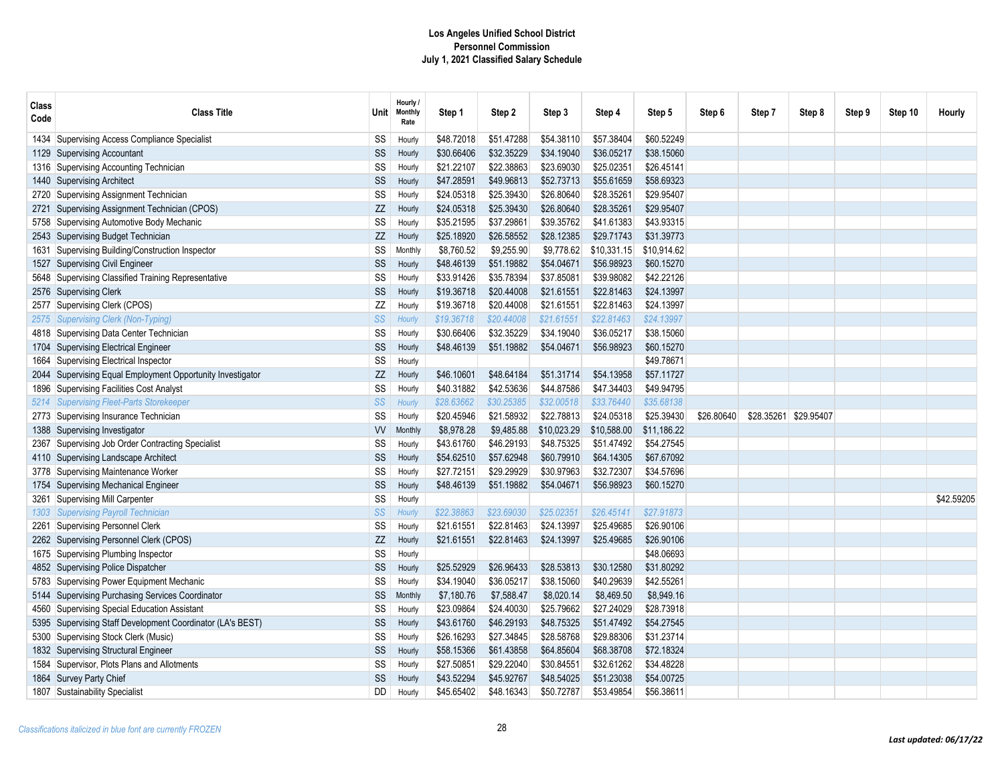| Class<br>Code | <b>Class Title</b>                                    | Unit∣       | Hourly /<br><b>Monthly</b><br>Rate | Step 1     | Step 2     | Step 3      | Step 4      | Step 5      | Step 6     | Step 7                | Step 8 | Step 9 | Step 10 | Hourly     |
|---------------|-------------------------------------------------------|-------------|------------------------------------|------------|------------|-------------|-------------|-------------|------------|-----------------------|--------|--------|---------|------------|
| 1434          | Supervising Access Compliance Specialist              | SS          | Hourly                             | \$48.72018 | \$51.47288 | \$54.38110  | \$57.38404  | \$60.52249  |            |                       |        |        |         |            |
| 1129          | Supervising Accountant                                | SS          | Hourly                             | \$30.66406 | \$32.35229 | \$34.19040  | \$36.05217  | \$38.15060  |            |                       |        |        |         |            |
| 1316          | Supervising Accounting Technician                     | SS          | Hourly                             | \$21.22107 | \$22.38863 | \$23.69030  | \$25.02351  | \$26.45141  |            |                       |        |        |         |            |
| 1440          | Supervising Architect                                 | SS          | Hourly                             | \$47.28591 | \$49.96813 | \$52.73713  | \$55.61659  | \$58,69323  |            |                       |        |        |         |            |
| 2720          | Supervising Assignment Technician                     | SS          | Hourly                             | \$24.05318 | \$25.39430 | \$26.80640  | \$28.35261  | \$29.95407  |            |                       |        |        |         |            |
| 2721          | Supervising Assignment Technician (CPOS)              | ZZ          | Hourly                             | \$24.05318 | \$25.39430 | \$26.80640  | \$28.35261  | \$29.95407  |            |                       |        |        |         |            |
| 5758          | Supervising Automotive Body Mechanic                  | SS          | Hourly                             | \$35.21595 | \$37.29861 | \$39.35762  | \$41.61383  | \$43.93315  |            |                       |        |        |         |            |
| 2543          | Supervising Budget Technician                         | ZZ          | Hourly                             | \$25.18920 | \$26.58552 | \$28.12385  | \$29.71743  | \$31.39773  |            |                       |        |        |         |            |
| 1631          | Supervising Building/Construction Inspector           | SS          | Monthly                            | \$8,760.52 | \$9,255.90 | \$9,778.62  | \$10,331.15 | \$10,914.62 |            |                       |        |        |         |            |
| 1527          | Supervising Civil Engineer                            | SS          | Hourly                             | \$48.46139 | \$51.19882 | \$54.04671  | \$56.98923  | \$60.15270  |            |                       |        |        |         |            |
| 5648          | Supervising Classified Training Representative        | SS          | Hourly                             | \$33.91426 | \$35.78394 | \$37.85081  | \$39.98082  | \$42.22126  |            |                       |        |        |         |            |
| 2576          | Supervising Clerk                                     | $\text{SS}$ | Hourly                             | \$19.36718 | \$20.44008 | \$21.61551  | \$22.81463  | \$24.13997  |            |                       |        |        |         |            |
| 2577          | Supervising Clerk (CPOS)                              | ΖZ          | Hourly                             | \$19.36718 | \$20.44008 | \$21.61551  | \$22.81463  | \$24.13997  |            |                       |        |        |         |            |
|               | 2575 Supervising Clerk (Non-Typing)                   | SS          | Hourly                             | \$19.36718 | \$20.44008 | \$21.61551  | \$22.81463  | \$24.13997  |            |                       |        |        |         |            |
| 4818          | Supervising Data Center Technician                    | SS          | Hourly                             | \$30.66406 | \$32.35229 | \$34.19040  | \$36.05217  | \$38.15060  |            |                       |        |        |         |            |
|               | 1704 Supervising Electrical Engineer                  | SS          | Hourly                             | \$48.46139 | \$51.19882 | \$54.04671  | \$56.98923  | \$60.15270  |            |                       |        |        |         |            |
| 1664          | Supervising Electrical Inspector                      | SS          | Hourly                             |            |            |             |             | \$49.78671  |            |                       |        |        |         |            |
| 2044          | Supervising Equal Employment Opportunity Investigator | ZZ          | Hourly                             | \$46.10601 | \$48.64184 | \$51.31714  | \$54.13958  | \$57.11727  |            |                       |        |        |         |            |
| 1896          | Supervising Facilities Cost Analyst                   | SS          | Hourly                             | \$40.31882 | \$42.53636 | \$44.87586  | \$47.34403  | \$49.94795  |            |                       |        |        |         |            |
| 5214          | Supervising Fleet-Parts Storekeeper                   | SS          | Hourly                             | \$28.63662 | \$30.25385 | \$32.00518  | \$33.76440  | \$35.68138  |            |                       |        |        |         |            |
| 2773          | Supervising Insurance Technician                      | SS          | Hourly                             | \$20.45946 | \$21.58932 | \$22.78813  | \$24.05318  | \$25.39430  | \$26.80640 | \$28.35261 \$29.95407 |        |        |         |            |
| 1388          | Supervising Investigator                              | <b>VV</b>   | Monthly                            | \$8,978.28 | \$9,485.88 | \$10,023.29 | \$10,588.00 | \$11,186.22 |            |                       |        |        |         |            |
| 2367          | Supervising Job Order Contracting Specialist          | SS          | Hourly                             | \$43.61760 | \$46.29193 | \$48.75325  | \$51.47492  | \$54.27545  |            |                       |        |        |         |            |
| 4110          | Supervising Landscape Architect                       | SS          | Hourly                             | \$54.62510 | \$57.62948 | \$60.79910  | \$64.14305  | \$67.67092  |            |                       |        |        |         |            |
| 3778          | Supervising Maintenance Worker                        | SS          | Hourly                             | \$27.72151 | \$29.29929 | \$30.97963  | \$32.72307  | \$34.57696  |            |                       |        |        |         |            |
| 1754          | Supervising Mechanical Engineer                       | SS          | Hourly                             | \$48.46139 | \$51.19882 | \$54.04671  | \$56.98923  | \$60.15270  |            |                       |        |        |         |            |
| 3261          | Supervising Mill Carpenter                            | SS          | Hourly                             |            |            |             |             |             |            |                       |        |        |         | \$42.59205 |
| 1303          | Supervising Payroll Technician                        | SS          | Hourly                             | \$22.38863 | \$23.69030 | \$25.02351  | \$26.45141  | \$27.91873  |            |                       |        |        |         |            |
| 2261          | Supervising Personnel Clerk                           | SS          | Hourly                             | \$21.61551 | \$22.81463 | \$24.13997  | \$25.49685  | \$26.90106  |            |                       |        |        |         |            |
|               | 2262 Supervising Personnel Clerk (CPOS)               | ΖZ          | Hourly                             | \$21.61551 | \$22.81463 | \$24.13997  | \$25.49685  | \$26.90106  |            |                       |        |        |         |            |
| 1675          | Supervising Plumbing Inspector                        | SS          | Hourly                             |            |            |             |             | \$48.06693  |            |                       |        |        |         |            |
| 4852          | Supervising Police Dispatcher                         | $SS\,$      | Hourly                             | \$25.52929 | \$26.96433 | \$28.53813  | \$30.12580  | \$31.80292  |            |                       |        |        |         |            |
| 5783          | Supervising Power Equipment Mechanic                  | $\text{SS}$ | Hourly                             | \$34.19040 | \$36.05217 | \$38.15060  | \$40.29639  | \$42.55261  |            |                       |        |        |         |            |
| 5144          | Supervising Purchasing Services Coordinator           | SS          | Monthly                            | \$7,180.76 | \$7,588.47 | \$8,020.14  | \$8,469.50  | \$8,949.16  |            |                       |        |        |         |            |
| 4560          | Supervising Special Education Assistant               | SS          | Hourly                             | \$23.09864 | \$24.40030 | \$25.79662  | \$27.24029  | \$28.73918  |            |                       |        |        |         |            |
| 5395          | Supervising Staff Development Coordinator (LA's BEST) | SS          | Hourly                             | \$43.61760 | \$46.29193 | \$48.75325  | \$51.47492  | \$54.27545  |            |                       |        |        |         |            |
| 5300          | Supervising Stock Clerk (Music)                       | SS          | Hourly                             | \$26.16293 | \$27.34845 | \$28.58768  | \$29.88306  | \$31.23714  |            |                       |        |        |         |            |
| 1832          | Supervising Structural Engineer                       | SS          | Hourly                             | \$58.15366 | \$61.43858 | \$64.85604  | \$68.38708  | \$72.18324  |            |                       |        |        |         |            |
| 1584          | Supervisor, Plots Plans and Allotments                | SS          | Hourly                             | \$27.50851 | \$29.22040 | \$30.84551  | \$32.61262  | \$34.48228  |            |                       |        |        |         |            |
|               | 1864 Survey Party Chief                               | SS          | Hourly                             | \$43.52294 | \$45.92767 | \$48.54025  | \$51.23038  | \$54.00725  |            |                       |        |        |         |            |
|               | 1807 Sustainability Specialist                        | DD          | Hourly                             | \$45.65402 | \$48.16343 | \$50.72787  | \$53.49854  | \$56.38611  |            |                       |        |        |         |            |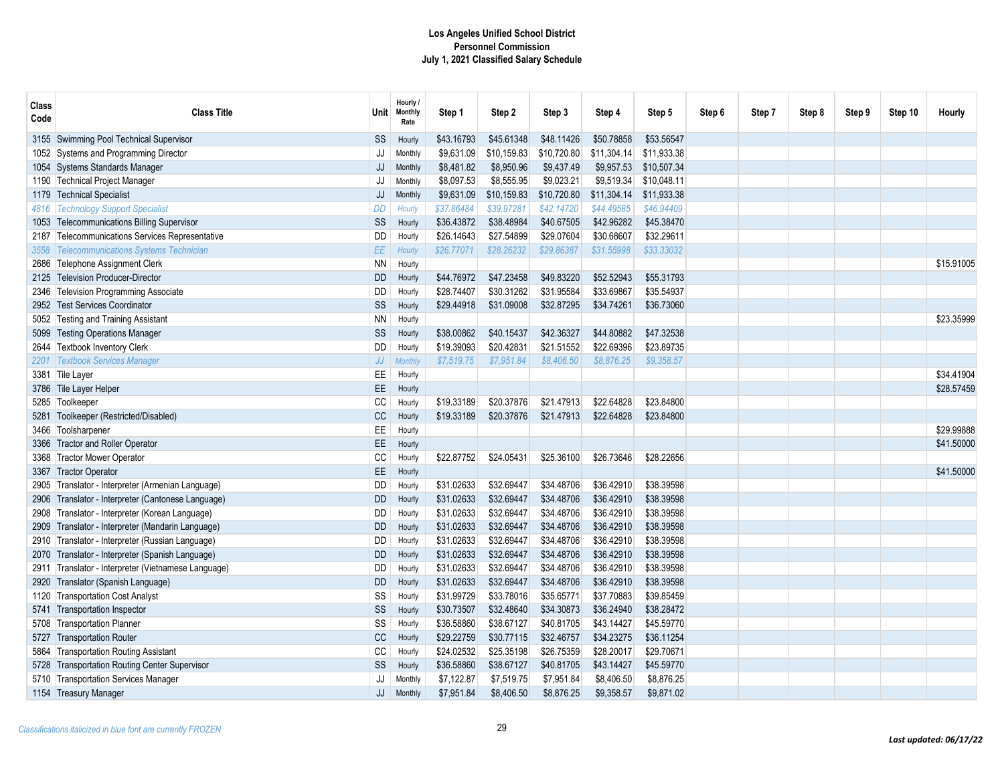| Class<br>Code | <b>Class Title</b>                                  | ∪nit⊹      | Hourly /<br><b>Monthly</b><br>Rate | Step 1     | Step 2      | Step 3      | Step 4      | Step 5      | Step 6 | Step 7 | Step 8 | Step 9 | Step 10 | Hourly     |
|---------------|-----------------------------------------------------|------------|------------------------------------|------------|-------------|-------------|-------------|-------------|--------|--------|--------|--------|---------|------------|
|               | 3155 Swimming Pool Technical Supervisor             | SS         | Hourly                             | \$43.16793 | \$45.61348  | \$48.11426  | \$50.78858  | \$53.56547  |        |        |        |        |         |            |
|               | 1052 Systems and Programming Director               | JJ         | Monthly                            | \$9,631.09 | \$10,159.83 | \$10,720.80 | \$11,304.14 | \$11,933.38 |        |        |        |        |         |            |
|               | 1054 Systems Standards Manager                      | JJ         | Monthly                            | \$8,481.82 | \$8,950.96  | \$9,437.49  | \$9,957.53  | \$10,507.34 |        |        |        |        |         |            |
|               | 1190 Technical Project Manager                      | JJ         | Monthly                            | \$8,097.53 | \$8,555.95  | \$9,023.21  | \$9,519.34  | \$10.048.11 |        |        |        |        |         |            |
|               | 1179 Technical Specialist                           | JJ         | Monthly                            | \$9,631.09 | \$10,159.83 | \$10,720.80 | \$11,304.14 | \$11,933.38 |        |        |        |        |         |            |
|               | 4816   Technology Support Specialist                | DD         | Hourly                             | \$37.86484 | \$39.97281  | \$42.14720  | \$44.49585  | \$46.94409  |        |        |        |        |         |            |
|               | 1053 Telecommunications Billing Supervisor          | SS         | Hourly                             | \$36.43872 | \$38.48984  | \$40.67505  | \$42.96282  | \$45.38470  |        |        |        |        |         |            |
|               | 2187 Telecommunications Services Representative     | DD         | Hourly                             | \$26.14643 | \$27.54899  | \$29.07604  | \$30.68607  | \$32.29611  |        |        |        |        |         |            |
| 3558          | <b>Telecommunications Systems Technician</b>        | EE         | Hourly                             | \$26.77071 | \$28.26232  | \$29.86387  | \$31.55998  | \$33.33032  |        |        |        |        |         |            |
|               | 2686 Telephone Assignment Clerk                     | <b>NN</b>  | Hourly                             |            |             |             |             |             |        |        |        |        |         | \$15.91005 |
|               | 2125 Television Producer-Director                   | <b>DD</b>  | Hourly                             | \$44.76972 | \$47.23458  | \$49.83220  | \$52.52943  | \$55.31793  |        |        |        |        |         |            |
|               | 2346 Television Programming Associate               | <b>DD</b>  | Hourly                             | \$28.74407 | \$30.31262  | \$31.95584  | \$33.69867  | \$35.54937  |        |        |        |        |         |            |
|               | 2952 Test Services Coordinator                      | SS         | Hourly                             | \$29.44918 | \$31.09008  | \$32.87295  | \$34.74261  | \$36.73060  |        |        |        |        |         |            |
|               | 5052 Testing and Training Assistant                 | <b>NN</b>  | Hourly                             |            |             |             |             |             |        |        |        |        |         | \$23.35999 |
|               | 5099 Testing Operations Manager                     | SS         | Hourly                             | \$38.00862 | \$40.15437  | \$42.36327  | \$44.80882  | \$47.32538  |        |        |        |        |         |            |
|               | 2644 Textbook Inventory Clerk                       | <b>DD</b>  | Hourly                             | \$19.39093 | \$20.42831  | \$21.51552  | \$22.69396  | \$23.89735  |        |        |        |        |         |            |
|               | 2201 Textbook Services Manager                      | ${\it JJ}$ | <b>Monthly</b>                     | \$7,519.75 | \$7,951.84  | \$8,406.50  | \$8,876.25  | \$9,358.57  |        |        |        |        |         |            |
|               | 3381 Tile Layer                                     | EE         | Hourly                             |            |             |             |             |             |        |        |        |        |         | \$34.41904 |
|               | 3786 Tile Layer Helper                              | EE         | Hourly                             |            |             |             |             |             |        |        |        |        |         | \$28.57459 |
|               | 5285 Toolkeeper                                     | CC         | Hourly                             | \$19.33189 | \$20.37876  | \$21.47913  | \$22.64828  | \$23.84800  |        |        |        |        |         |            |
|               | 5281 Toolkeeper (Restricted/Disabled)               | CC         | Hourly                             | \$19.33189 | \$20.37876  | \$21.47913  | \$22.64828  | \$23.84800  |        |        |        |        |         |            |
|               | 3466 Toolsharpener                                  | EE         | Hourly                             |            |             |             |             |             |        |        |        |        |         | \$29.99888 |
|               | 3366 Tractor and Roller Operator                    | EE         | Hourly                             |            |             |             |             |             |        |        |        |        |         | \$41.50000 |
|               | 3368 Tractor Mower Operator                         | CC         | Hourly                             | \$22.87752 | \$24.05431  | \$25.36100  | \$26.73646  | \$28.22656  |        |        |        |        |         |            |
|               | 3367 Tractor Operator                               | EE         | Hourly                             |            |             |             |             |             |        |        |        |        |         | \$41,50000 |
|               | 2905 Translator - Interpreter (Armenian Language)   | <b>DD</b>  | Hourly                             | \$31.02633 | \$32.69447  | \$34.48706  | \$36.42910  | \$38.39598  |        |        |        |        |         |            |
|               | 2906 Translator - Interpreter (Cantonese Language)  | <b>DD</b>  | Hourly                             | \$31.02633 | \$32.69447  | \$34.48706  | \$36.42910  | \$38.39598  |        |        |        |        |         |            |
|               | 2908 Translator - Interpreter (Korean Language)     | DD         | Hourly                             | \$31.02633 | \$32.69447  | \$34.48706  | \$36.42910  | \$38.39598  |        |        |        |        |         |            |
|               | 2909 Translator - Interpreter (Mandarin Language)   | <b>DD</b>  | Hourly                             | \$31.02633 | \$32.69447  | \$34.48706  | \$36.42910  | \$38.39598  |        |        |        |        |         |            |
|               | 2910 Translator - Interpreter (Russian Language)    | DD         | Hourly                             | \$31.02633 | \$32.69447  | \$34.48706  | \$36.42910  | \$38.39598  |        |        |        |        |         |            |
|               | 2070 Translator - Interpreter (Spanish Language)    | <b>DD</b>  | Hourly                             | \$31.02633 | \$32.69447  | \$34.48706  | \$36.42910  | \$38.39598  |        |        |        |        |         |            |
|               | 2911 Translator - Interpreter (Vietnamese Language) | DD         | Hourly                             | \$31.02633 | \$32.69447  | \$34.48706  | \$36.42910  | \$38.39598  |        |        |        |        |         |            |
|               | 2920 Translator (Spanish Language)                  | <b>DD</b>  | Hourly                             | \$31.02633 | \$32.69447  | \$34.48706  | \$36.42910  | \$38.39598  |        |        |        |        |         |            |
|               | 1120 Transportation Cost Analyst                    | SS         | Hourly                             | \$31.99729 | \$33.78016  | \$35.65771  | \$37.70883  | \$39.85459  |        |        |        |        |         |            |
|               | 5741 Transportation Inspector                       | SS         | Hourly                             | \$30.73507 | \$32,48640  | \$34,30873  | \$36.24940  | \$38.28472  |        |        |        |        |         |            |
|               | 5708 Transportation Planner                         | SS         | Hourly                             | \$36.58860 | \$38.67127  | \$40.81705  | \$43.14427  | \$45.59770  |        |        |        |        |         |            |
|               | 5727 Transportation Router                          | CC         | Hourly                             | \$29.22759 | \$30.77115  | \$32.46757  | \$34.23275  | \$36.11254  |        |        |        |        |         |            |
|               | 5864 Transportation Routing Assistant               | CC         | Hourly                             | \$24.02532 | \$25.35198  | \$26.75359  | \$28.20017  | \$29.70671  |        |        |        |        |         |            |
|               | 5728 Transportation Routing Center Supervisor       | SS         | Hourly                             | \$36.58860 | \$38.67127  | \$40.81705  | \$43.14427  | \$45.59770  |        |        |        |        |         |            |
|               | 5710 Transportation Services Manager                | JJ         | Monthly                            | \$7,122.87 | \$7,519.75  | \$7,951.84  | \$8,406.50  | \$8,876.25  |        |        |        |        |         |            |
|               | 1154 Treasury Manager                               | JJ         | Monthly                            | \$7,951.84 | \$8,406.50  | \$8,876.25  | \$9,358.57  | \$9,871.02  |        |        |        |        |         |            |